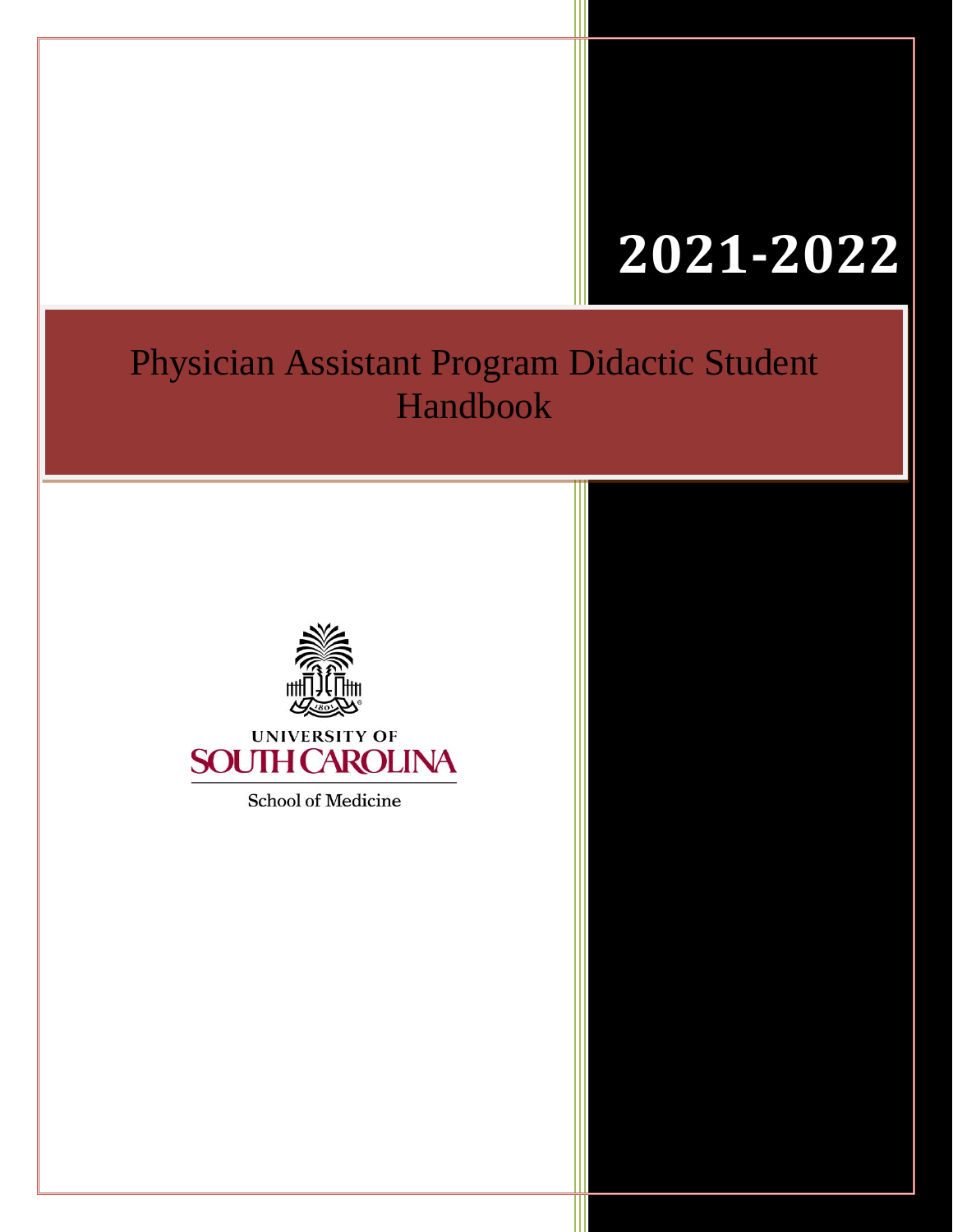# **2018 2021-2022**

# Physician Assistant Program Didactic Student Handbook



School of Medicine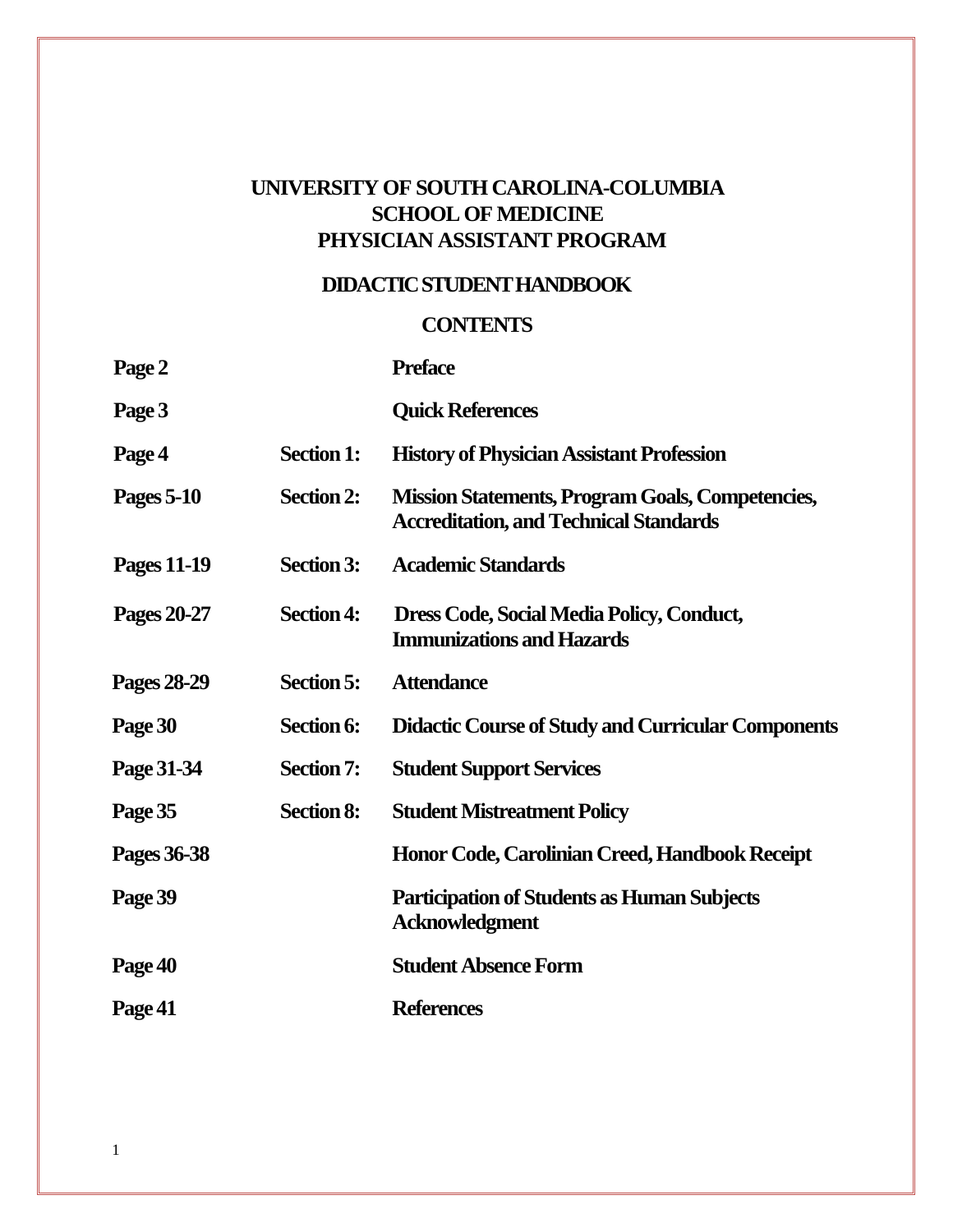# **UNIVERSITY OF SOUTH CAROLINA-COLUMBIA SCHOOL OF MEDICINE PHYSICIAN ASSISTANT PROGRAM**

# **DIDACTIC STUDENTHANDBOOK**

# **CONTENTS**

| Page 2             |                   | <b>Preface</b>                                                                                           |
|--------------------|-------------------|----------------------------------------------------------------------------------------------------------|
| Page 3             |                   | <b>Quick References</b>                                                                                  |
| Page 4             | <b>Section 1:</b> | <b>History of Physician Assistant Profession</b>                                                         |
| Pages 5-10         | <b>Section 2:</b> | <b>Mission Statements, Program Goals, Competencies,</b><br><b>Accreditation, and Technical Standards</b> |
| <b>Pages 11-19</b> | <b>Section 3:</b> | <b>Academic Standards</b>                                                                                |
| Pages 20-27        | <b>Section 4:</b> | Dress Code, Social Media Policy, Conduct,<br><b>Immunizations and Hazards</b>                            |
| Pages 28-29        | <b>Section 5:</b> | <b>Attendance</b>                                                                                        |
| Page 30            | Section 6:        | <b>Didactic Course of Study and Curricular Components</b>                                                |
| Page 31-34         | <b>Section 7:</b> | <b>Student Support Services</b>                                                                          |
| Page 35            | <b>Section 8:</b> | <b>Student Mistreatment Policy</b>                                                                       |
| Pages 36-38        |                   | Honor Code, Carolinian Creed, Handbook Receipt                                                           |
| Page 39            |                   | <b>Participation of Students as Human Subjects</b><br><b>Acknowledgment</b>                              |
| Page 40            |                   | <b>Student Absence Form</b>                                                                              |
| Page 41            |                   | <b>References</b>                                                                                        |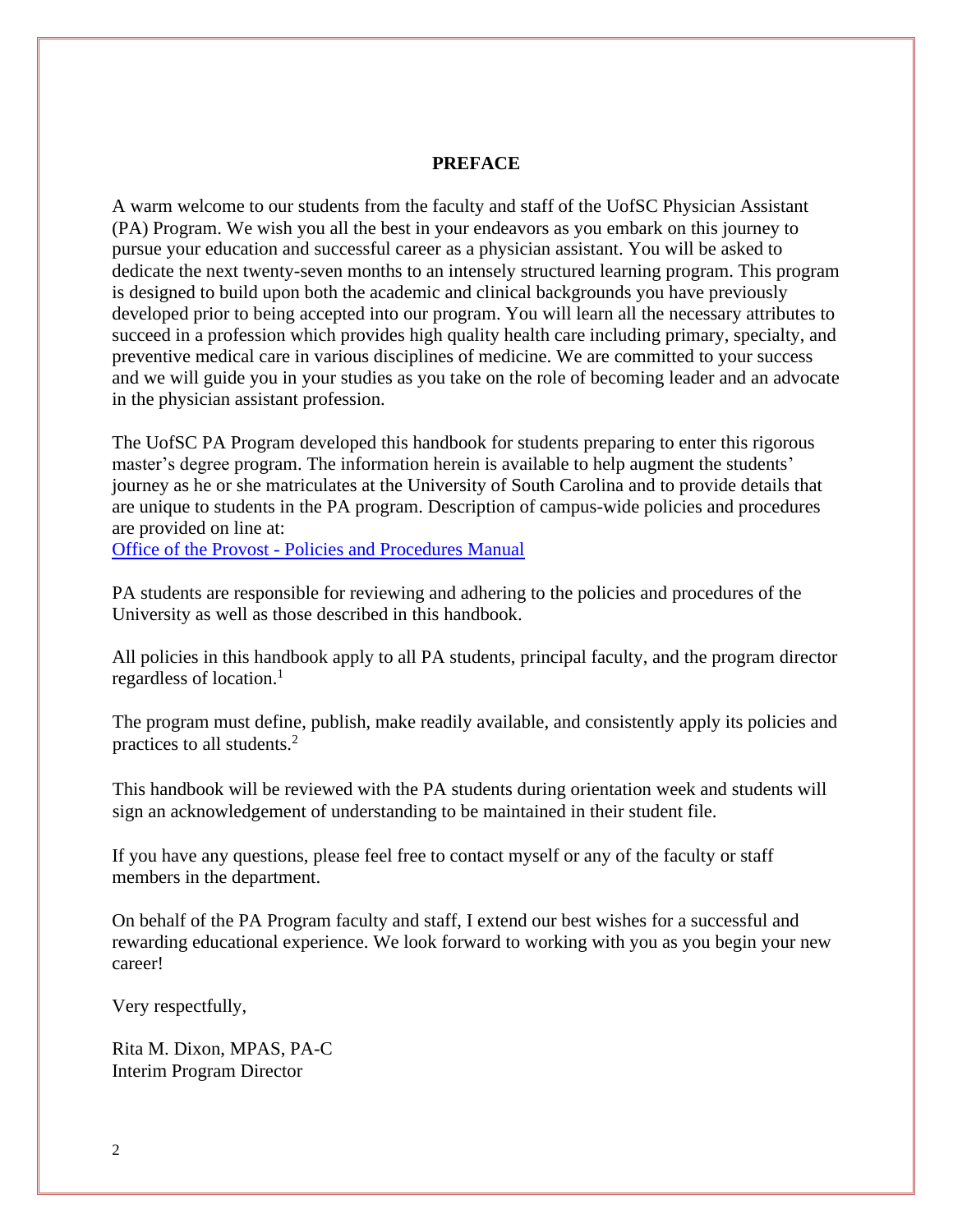#### **PREFACE**

A warm welcome to our students from the faculty and staff of the UofSC Physician Assistant (PA) Program. We wish you all the best in your endeavors as you embark on this journey to pursue your education and successful career as a physician assistant. You will be asked to dedicate the next twenty-seven months to an intensely structured learning program. This program is designed to build upon both the academic and clinical backgrounds you have previously developed prior to being accepted into our program. You will learn all the necessary attributes to succeed in a profession which provides high quality health care including primary, specialty, and preventive medical care in various disciplines of medicine. We are committed to your success and we will guide you in your studies as you take on the role of becoming leader and an advocate in the physician assistant profession.

The UofSC PA Program developed this handbook for students preparing to enter this rigorous master's degree program. The information herein is available to help augment the students' journey as he or she matriculates at the University of South Carolina and to provide details that are unique to students in the PA program. Description of campus-wide policies and procedures are provided on line at:

Office of the Provost - [Policies and Procedures Manual](http://www.sc.edu/policies/policiesbydivision.php)

PA students are responsible for reviewing and adhering to the policies and procedures of the University as well as those described in this handbook.

All policies in this handbook apply to all PA students, principal faculty, and the program director regardless of location. 1

The program must define, publish, make readily available, and consistently apply its policies and practices to all students.<sup>2</sup>

This handbook will be reviewed with the PA students during orientation week and students will sign an acknowledgement of understanding to be maintained in their student file.

If you have any questions, please feel free to contact myself or any of the faculty or staff members in the department.

On behalf of the PA Program faculty and staff, I extend our best wishes for a successful and rewarding educational experience. We look forward to working with you as you begin your new career!

Very respectfully,

Rita M. Dixon, MPAS, PA-C Interim Program Director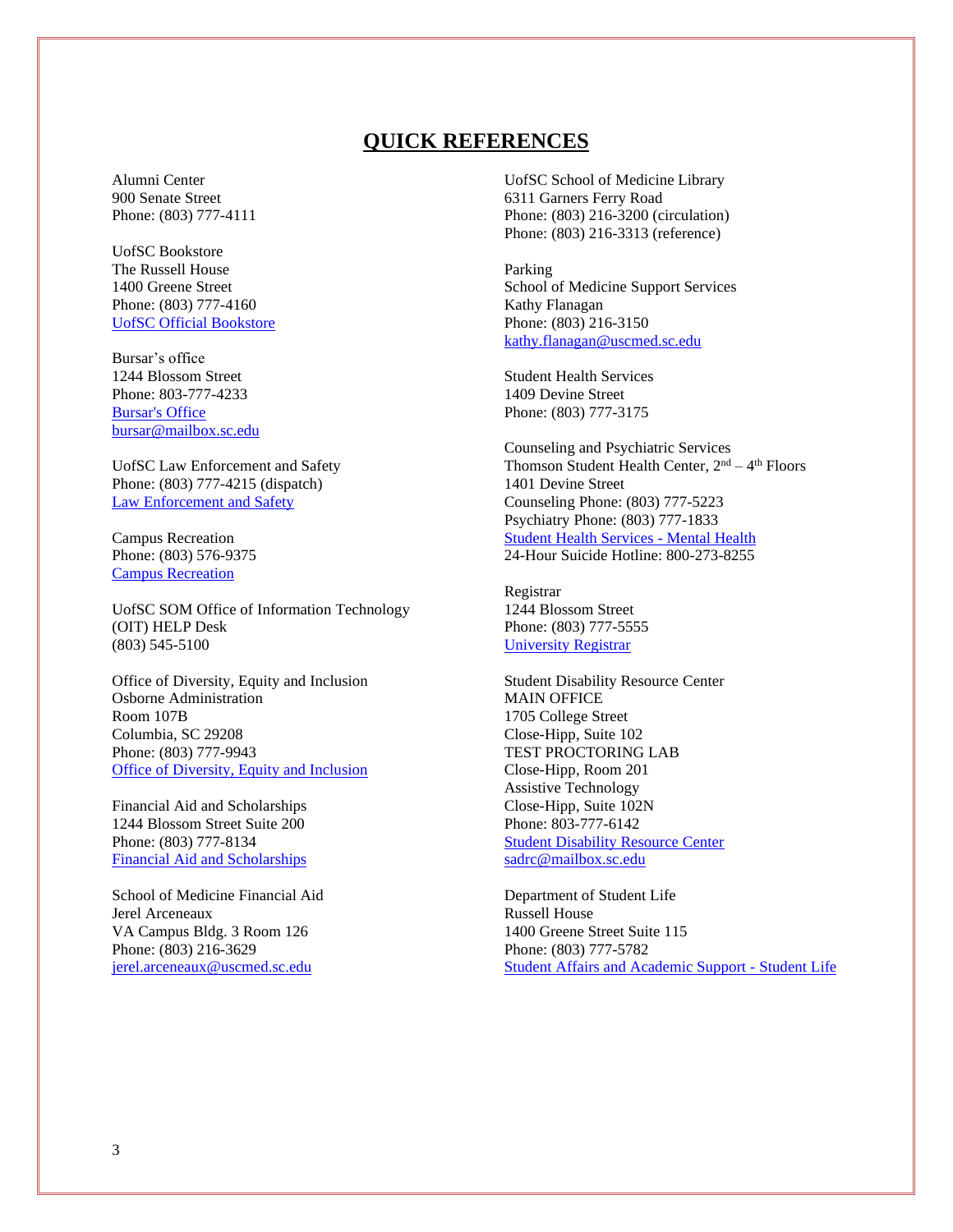### **QUICK REFERENCES**

Alumni Center 900 Senate Street Phone: (803) 777-4111

UofSC Bookstore The Russell House 1400 Greene Street Phone: (803) 777-4160 [UofSC Official Bookstore](https://sc.bncollege.com/shop/sc/home)

Bursar's office 1244 Blossom Street Phone: 803-777-4233 [Bursar's Office](https://www.sc.edu/about/offices_and_divisions/bursar/index.php) [bursar@mailbox.sc.edu](mailto:bursar@mailbox.sc.edu)

UofSC Law Enforcement and Safety Phone: (803) 777-4215 (dispatch) [Law Enforcement](https://www.sc.edu/about/offices_and_divisions/law_enforcement_and_safety/) and Safety

Campus Recreation Phone: (803) 576-9375 [Campus Recreation](https://campusrec.sc.edu/)

UofSC SOM Office of Information Technology (OIT) HELP Desk (803) 545-5100

Office of Diversity, Equity and Inclusion Osborne Administration Room 107B Columbia, SC 29208 Phone: (803) 777-9943 [Office of Diversity, Equity and Inclusion](https://www.sc.edu/about/offices_and_divisions/diversity_equity_and_inclusion/index.php)

Financial Aid and Scholarships 1244 Blossom Street Suite 200 Phone: (803) 777-8134 [Financial Aid and Scholarships](https://sc.edu/about/offices_and_divisions/financial_aid/)

School of Medicine Financial Aid Jerel Arceneaux VA Campus Bldg. 3 Room 126 Phone: (803) 216-3629 [jerel.arceneaux@uscmed.sc.edu](mailto:jerel.arceneaux@uscmed.sc.edu)

UofSC School of Medicine Library 6311 Garners Ferry Road Phone: (803) 216-3200 (circulation) Phone: (803) 216-3313 (reference)

Parking School of Medicine Support Services Kathy Flanagan Phone: (803) 216-3150 [kathy.flanagan@uscmed.sc.edu](mailto:kathy.flanagan@uscmed.sc.edu)

Student Health Services 1409 Devine Street Phone: (803) 777-3175

Counseling and Psychiatric Services Thomson Student Health Center,  $2<sup>nd</sup> - 4<sup>th</sup>$  Floors 1401 Devine Street Counseling Phone: (803) 777-5223 Psychiatry Phone: (803) 777-1833 [Student Health Services -](https://sc.edu/about/offices_and_divisions/student_health_services/mental-health/index.php) Mental Health 24-Hour Suicide Hotline: 800-273-8255

Registrar 1244 Blossom Street Phone: (803) 777-5555 [University Registrar](https://sc.edu/about/offices_and_divisions/registrar/)

Student Disability Resource Center MAIN OFFICE 1705 College Street Close-Hipp, Suite 102 TEST PROCTORING LAB Close-Hipp, Room 201 Assistive Technology Close-Hipp, Suite 102N Phone: 803-777-6142 [Student Disability Resource Center](https://www.sc.edu/about/offices_and_divisions/student_disability_resource_center/index.php) [sadrc@mailbox.sc.edu](mailto:sadrc@mailbox.sc.edu)

Department of Student Life Russell House 1400 Greene Street Suite 115 Phone: (803) 777-5782 [Student Affairs and Academic Support -](https://www.sc.edu/about/offices_and_divisions/student_affairs/our_experts/our_offices/student_life/index.php) Student Life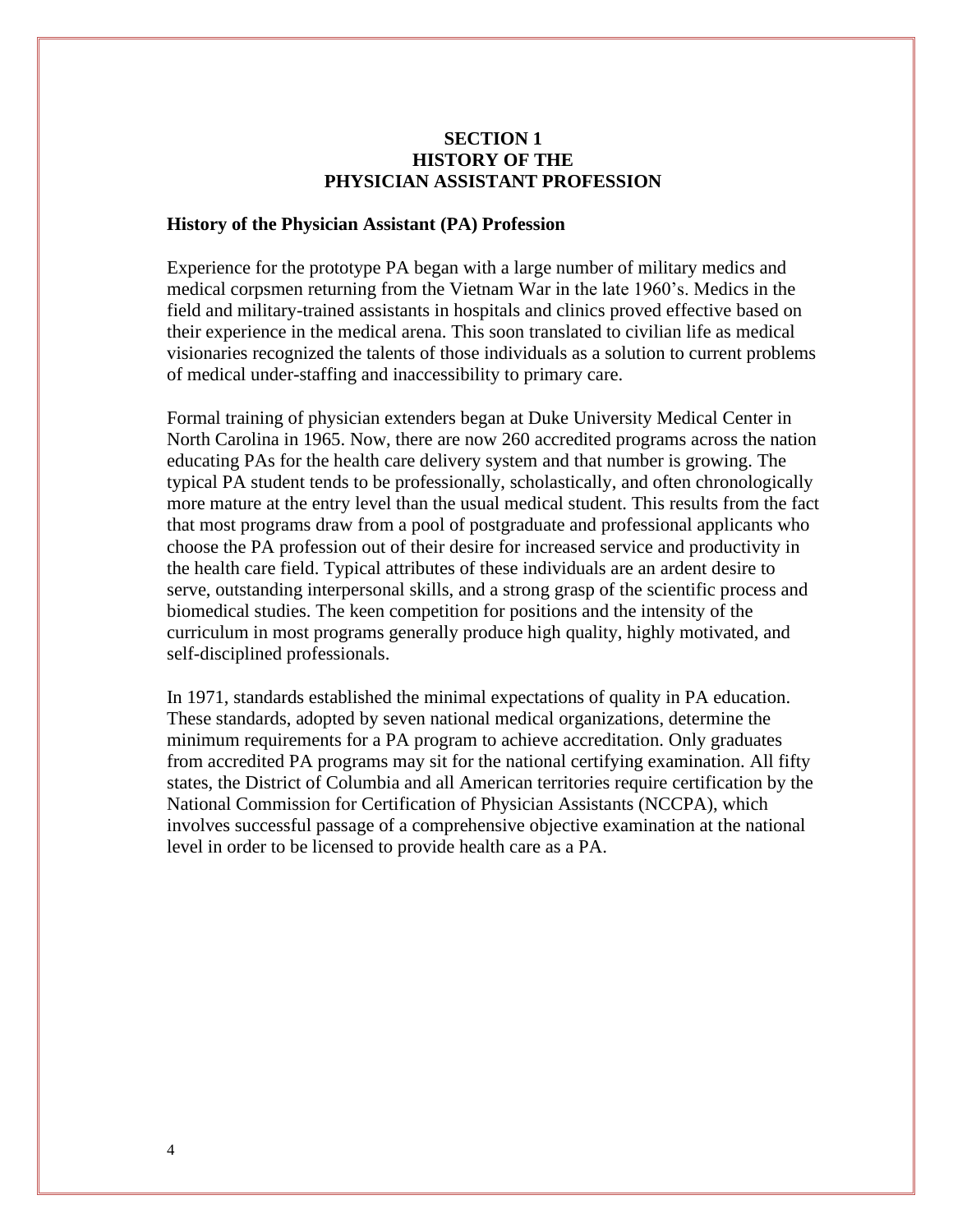#### **SECTION 1 HISTORY OF THE PHYSICIAN ASSISTANT PROFESSION**

#### **History of the Physician Assistant (PA) Profession**

Experience for the prototype PA began with a large number of military medics and medical corpsmen returning from the Vietnam War in the late 1960's. Medics in the field and military-trained assistants in hospitals and clinics proved effective based on their experience in the medical arena. This soon translated to civilian life as medical visionaries recognized the talents of those individuals as a solution to current problems of medical under-staffing and inaccessibility to primary care.

Formal training of physician extenders began at Duke University Medical Center in North Carolina in 1965. Now, there are now 260 accredited programs across the nation educating PAs for the health care delivery system and that number is growing. The typical PA student tends to be professionally, scholastically, and often chronologically more mature at the entry level than the usual medical student. This results from the fact that most programs draw from a pool of postgraduate and professional applicants who choose the PA profession out of their desire for increased service and productivity in the health care field. Typical attributes of these individuals are an ardent desire to serve, outstanding interpersonal skills, and a strong grasp of the scientific process and biomedical studies. The keen competition for positions and the intensity of the curriculum in most programs generally produce high quality, highly motivated, and self-disciplined professionals.

In 1971, standards established the minimal expectations of quality in PA education. These standards, adopted by seven national medical organizations, determine the minimum requirements for a PA program to achieve accreditation. Only graduates from accredited PA programs may sit for the national certifying examination. All fifty states, the District of Columbia and all American territories require certification by the National Commission for Certification of Physician Assistants (NCCPA), which involves successful passage of a comprehensive objective examination at the national level in order to be licensed to provide health care as a PA.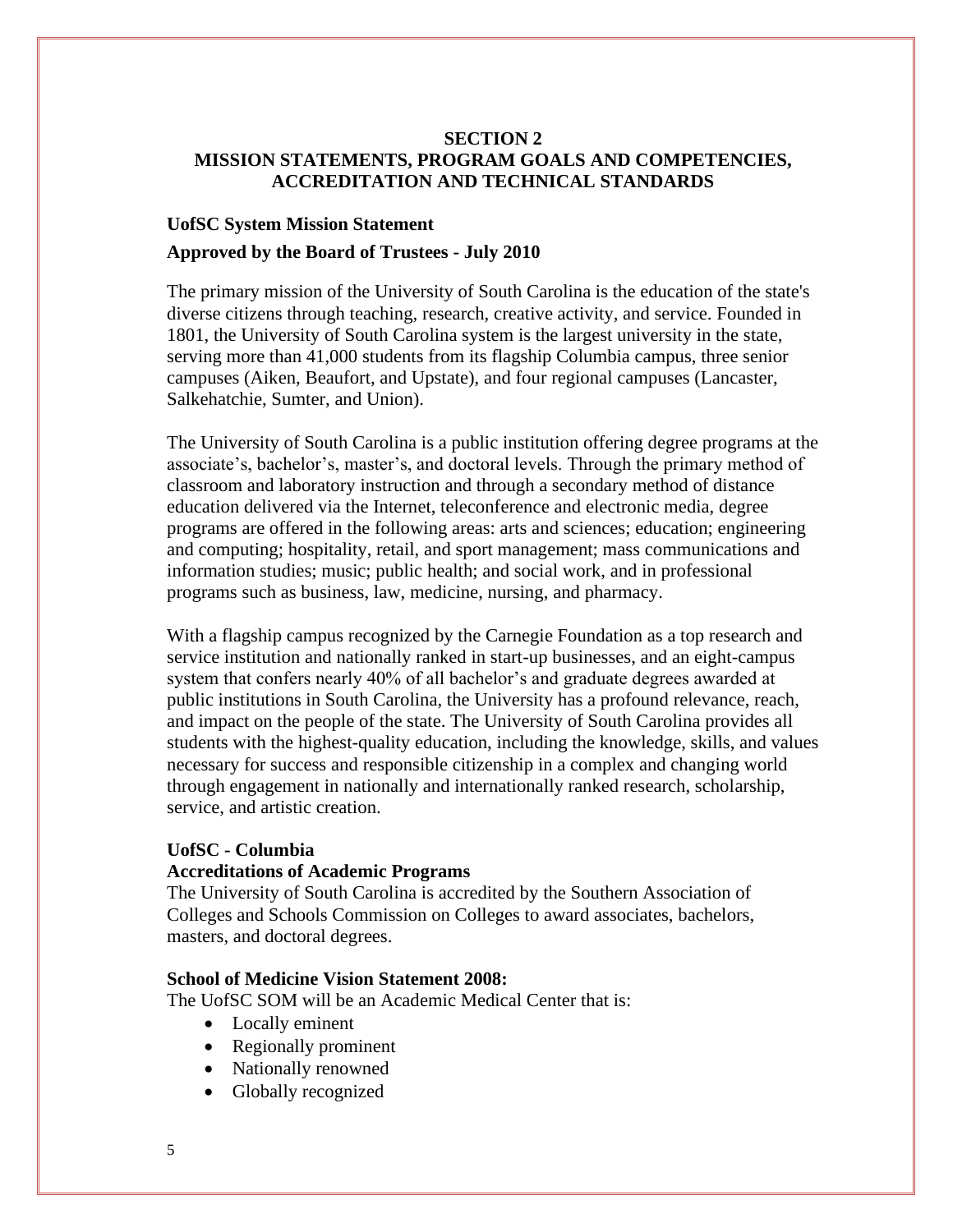#### **SECTION 2 MISSION STATEMENTS, PROGRAM GOALS AND COMPETENCIES, ACCREDITATION AND TECHNICAL STANDARDS**

## **UofSC System Mission Statement Approved by the Board of Trustees - July 2010**

The primary mission of the University of South Carolina is the education of the state's diverse citizens through teaching, research, creative activity, and service. Founded in 1801, the University of South Carolina system is the largest university in the state, serving more than 41,000 students from its flagship Columbia campus, three senior campuses (Aiken, Beaufort, and Upstate), and four regional campuses (Lancaster, Salkehatchie, Sumter, and Union).

The University of South Carolina is a public institution offering degree programs at the associate's, bachelor's, master's, and doctoral levels. Through the primary method of classroom and laboratory instruction and through a secondary method of distance education delivered via the Internet, teleconference and electronic media, degree programs are offered in the following areas: arts and sciences; education; engineering and computing; hospitality, retail, and sport management; mass communications and information studies; music; public health; and social work, and in professional programs such as business, law, medicine, nursing, and pharmacy.

With a flagship campus recognized by the Carnegie Foundation as a top research and service institution and nationally ranked in start-up businesses, and an eight-campus system that confers nearly 40% of all bachelor's and graduate degrees awarded at public institutions in South Carolina, the University has a profound relevance, reach, and impact on the people of the state. The University of South Carolina provides all students with the highest-quality education, including the knowledge, skills, and values necessary for success and responsible citizenship in a complex and changing world through engagement in nationally and internationally ranked research, scholarship, service, and artistic creation.

#### **UofSC - Columbia**

#### **Accreditations of Academic Programs**

The University of South Carolina is accredited by the Southern Association of Colleges and Schools Commission on Colleges to award associates, bachelors, masters, and doctoral degrees.

#### **School of Medicine Vision Statement 2008:**

The UofSC SOM will be an Academic Medical Center that is:

- Locally eminent
- Regionally prominent
- Nationally renowned
- Globally recognized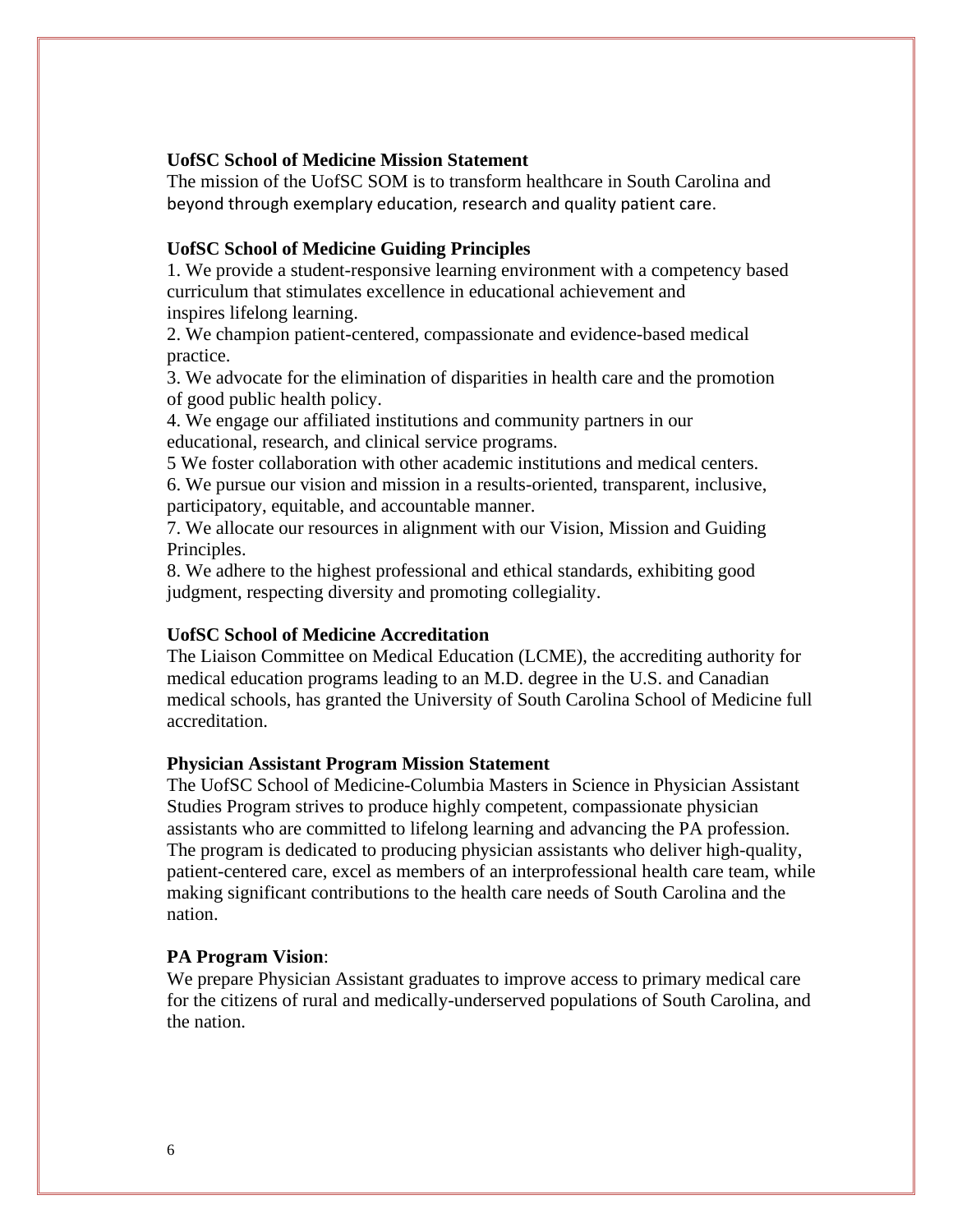#### **UofSC School of Medicine Mission Statement**

The mission of the UofSC SOM is to transform healthcare in South Carolina and beyond through exemplary education, research and quality patient care.

#### **UofSC School of Medicine Guiding Principles**

1. We provide a student-responsive learning environment with a competency based curriculum that stimulates excellence in educational achievement and inspires lifelong learning.

2. We champion patient-centered, compassionate and evidence-based medical practice.

3. We advocate for the elimination of disparities in health care and the promotion of good public health policy.

4. We engage our affiliated institutions and community partners in our educational, research, and clinical service programs.

5 We foster collaboration with other academic institutions and medical centers.

6. We pursue our vision and mission in a results-oriented, transparent, inclusive, participatory, equitable, and accountable manner.

7. We allocate our resources in alignment with our Vision, Mission and Guiding Principles.

8. We adhere to the highest professional and ethical standards, exhibiting good judgment, respecting diversity and promoting collegiality.

#### **UofSC School of Medicine Accreditation**

The Liaison Committee on Medical Education (LCME), the accrediting authority for medical education programs leading to an M.D. degree in the U.S. and Canadian medical schools, has granted the University of South Carolina School of Medicine full accreditation.

#### **Physician Assistant Program Mission Statement**

The UofSC School of Medicine-Columbia Masters in Science in Physician Assistant Studies Program strives to produce highly competent, compassionate physician assistants who are committed to lifelong learning and advancing the PA profession. The program is dedicated to producing physician assistants who deliver high-quality, patient-centered care, excel as members of an interprofessional health care team, while making significant contributions to the health care needs of South Carolina and the nation.

#### **PA Program Vision**:

We prepare Physician Assistant graduates to improve access to primary medical care for the citizens of rural and medically-underserved populations of South Carolina, and the nation.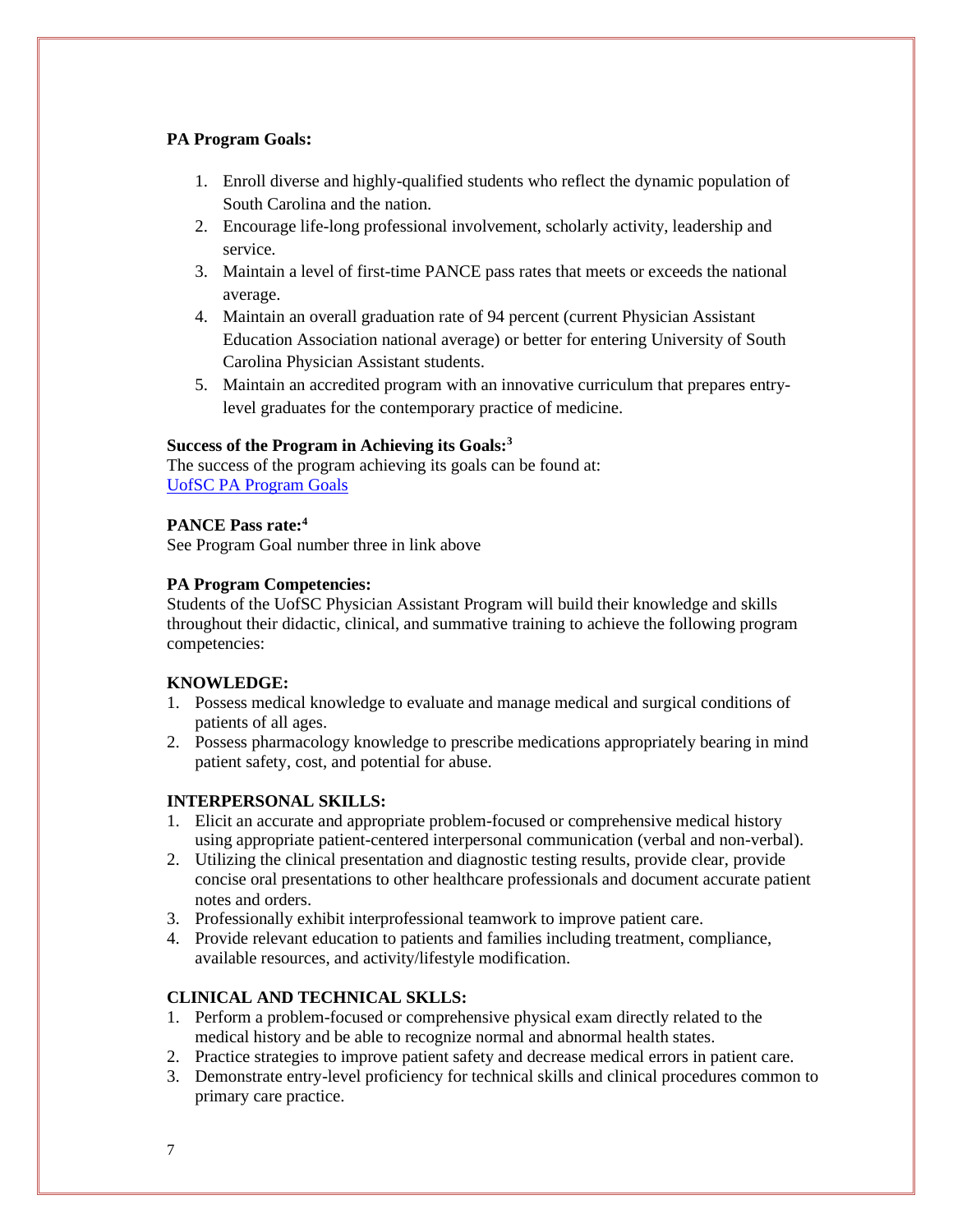#### **PA Program Goals:**

- 1. Enroll diverse and highly-qualified students who reflect the dynamic population of South Carolina and the nation.
- 2. Encourage life-long professional involvement, scholarly activity, leadership and service.
- 3. Maintain a level of first-time PANCE pass rates that meets or exceeds the national average.
- 4. Maintain an overall graduation rate of 94 percent (current Physician Assistant Education Association national average) or better for entering University of South Carolina Physician Assistant students.
- 5. Maintain an accredited program with an innovative curriculum that prepares entrylevel graduates for the contemporary practice of medicine.

#### **Success of the Program in Achieving its Goals:<sup>3</sup>**

The success of the program achieving its goals can be found at: [UofSC PA Program Goals](https://www.sc.edu/study/colleges_schools/medicine/documents/pa_program_goals_2020.pdf)

#### **PANCE Pass rate:<sup>4</sup>**

See Program Goal number three in link above

#### **PA Program Competencies:**

Students of the UofSC Physician Assistant Program will build their knowledge and skills throughout their didactic, clinical, and summative training to achieve the following program competencies:

#### **KNOWLEDGE:**

- 1. Possess medical knowledge to evaluate and manage medical and surgical conditions of patients of all ages.
- 2. Possess pharmacology knowledge to prescribe medications appropriately bearing in mind patient safety, cost, and potential for abuse.

#### **INTERPERSONAL SKILLS:**

- 1. Elicit an accurate and appropriate problem-focused or comprehensive medical history using appropriate patient-centered interpersonal communication (verbal and non-verbal).
- 2. Utilizing the clinical presentation and diagnostic testing results, provide clear, provide concise oral presentations to other healthcare professionals and document accurate patient notes and orders.
- 3. Professionally exhibit interprofessional teamwork to improve patient care.
- 4. Provide relevant education to patients and families including treatment, compliance, available resources, and activity/lifestyle modification.

#### **CLINICAL AND TECHNICAL SKLLS:**

- 1. Perform a problem-focused or comprehensive physical exam directly related to the medical history and be able to recognize normal and abnormal health states.
- 2. Practice strategies to improve patient safety and decrease medical errors in patient care.
- 3. Demonstrate entry-level proficiency for technical skills and clinical procedures common to primary care practice.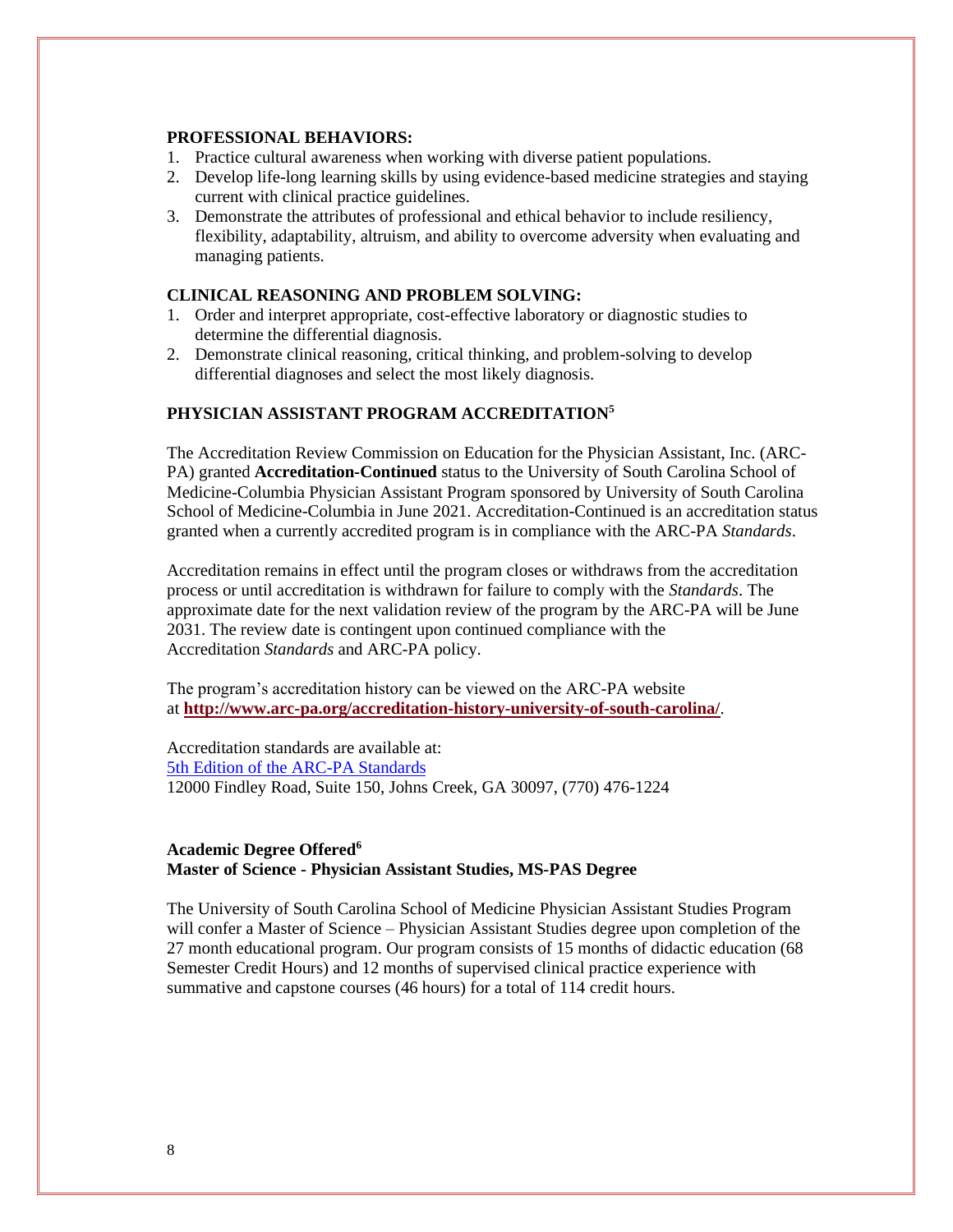#### **PROFESSIONAL BEHAVIORS:**

- 1. Practice cultural awareness when working with diverse patient populations.
- 2. Develop life-long learning skills by using evidence-based medicine strategies and staying current with clinical practice guidelines.
- 3. Demonstrate the attributes of professional and ethical behavior to include resiliency, flexibility, adaptability, altruism, and ability to overcome adversity when evaluating and managing patients.

#### **CLINICAL REASONING AND PROBLEM SOLVING:**

- 1. Order and interpret appropriate, cost-effective laboratory or diagnostic studies to determine the differential diagnosis.
- 2. Demonstrate clinical reasoning, critical thinking, and problem-solving to develop differential diagnoses and select the most likely diagnosis.

#### **PHYSICIAN ASSISTANT PROGRAM ACCREDITATION<sup>5</sup>**

The Accreditation Review Commission on Education for the Physician Assistant, Inc. (ARC-PA) granted **Accreditation-Continued** status to the University of South Carolina School of Medicine-Columbia Physician Assistant Program sponsored by University of South Carolina School of Medicine-Columbia in June 2021. Accreditation-Continued is an accreditation status granted when a currently accredited program is in compliance with the ARC-PA *Standards*.

Accreditation remains in effect until the program closes or withdraws from the accreditation process or until accreditation is withdrawn for failure to comply with the *Standards*. The approximate date for the next validation review of the program by the ARC-PA will be June 2031. The review date is contingent upon continued compliance with the Accreditation *Standards* and ARC-PA policy.

The program's accreditation history can be viewed on the ARC-PA website at **<http://www.arc-pa.org/accreditation-history-university-of-south-carolina/>**.

Accreditation standards are available at: [5th Edition of the ARC-PA Standards](http://www.arc-pa.org/wp-content/uploads/2020/10/Standards-5th-Ed-Sept-2020.pdf) 12000 Findley Road, Suite 150, Johns Creek, GA 30097, (770) 476-1224

#### **Academic Degree Offered<sup>6</sup> Master of Science - Physician Assistant Studies, MS-PAS Degree**

The University of South Carolina School of Medicine Physician Assistant Studies Program will confer a Master of Science – Physician Assistant Studies degree upon completion of the 27 month educational program. Our program consists of 15 months of didactic education (68 Semester Credit Hours) and 12 months of supervised clinical practice experience with summative and capstone courses (46 hours) for a total of 114 credit hours.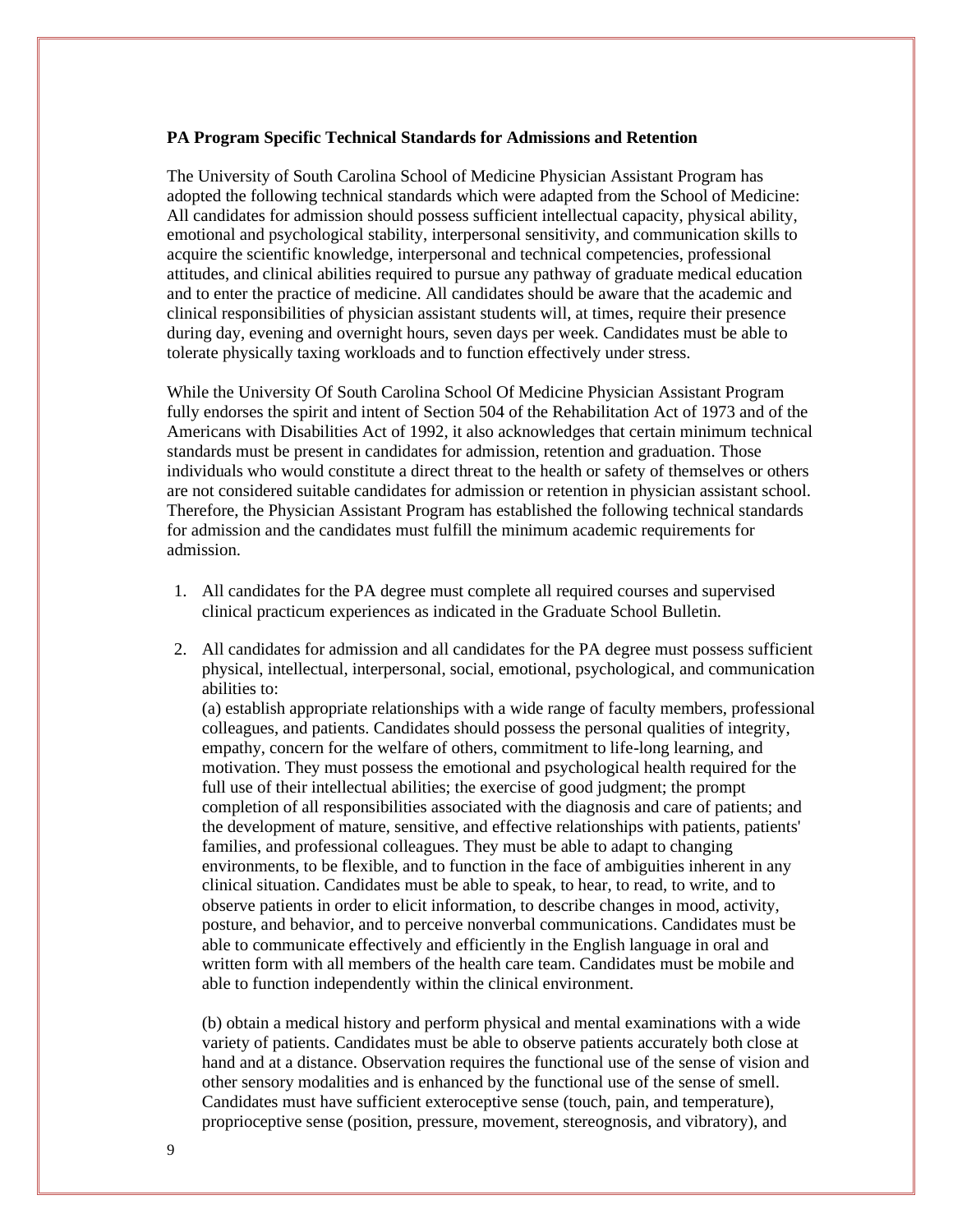#### **PA Program Specific Technical Standards for Admissions and Retention**

The University of South Carolina School of Medicine Physician Assistant Program has adopted the following technical standards which were adapted from the School of Medicine: All candidates for admission should possess sufficient intellectual capacity, physical ability, emotional and psychological stability, interpersonal sensitivity, and communication skills to acquire the scientific knowledge, interpersonal and technical competencies, professional attitudes, and clinical abilities required to pursue any pathway of graduate medical education and to enter the practice of medicine. All candidates should be aware that the academic and clinical responsibilities of physician assistant students will, at times, require their presence during day, evening and overnight hours, seven days per week. Candidates must be able to tolerate physically taxing workloads and to function effectively under stress.

While the University Of South Carolina School Of Medicine Physician Assistant Program fully endorses the spirit and intent of Section 504 of the Rehabilitation Act of 1973 and of the Americans with Disabilities Act of 1992, it also acknowledges that certain minimum technical standards must be present in candidates for admission, retention and graduation. Those individuals who would constitute a direct threat to the health or safety of themselves or others are not considered suitable candidates for admission or retention in physician assistant school. Therefore, the Physician Assistant Program has established the following technical standards for admission and the candidates must fulfill the minimum academic requirements for admission.

- 1. All candidates for the PA degree must complete all required courses and supervised clinical practicum experiences as indicated in the Graduate School Bulletin.
- 2. All candidates for admission and all candidates for the PA degree must possess sufficient physical, intellectual, interpersonal, social, emotional, psychological, and communication abilities to:

(a) establish appropriate relationships with a wide range of faculty members, professional colleagues, and patients. Candidates should possess the personal qualities of integrity, empathy, concern for the welfare of others, commitment to life-long learning, and motivation. They must possess the emotional and psychological health required for the full use of their intellectual abilities; the exercise of good judgment; the prompt completion of all responsibilities associated with the diagnosis and care of patients; and the development of mature, sensitive, and effective relationships with patients, patients' families, and professional colleagues. They must be able to adapt to changing environments, to be flexible, and to function in the face of ambiguities inherent in any clinical situation. Candidates must be able to speak, to hear, to read, to write, and to observe patients in order to elicit information, to describe changes in mood, activity, posture, and behavior, and to perceive nonverbal communications. Candidates must be able to communicate effectively and efficiently in the English language in oral and written form with all members of the health care team. Candidates must be mobile and able to function independently within the clinical environment.

(b) obtain a medical history and perform physical and mental examinations with a wide variety of patients. Candidates must be able to observe patients accurately both close at hand and at a distance. Observation requires the functional use of the sense of vision and other sensory modalities and is enhanced by the functional use of the sense of smell. Candidates must have sufficient exteroceptive sense (touch, pain, and temperature), proprioceptive sense (position, pressure, movement, stereognosis, and vibratory), and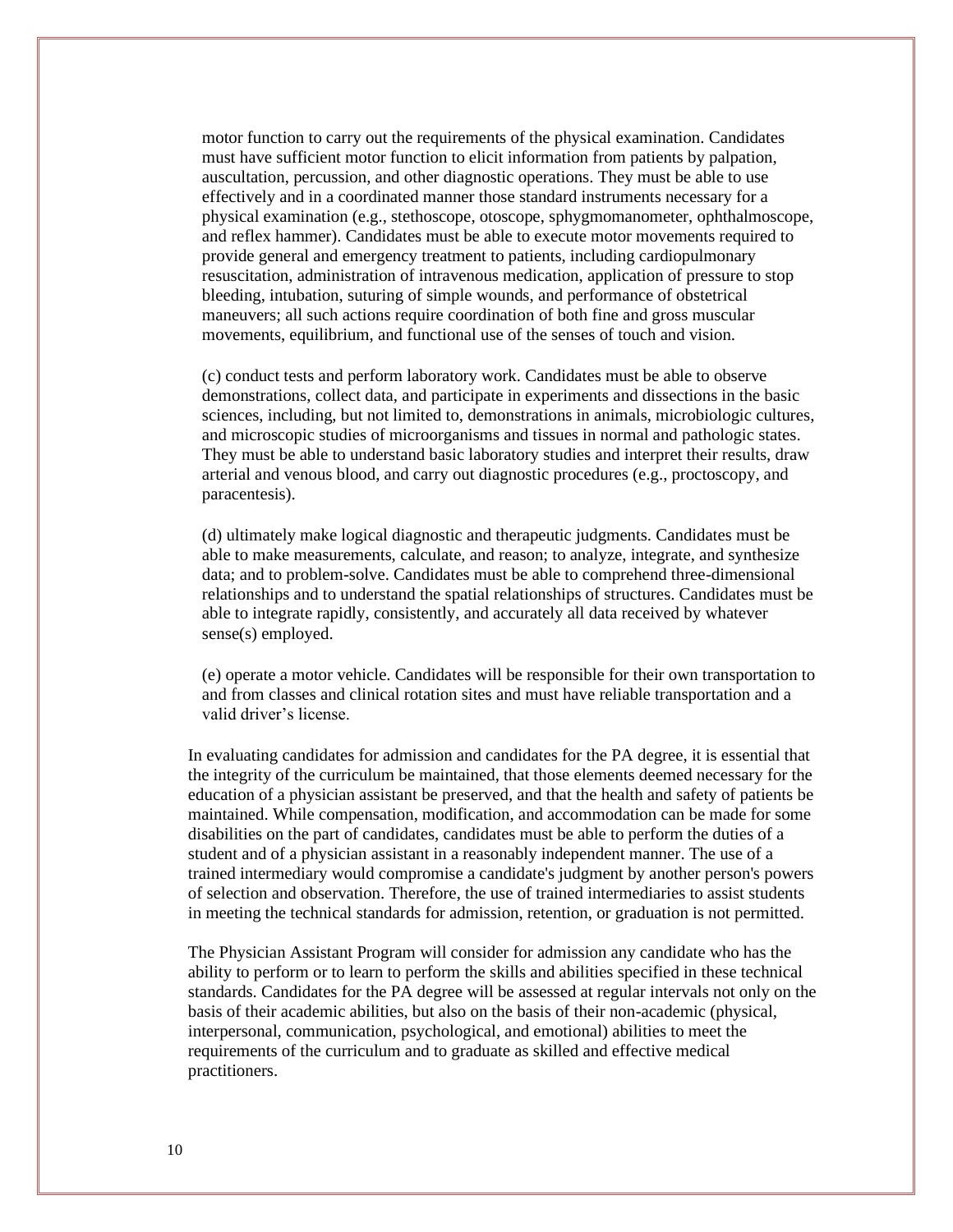motor function to carry out the requirements of the physical examination. Candidates must have sufficient motor function to elicit information from patients by palpation, auscultation, percussion, and other diagnostic operations. They must be able to use effectively and in a coordinated manner those standard instruments necessary for a physical examination (e.g., stethoscope, otoscope, sphygmomanometer, ophthalmoscope, and reflex hammer). Candidates must be able to execute motor movements required to provide general and emergency treatment to patients, including cardiopulmonary resuscitation, administration of intravenous medication, application of pressure to stop bleeding, intubation, suturing of simple wounds, and performance of obstetrical maneuvers; all such actions require coordination of both fine and gross muscular movements, equilibrium, and functional use of the senses of touch and vision.

(c) conduct tests and perform laboratory work. Candidates must be able to observe demonstrations, collect data, and participate in experiments and dissections in the basic sciences, including, but not limited to, demonstrations in animals, microbiologic cultures, and microscopic studies of microorganisms and tissues in normal and pathologic states. They must be able to understand basic laboratory studies and interpret their results, draw arterial and venous blood, and carry out diagnostic procedures (e.g., proctoscopy, and paracentesis).

(d) ultimately make logical diagnostic and therapeutic judgments. Candidates must be able to make measurements, calculate, and reason; to analyze, integrate, and synthesize data; and to problem-solve. Candidates must be able to comprehend three-dimensional relationships and to understand the spatial relationships of structures. Candidates must be able to integrate rapidly, consistently, and accurately all data received by whatever sense(s) employed.

(e) operate a motor vehicle. Candidates will be responsible for their own transportation to and from classes and clinical rotation sites and must have reliable transportation and a valid driver's license.

In evaluating candidates for admission and candidates for the PA degree, it is essential that the integrity of the curriculum be maintained, that those elements deemed necessary for the education of a physician assistant be preserved, and that the health and safety of patients be maintained. While compensation, modification, and accommodation can be made for some disabilities on the part of candidates, candidates must be able to perform the duties of a student and of a physician assistant in a reasonably independent manner. The use of a trained intermediary would compromise a candidate's judgment by another person's powers of selection and observation. Therefore, the use of trained intermediaries to assist students in meeting the technical standards for admission, retention, or graduation is not permitted.

The Physician Assistant Program will consider for admission any candidate who has the ability to perform or to learn to perform the skills and abilities specified in these technical standards. Candidates for the PA degree will be assessed at regular intervals not only on the basis of their academic abilities, but also on the basis of their non-academic (physical, interpersonal, communication, psychological, and emotional) abilities to meet the requirements of the curriculum and to graduate as skilled and effective medical practitioners.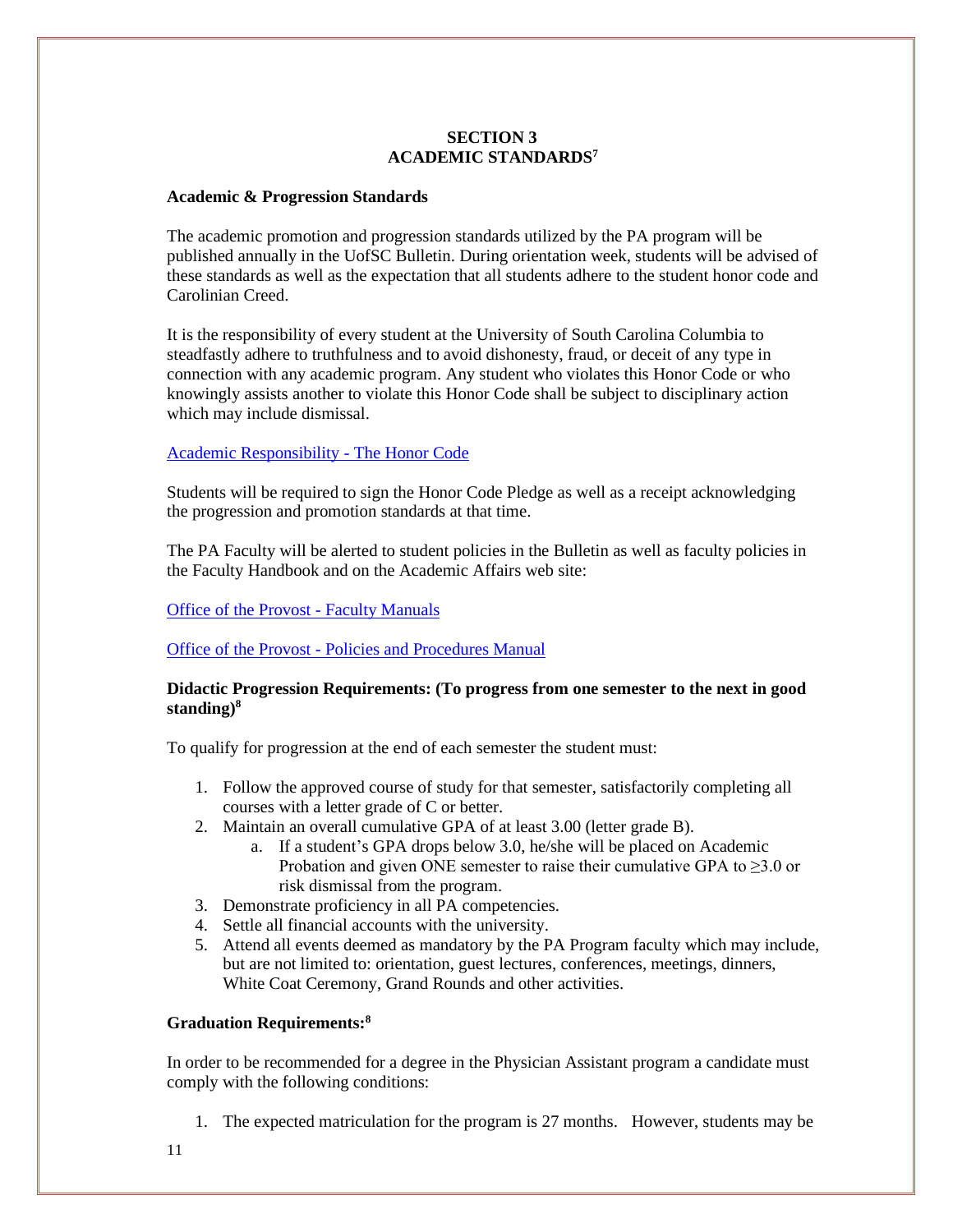#### **SECTION 3 ACADEMIC STANDARDS<sup>7</sup>**

#### **Academic & Progression Standards**

The academic promotion and progression standards utilized by the PA program will be published annually in the UofSC Bulletin. During orientation week, students will be advised of these standards as well as the expectation that all students adhere to the student honor code and Carolinian Creed.

It is the responsibility of every student at the University of South Carolina Columbia to steadfastly adhere to truthfulness and to avoid dishonesty, fraud, or deceit of any type in connection with any academic program. Any student who violates this Honor Code or who knowingly assists another to violate this Honor Code shall be subject to disciplinary action which may include dismissal.

#### Academic Responsibility - [The Honor Code](http://www.sc.edu/policies/ppm/staf625.pdf)

Students will be required to sign the Honor Code Pledge as well as a receipt acknowledging the progression and promotion standards at that time.

The PA Faculty will be alerted to student policies in the Bulletin as well as faculty policies in the Faculty Handbook and on the Academic Affairs web site:

#### [Office of the Provost -](http://www.sc.edu/policies/facman/Faculty_Manual_Columbia.pdf) Faculty Manuals

#### Office of the Provost - [Policies and Procedures Manual](http://www.sc.edu/policies/policiesbydivision.php)

#### **Didactic Progression Requirements: (To progress from one semester to the next in good standing) 8**

To qualify for progression at the end of each semester the student must:

- 1. Follow the approved course of study for that semester, satisfactorily completing all courses with a letter grade of C or better.
- 2. Maintain an overall cumulative GPA of at least 3.00 (letter grade B).
	- a. If a student's GPA drops below 3.0, he/she will be placed on Academic Probation and given ONE semester to raise their cumulative GPA to  $\geq 3.0$  or risk dismissal from the program.
- 3. Demonstrate proficiency in all PA competencies.
- 4. Settle all financial accounts with the university.
- 5. Attend all events deemed as mandatory by the PA Program faculty which may include, but are not limited to: orientation, guest lectures, conferences, meetings, dinners, White Coat Ceremony, Grand Rounds and other activities.

#### **Graduation Requirements:<sup>8</sup>**

In order to be recommended for a degree in the Physician Assistant program a candidate must comply with the following conditions:

1. The expected matriculation for the program is 27 months. However, students may be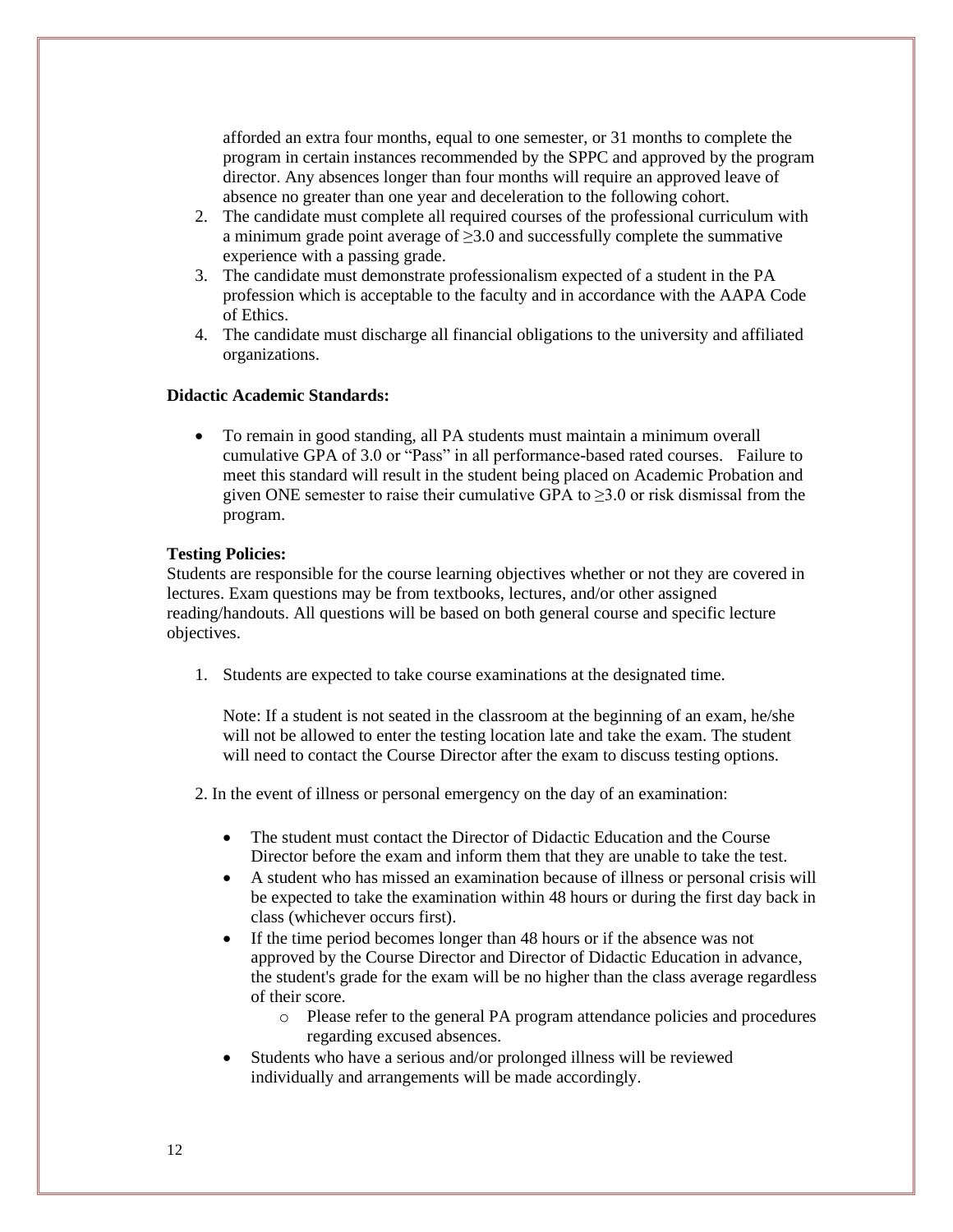afforded an extra four months, equal to one semester, or 31 months to complete the program in certain instances recommended by the SPPC and approved by the program director. Any absences longer than four months will require an approved leave of absence no greater than one year and deceleration to the following cohort.

- 2. The candidate must complete all required courses of the professional curriculum with a minimum grade point average of ≥3.0 and successfully complete the summative experience with a passing grade.
- 3. The candidate must demonstrate professionalism expected of a student in the PA profession which is acceptable to the faculty and in accordance with the AAPA Code of Ethics.
- 4. The candidate must discharge all financial obligations to the university and affiliated organizations.

#### **Didactic Academic Standards:**

• To remain in good standing, all PA students must maintain a minimum overall cumulative GPA of 3.0 or "Pass" in all performance-based rated courses. Failure to meet this standard will result in the student being placed on Academic Probation and given ONE semester to raise their cumulative GPA to  $\geq 3.0$  or risk dismissal from the program.

#### **Testing Policies:**

Students are responsible for the course learning objectives whether or not they are covered in lectures. Exam questions may be from textbooks, lectures, and/or other assigned reading/handouts. All questions will be based on both general course and specific lecture objectives.

1. Students are expected to take course examinations at the designated time.

Note: If a student is not seated in the classroom at the beginning of an exam, he/she will not be allowed to enter the testing location late and take the exam. The student will need to contact the Course Director after the exam to discuss testing options.

2. In the event of illness or personal emergency on the day of an examination:

- The student must contact the Director of Didactic Education and the Course Director before the exam and inform them that they are unable to take the test.
- A student who has missed an examination because of illness or personal crisis will be expected to take the examination within 48 hours or during the first day back in class (whichever occurs first).
- If the time period becomes longer than 48 hours or if the absence was not approved by the Course Director and Director of Didactic Education in advance, the student's grade for the exam will be no higher than the class average regardless of their score.
	- o Please refer to the general PA program attendance policies and procedures regarding excused absences.
- Students who have a serious and/or prolonged illness will be reviewed individually and arrangements will be made accordingly.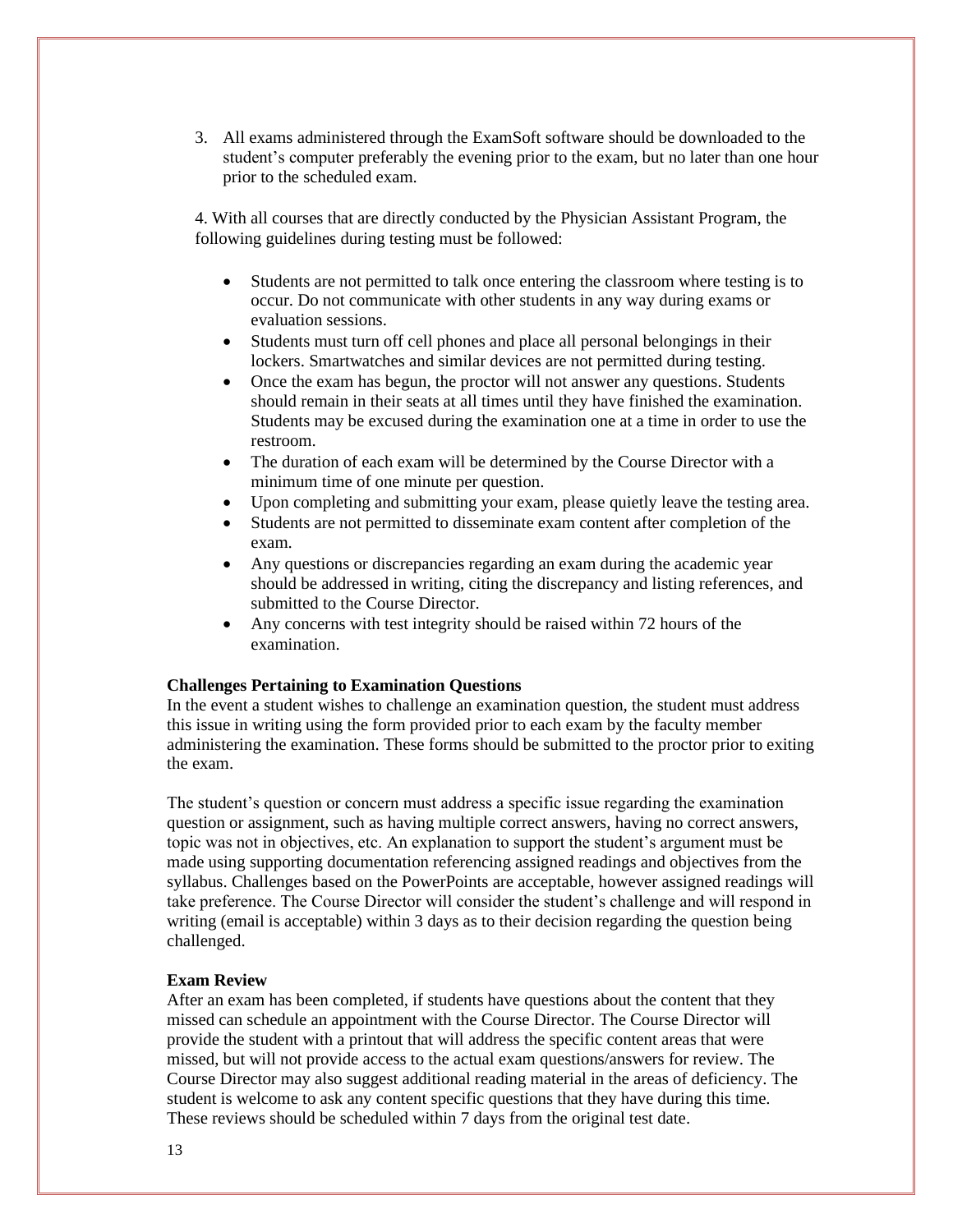3. All exams administered through the ExamSoft software should be downloaded to the student's computer preferably the evening prior to the exam, but no later than one hour prior to the scheduled exam.

4. With all courses that are directly conducted by the Physician Assistant Program, the following guidelines during testing must be followed:

- Students are not permitted to talk once entering the classroom where testing is to occur. Do not communicate with other students in any way during exams or evaluation sessions.
- Students must turn off cell phones and place all personal belongings in their lockers. Smartwatches and similar devices are not permitted during testing.
- Once the exam has begun, the proctor will not answer any questions. Students should remain in their seats at all times until they have finished the examination. Students may be excused during the examination one at a time in order to use the restroom.
- The duration of each exam will be determined by the Course Director with a minimum time of one minute per question.
- Upon completing and submitting your exam, please quietly leave the testing area.
- Students are not permitted to disseminate exam content after completion of the exam.
- Any questions or discrepancies regarding an exam during the academic year should be addressed in writing, citing the discrepancy and listing references, and submitted to the Course Director.
- Any concerns with test integrity should be raised within 72 hours of the examination.

#### **Challenges Pertaining to Examination Questions**

In the event a student wishes to challenge an examination question, the student must address this issue in writing using the form provided prior to each exam by the faculty member administering the examination. These forms should be submitted to the proctor prior to exiting the exam.

The student's question or concern must address a specific issue regarding the examination question or assignment, such as having multiple correct answers, having no correct answers, topic was not in objectives, etc. An explanation to support the student's argument must be made using supporting documentation referencing assigned readings and objectives from the syllabus. Challenges based on the PowerPoints are acceptable, however assigned readings will take preference. The Course Director will consider the student's challenge and will respond in writing (email is acceptable) within 3 days as to their decision regarding the question being challenged.

#### **Exam Review**

After an exam has been completed, if students have questions about the content that they missed can schedule an appointment with the Course Director. The Course Director will provide the student with a printout that will address the specific content areas that were missed, but will not provide access to the actual exam questions/answers for review. The Course Director may also suggest additional reading material in the areas of deficiency. The student is welcome to ask any content specific questions that they have during this time. These reviews should be scheduled within 7 days from the original test date.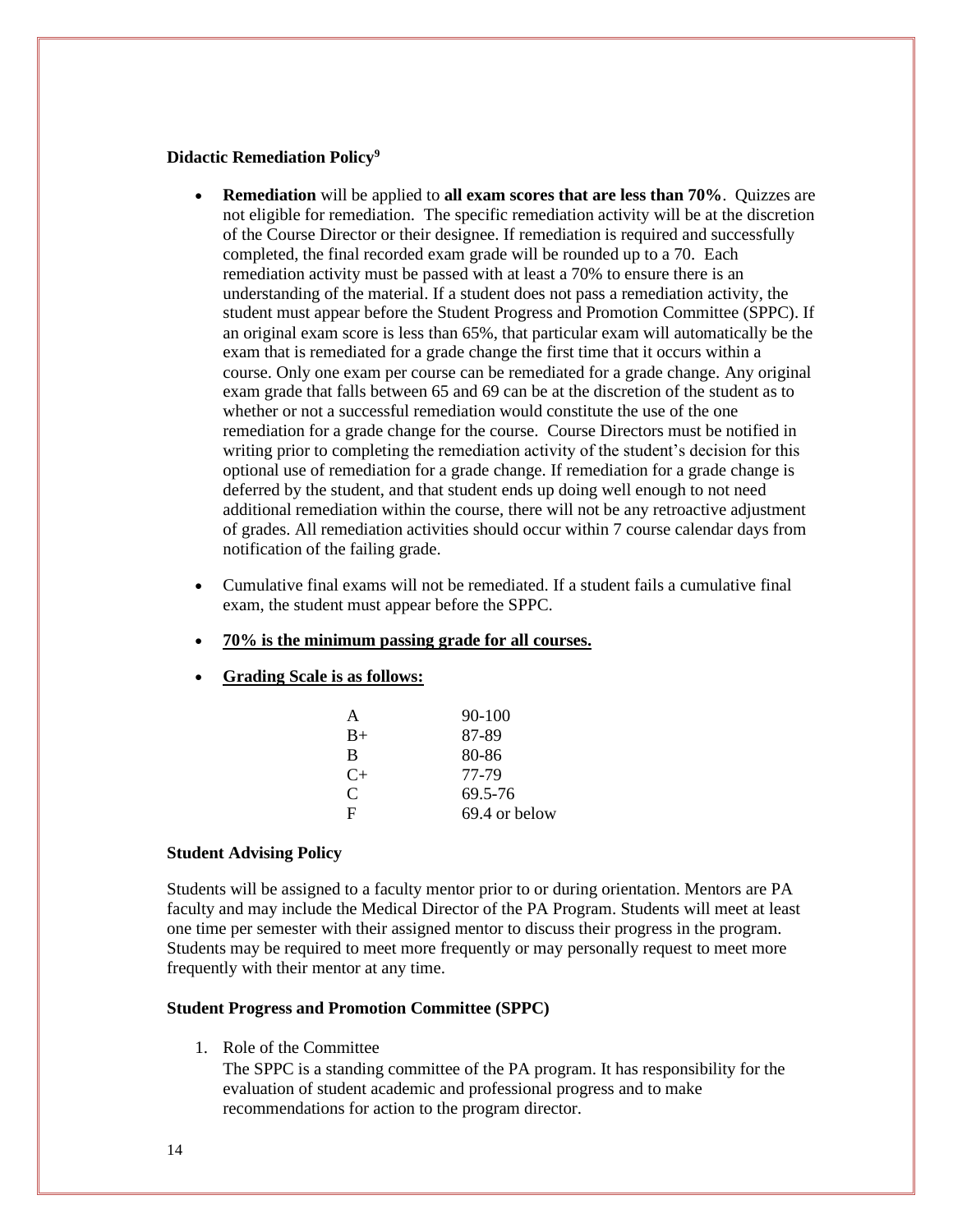#### **Didactic Remediation Policy<sup>9</sup>**

- **Remediation** will be applied to **all exam scores that are less than 70%**. Quizzes are not eligible for remediation. The specific remediation activity will be at the discretion of the Course Director or their designee. If remediation is required and successfully completed, the final recorded exam grade will be rounded up to a 70. Each remediation activity must be passed with at least a 70% to ensure there is an understanding of the material. If a student does not pass a remediation activity, the student must appear before the Student Progress and Promotion Committee (SPPC). If an original exam score is less than 65%, that particular exam will automatically be the exam that is remediated for a grade change the first time that it occurs within a course. Only one exam per course can be remediated for a grade change. Any original exam grade that falls between 65 and 69 can be at the discretion of the student as to whether or not a successful remediation would constitute the use of the one remediation for a grade change for the course. Course Directors must be notified in writing prior to completing the remediation activity of the student's decision for this optional use of remediation for a grade change. If remediation for a grade change is deferred by the student, and that student ends up doing well enough to not need additional remediation within the course, there will not be any retroactive adjustment of grades. All remediation activities should occur within 7 course calendar days from notification of the failing grade.
- Cumulative final exams will not be remediated. If a student fails a cumulative final exam, the student must appear before the SPPC.
- **70% is the minimum passing grade for all courses.**
- **Grading Scale is as follows:**

| A         | $90 - 100$    |
|-----------|---------------|
| $B+$      | 87-89         |
| B         | 80-86         |
| $C_{\pm}$ | 77-79         |
| C         | 69.5-76       |
| F         | 69.4 or below |

#### **Student Advising Policy**

Students will be assigned to a faculty mentor prior to or during orientation. Mentors are PA faculty and may include the Medical Director of the PA Program. Students will meet at least one time per semester with their assigned mentor to discuss their progress in the program. Students may be required to meet more frequently or may personally request to meet more frequently with their mentor at any time.

#### **Student Progress and Promotion Committee (SPPC)**

1. Role of the Committee

The SPPC is a standing committee of the PA program. It has responsibility for the evaluation of student academic and professional progress and to make recommendations for action to the program director.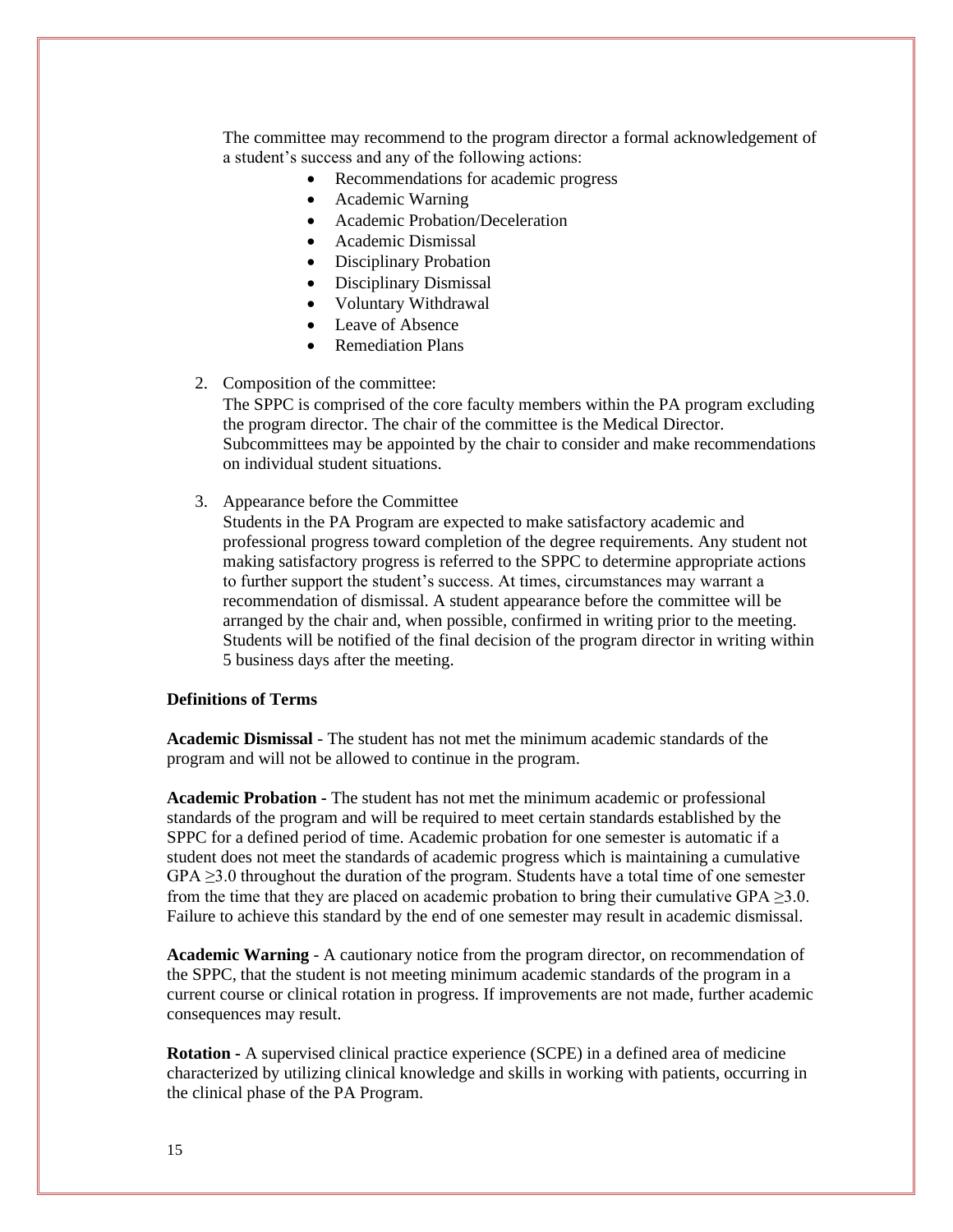The committee may recommend to the program director a formal acknowledgement of a student's success and any of the following actions:

- Recommendations for academic progress
- Academic Warning
- Academic Probation/Deceleration
- Academic Dismissal
- Disciplinary Probation
- Disciplinary Dismissal
- Voluntary Withdrawal
- Leave of Absence
- Remediation Plans

#### 2. Composition of the committee:

The SPPC is comprised of the core faculty members within the PA program excluding the program director. The chair of the committee is the Medical Director. Subcommittees may be appointed by the chair to consider and make recommendations on individual student situations.

3. Appearance before the Committee

Students in the PA Program are expected to make satisfactory academic and professional progress toward completion of the degree requirements. Any student not making satisfactory progress is referred to the SPPC to determine appropriate actions to further support the student's success. At times, circumstances may warrant a recommendation of dismissal. A student appearance before the committee will be arranged by the chair and, when possible, confirmed in writing prior to the meeting. Students will be notified of the final decision of the program director in writing within 5 business days after the meeting.

#### **Definitions of Terms**

**Academic Dismissal** - The student has not met the minimum academic standards of the program and will not be allowed to continue in the program.

**Academic Probation -** The student has not met the minimum academic or professional standards of the program and will be required to meet certain standards established by the SPPC for a defined period of time. Academic probation for one semester is automatic if a student does not meet the standards of academic progress which is maintaining a cumulative  $GPA \geq 3.0$  throughout the duration of the program. Students have a total time of one semester from the time that they are placed on academic probation to bring their cumulative GPA  $\geq$ 3.0. Failure to achieve this standard by the end of one semester may result in academic dismissal.

**Academic Warning** - A cautionary notice from the program director, on recommendation of the SPPC, that the student is not meeting minimum academic standards of the program in a current course or clinical rotation in progress. If improvements are not made, further academic consequences may result.

**Rotation -** A supervised clinical practice experience (SCPE) in a defined area of medicine characterized by utilizing clinical knowledge and skills in working with patients, occurring in the clinical phase of the PA Program.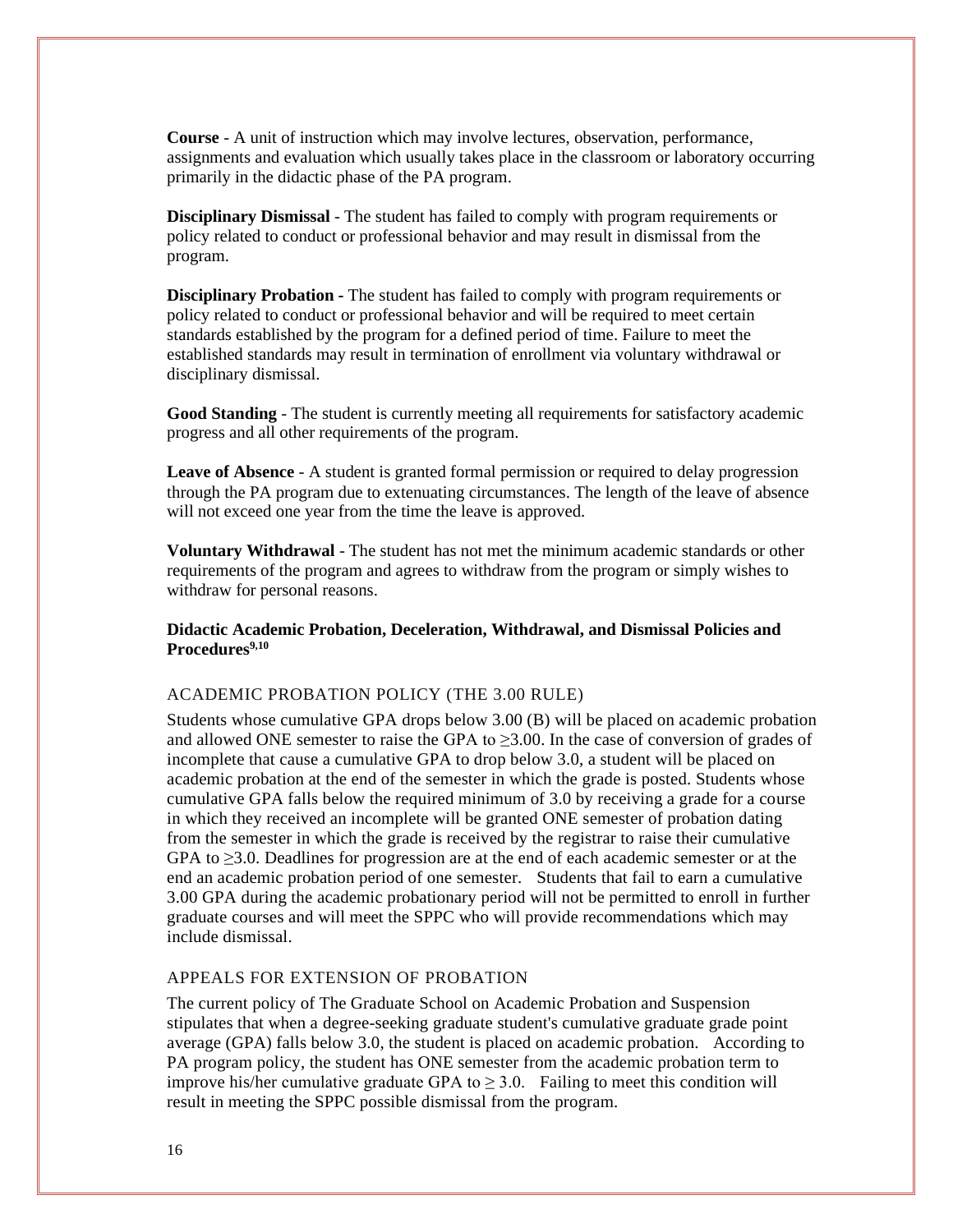**Course** - A unit of instruction which may involve lectures, observation, performance, assignments and evaluation which usually takes place in the classroom or laboratory occurring primarily in the didactic phase of the PA program.

**Disciplinary Dismissal** - The student has failed to comply with program requirements or policy related to conduct or professional behavior and may result in dismissal from the program.

**Disciplinary Probation -** The student has failed to comply with program requirements or policy related to conduct or professional behavior and will be required to meet certain standards established by the program for a defined period of time. Failure to meet the established standards may result in termination of enrollment via voluntary withdrawal or disciplinary dismissal.

**Good Standing** - The student is currently meeting all requirements for satisfactory academic progress and all other requirements of the program.

**Leave of Absence** - A student is granted formal permission or required to delay progression through the PA program due to extenuating circumstances. The length of the leave of absence will not exceed one year from the time the leave is approved.

**Voluntary Withdrawal** - The student has not met the minimum academic standards or other requirements of the program and agrees to withdraw from the program or simply wishes to withdraw for personal reasons.

#### **Didactic Academic Probation, Deceleration, Withdrawal, and Dismissal Policies and Procedures9,10**

#### ACADEMIC PROBATION POLICY (THE 3.00 RULE)

Students whose cumulative GPA drops below 3.00 (B) will be placed on academic probation and allowed ONE semester to raise the GPA to  $\geq$ 3.00. In the case of conversion of grades of incomplete that cause a cumulative GPA to drop below 3.0, a student will be placed on academic probation at the end of the semester in which the grade is posted. Students whose cumulative GPA falls below the required minimum of 3.0 by receiving a grade for a course in which they received an incomplete will be granted ONE semester of probation dating from the semester in which the grade is received by the registrar to raise their cumulative GPA to ≥3.0. Deadlines for progression are at the end of each academic semester or at the end an academic probation period of one semester. Students that fail to earn a cumulative 3.00 GPA during the academic probationary period will not be permitted to enroll in further graduate courses and will meet the SPPC who will provide recommendations which may include dismissal.

#### APPEALS FOR EXTENSION OF PROBATION

The current policy of The Graduate School on Academic Probation and Suspension stipulates that when a degree-seeking graduate student's cumulative graduate grade point average (GPA) falls below 3.0, the student is placed on academic probation. According to PA program policy, the student has ONE semester from the academic probation term to improve his/her cumulative graduate GPA to  $\geq$  3.0. Failing to meet this condition will result in meeting the SPPC possible dismissal from the program.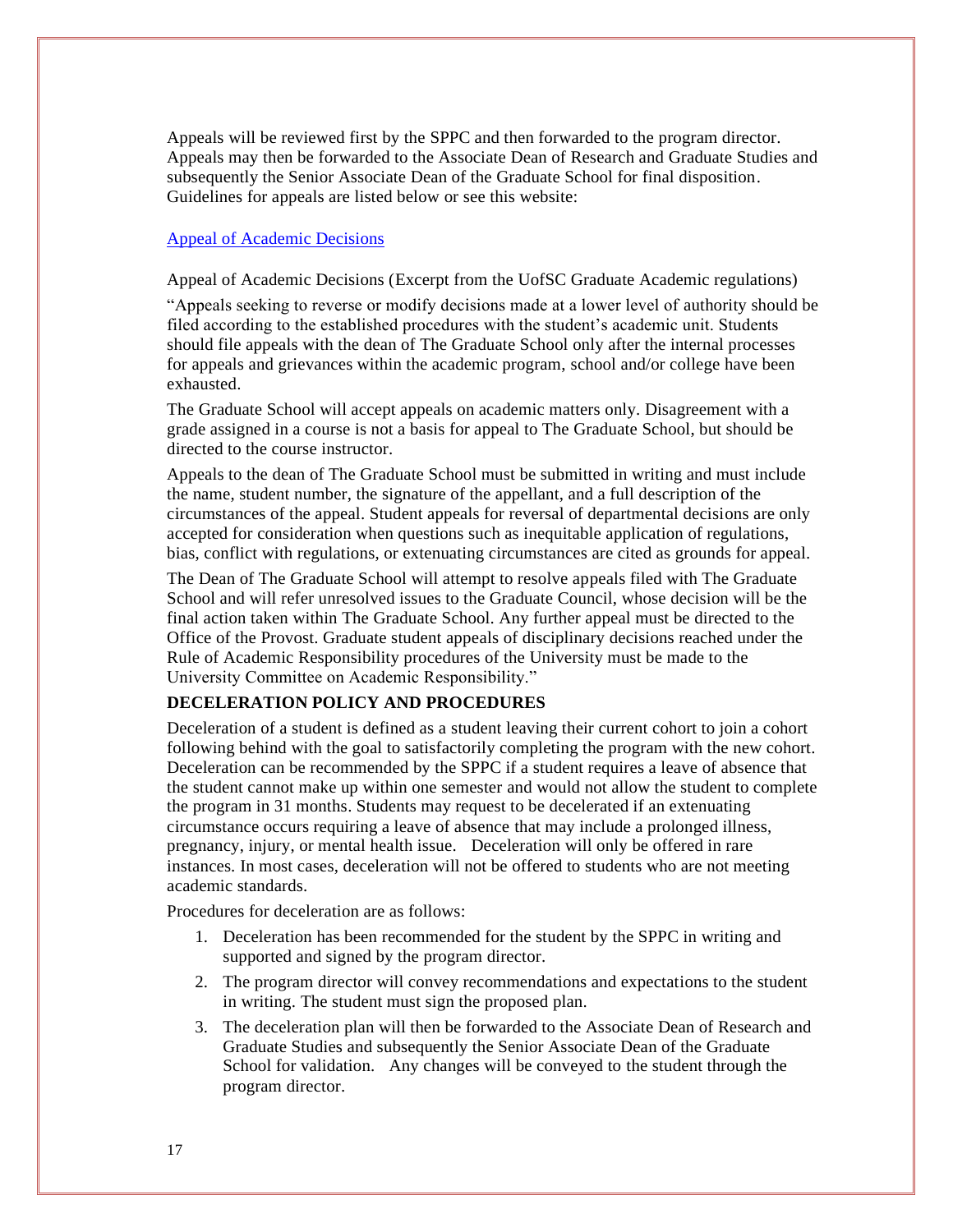Appeals will be reviewed first by the SPPC and then forwarded to the program director. Appeals may then be forwarded to the Associate Dean of Research and Graduate Studies and subsequently the Senior Associate Dean of the Graduate School for final disposition. Guidelines for appeals are listed below or see this website:

#### [Appeal of Academic Decisions](http://bulletin.sc.edu/content.php?catoid=97&navoid=2837#Appeal_of_Academic_Decisions)

Appeal of Academic Decisions (Excerpt from the UofSC Graduate Academic regulations)

"Appeals seeking to reverse or modify decisions made at a lower level of authority should be filed according to the established procedures with the student's academic unit. Students should file appeals with the dean of The Graduate School only after the internal processes for appeals and grievances within the academic program, school and/or college have been exhausted.

The Graduate School will accept appeals on academic matters only. Disagreement with a grade assigned in a course is not a basis for appeal to The Graduate School, but should be directed to the course instructor.

Appeals to the dean of The Graduate School must be submitted in writing and must include the name, student number, the signature of the appellant, and a full description of the circumstances of the appeal. Student appeals for reversal of departmental decisions are only accepted for consideration when questions such as inequitable application of regulations, bias, conflict with regulations, or extenuating circumstances are cited as grounds for appeal.

The Dean of The Graduate School will attempt to resolve appeals filed with The Graduate School and will refer unresolved issues to the Graduate Council, whose decision will be the final action taken within The Graduate School. Any further appeal must be directed to the Office of the Provost. Graduate student appeals of disciplinary decisions reached under the Rule of Academic Responsibility procedures of the University must be made to the University Committee on Academic Responsibility."

#### **DECELERATION POLICY AND PROCEDURES**

Deceleration of a student is defined as a student leaving their current cohort to join a cohort following behind with the goal to satisfactorily completing the program with the new cohort. Deceleration can be recommended by the SPPC if a student requires a leave of absence that the student cannot make up within one semester and would not allow the student to complete the program in 31 months. Students may request to be decelerated if an extenuating circumstance occurs requiring a leave of absence that may include a prolonged illness, pregnancy, injury, or mental health issue. Deceleration will only be offered in rare instances. In most cases, deceleration will not be offered to students who are not meeting academic standards.

Procedures for deceleration are as follows:

- 1. Deceleration has been recommended for the student by the SPPC in writing and supported and signed by the program director.
- 2. The program director will convey recommendations and expectations to the student in writing. The student must sign the proposed plan.
- 3. The deceleration plan will then be forwarded to the Associate Dean of Research and Graduate Studies and subsequently the Senior Associate Dean of the Graduate School for validation. Any changes will be conveyed to the student through the program director.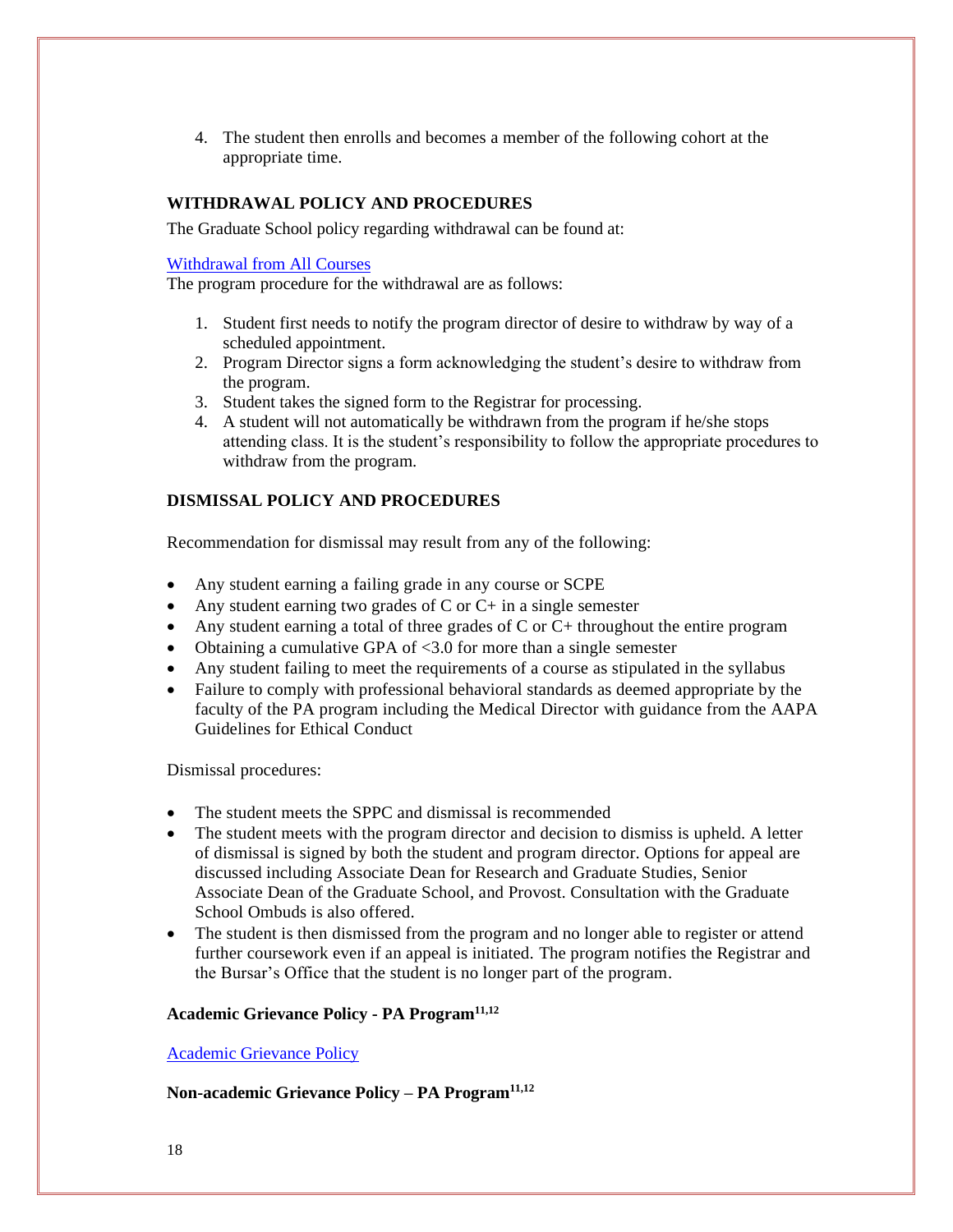4. The student then enrolls and becomes a member of the following cohort at the appropriate time.

#### **WITHDRAWAL POLICY AND PROCEDURES**

The Graduate School policy regarding withdrawal can be found at:

#### [Withdrawal from All Courses](http://bulletin.sc.edu/content.php?catoid=78&navoid=2271#Withdrawal_from_All_Courses)

The program procedure for the withdrawal are as follows:

- 1. Student first needs to notify the program director of desire to withdraw by way of a scheduled appointment.
- 2. Program Director signs a form acknowledging the student's desire to withdraw from the program.
- 3. Student takes the signed form to the Registrar for processing.
- 4. A student will not automatically be withdrawn from the program if he/she stops attending class. It is the student's responsibility to follow the appropriate procedures to withdraw from the program.

#### **DISMISSAL POLICY AND PROCEDURES**

Recommendation for dismissal may result from any of the following:

- Any student earning a failing grade in any course or SCPE
- Any student earning two grades of  $C$  or  $C+$  in a single semester
- Any student earning a total of three grades of C or C+ throughout the entire program
- Obtaining a cumulative GPA of <3.0 for more than a single semester
- Any student failing to meet the requirements of a course as stipulated in the syllabus
- Failure to comply with professional behavioral standards as deemed appropriate by the faculty of the PA program including the Medical Director with guidance from the AAPA Guidelines for Ethical Conduct

Dismissal procedures:

- The student meets the SPPC and dismissal is recommended
- The student meets with the program director and decision to dismiss is upheld. A letter of dismissal is signed by both the student and program director. Options for appeal are discussed including Associate Dean for Research and Graduate Studies, Senior Associate Dean of the Graduate School, and Provost. Consultation with the Graduate School Ombuds is also offered.
- The student is then dismissed from the program and no longer able to register or attend further coursework even if an appeal is initiated. The program notifies the Registrar and the Bursar's Office that the student is no longer part of the program.

#### **Academic Grievance Policy - PA Program11,12**

[Academic Grievance Policy](http://www.sc.edu/policies/ppm/staf630.pdf)

#### **Non-academic Grievance Policy – PA Program11,12**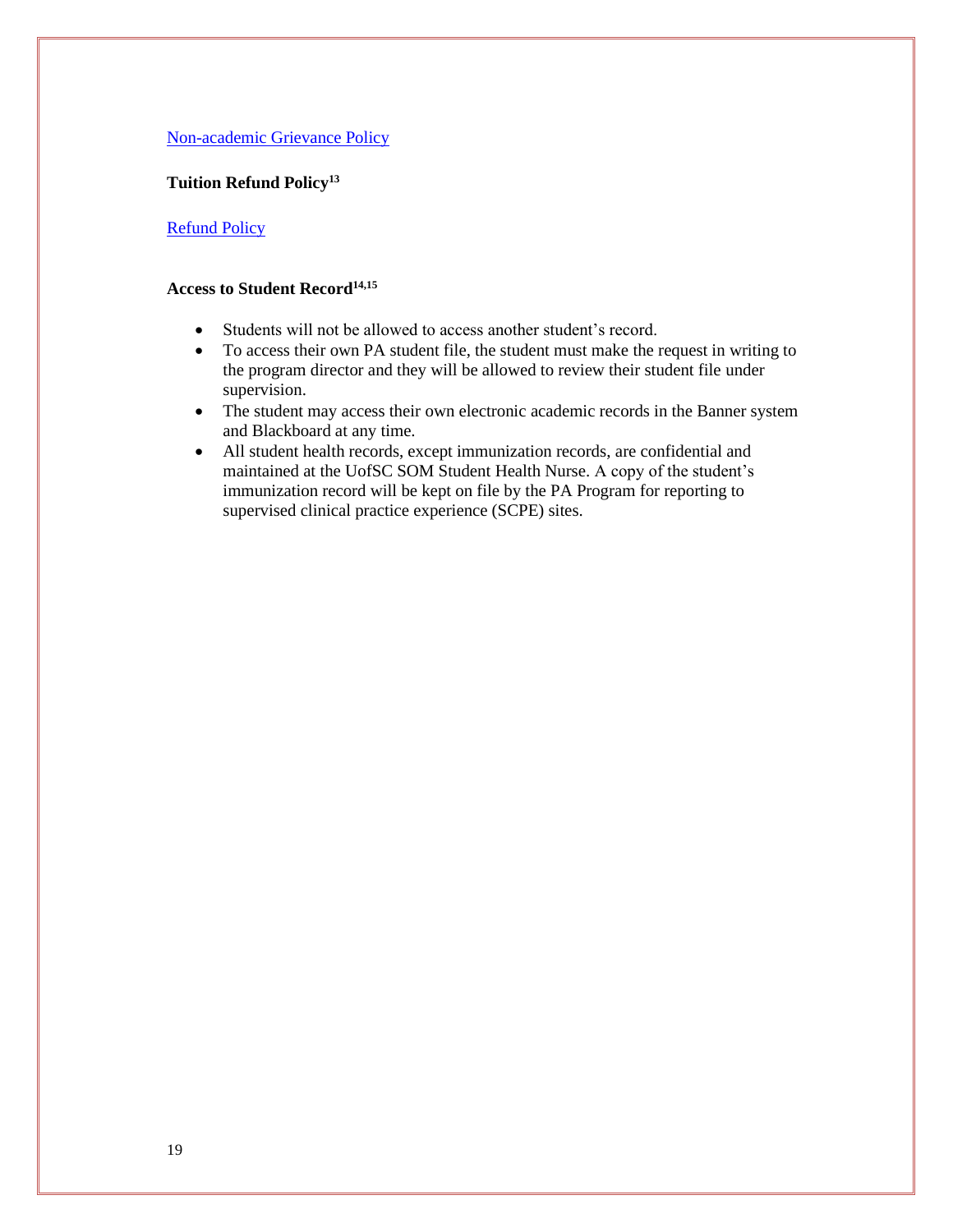#### [Non-academic Grievance Policy](http://www.sc.edu/policies/ppm/staf627.pdf)

#### **Tuition Refund Policy<sup>13</sup>**

#### **[Refund Policy](https://sc.edu/bursar/refunds.shtml)**

#### **Access to Student Record14,15**

- Students will not be allowed to access another student's record.
- To access their own PA student file, the student must make the request in writing to the program director and they will be allowed to review their student file under supervision.
- The student may access their own electronic academic records in the Banner system and Blackboard at any time.
- All student health records, except immunization records, are confidential and maintained at the UofSC SOM Student Health Nurse. A copy of the student's immunization record will be kept on file by the PA Program for reporting to supervised clinical practice experience (SCPE) sites.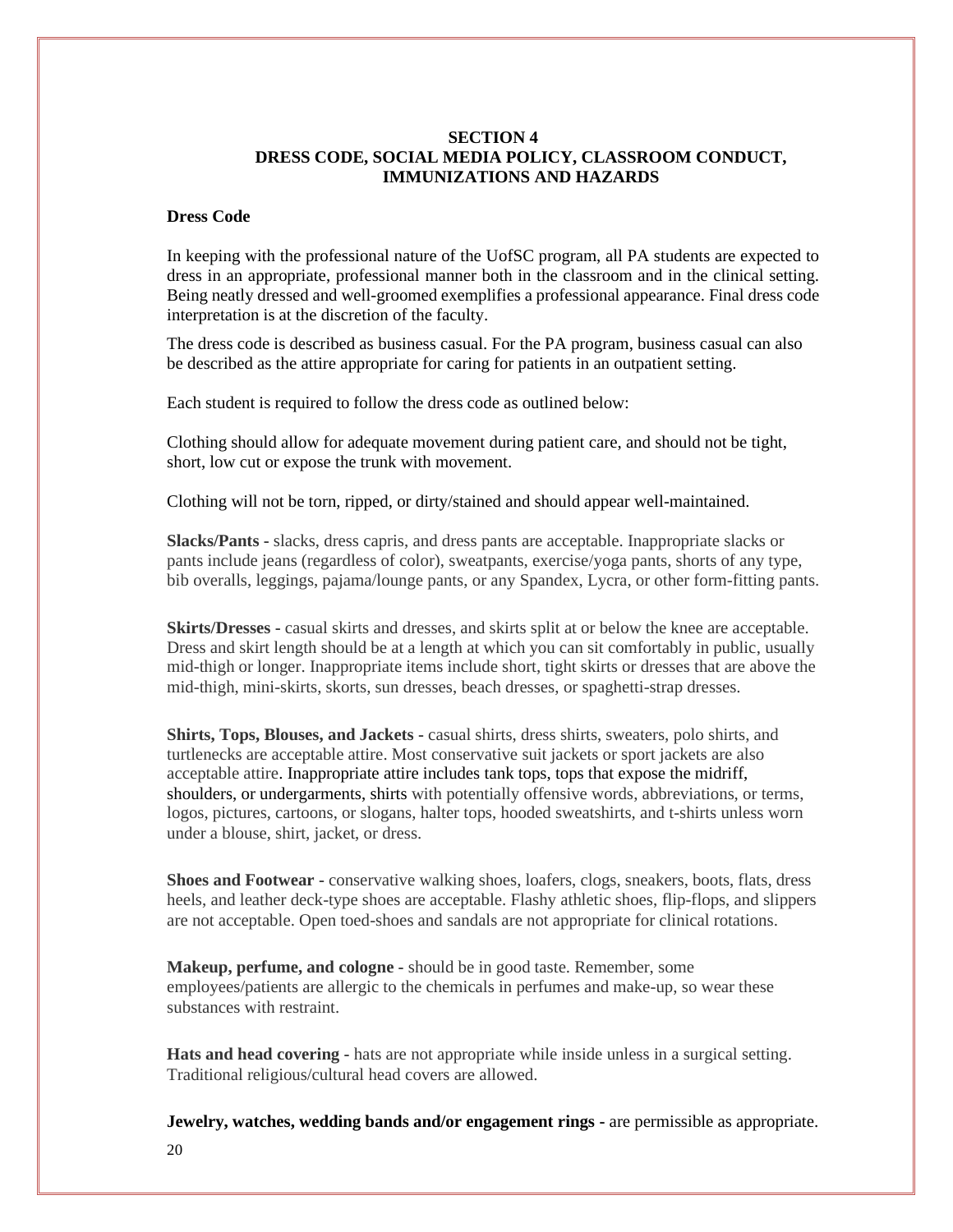#### **SECTION 4 DRESS CODE, SOCIAL MEDIA POLICY, CLASSROOM CONDUCT, IMMUNIZATIONS AND HAZARDS**

#### **Dress Code**

In keeping with the professional nature of the UofSC program, all PA students are expected to dress in an appropriate, professional manner both in the classroom and in the clinical setting. Being neatly dressed and well-groomed exemplifies a professional appearance. Final dress code interpretation is at the discretion of the faculty.

The dress code is described as business casual. For the PA program, business casual can also be described as the attire appropriate for caring for patients in an outpatient setting.

Each student is required to follow the dress code as outlined below:

Clothing should allow for adequate movement during patient care, and should not be tight, short, low cut or expose the trunk with movement.

Clothing will not be torn, ripped, or dirty/stained and should appear well-maintained.

**Slacks/Pants -** slacks, dress capris, and dress pants are acceptable. Inappropriate slacks or pants include jeans (regardless of color), sweatpants, exercise/yoga pants, shorts of any type, bib overalls, leggings, pajama/lounge pants, or any Spandex, Lycra, or other form-fitting pants.

**Skirts/Dresses -** casual skirts and dresses, and skirts split at or below the knee are acceptable. Dress and skirt length should be at a length at which you can sit comfortably in public, usually mid-thigh or longer. Inappropriate items include short, tight skirts or dresses that are above the mid-thigh, mini-skirts, skorts, sun dresses, beach dresses, or spaghetti-strap dresses.

**Shirts, Tops, Blouses, and Jackets -** casual shirts, dress shirts, sweaters, polo shirts, and turtlenecks are acceptable attire. Most conservative suit jackets or sport jackets are also acceptable attire. Inappropriate attire includes tank tops, tops that expose the midriff, shoulders, or undergarments, shirts with potentially offensive words, abbreviations, or terms, logos, pictures, cartoons, or slogans, halter tops, hooded sweatshirts, and t-shirts unless worn under a blouse, shirt, jacket, or dress.

**Shoes and Footwear -** conservative walking shoes, loafers, clogs, sneakers, boots, flats, dress heels, and leather deck-type shoes are acceptable. Flashy athletic shoes, flip-flops, and slippers are not acceptable. Open toed-shoes and sandals are not appropriate for clinical rotations.

**Makeup, perfume, and cologne -** should be in good taste. Remember, some employees/patients are allergic to the chemicals in perfumes and make-up, so wear these substances with restraint.

**Hats and head covering -** hats are not appropriate while inside unless in a surgical setting. Traditional religious/cultural head covers are allowed.

**Jewelry, watches, wedding bands and/or engagement rings -** are permissible as appropriate.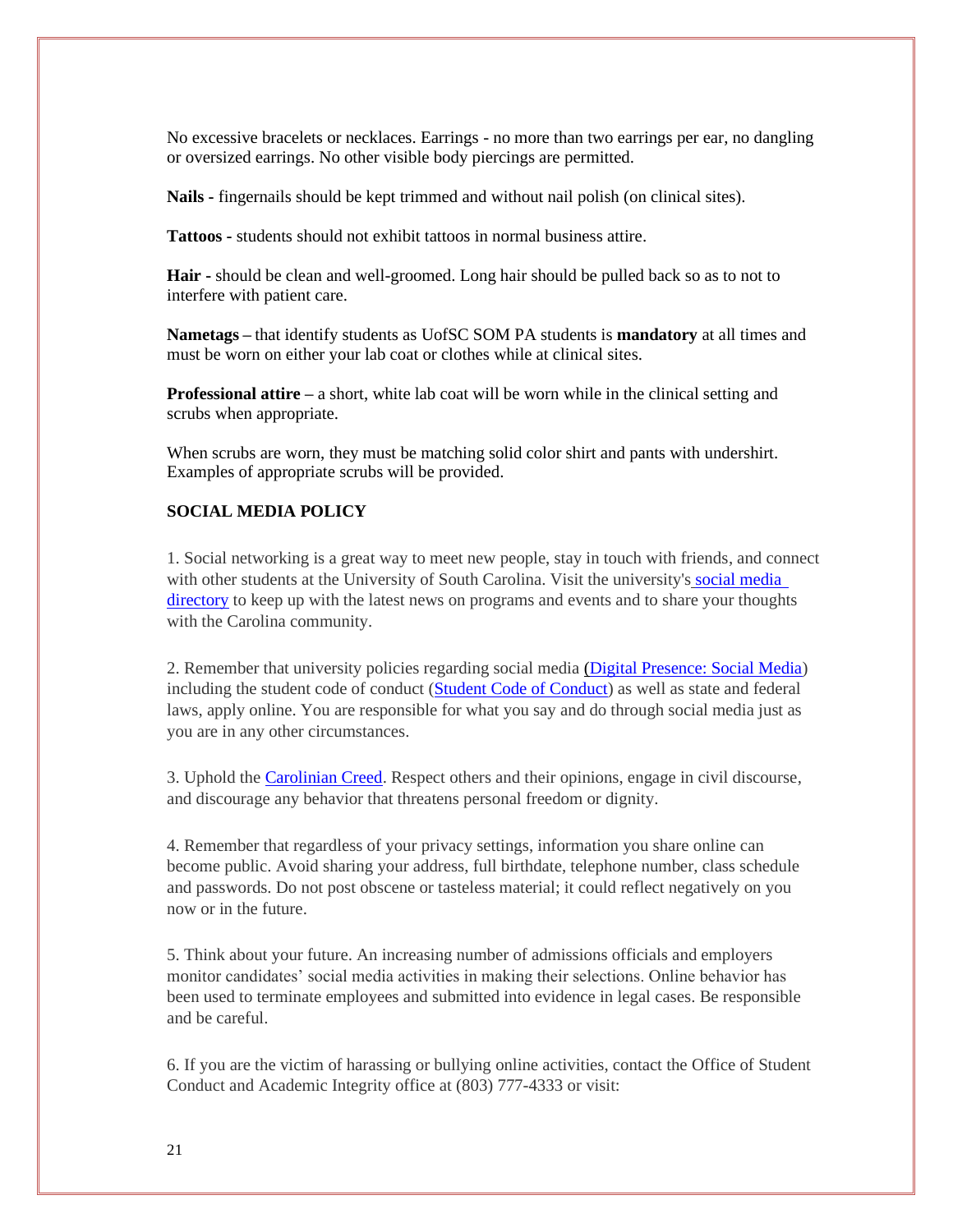No excessive bracelets or necklaces. Earrings - no more than two earrings per ear, no dangling or oversized earrings. No other visible body piercings are permitted.

**Nails -** fingernails should be kept trimmed and without nail polish (on clinical sites).

**Tattoos -** students should not exhibit tattoos in normal business attire.

**Hair -** should be clean and well-groomed. Long hair should be pulled back so as to not to interfere with patient care.

**Nametags –** that identify students as UofSC SOM PA students is **mandatory** at all times and must be worn on either your lab coat or clothes while at clinical sites.

**Professional attire** – a short, white lab coat will be worn while in the clinical setting and scrubs when appropriate.

When scrubs are worn, they must be matching solid color shirt and pants with undershirt. Examples of appropriate scrubs will be provided.

#### **SOCIAL MEDIA POLICY**

1. Social networking is a great way to meet new people, stay in touch with friends, and connect with other students at the University of South Carolina. Visit the university's [social media](https://www.sa.sc.edu/social-media/)  [directory](https://www.sa.sc.edu/social-media/) to keep up with the latest news on programs and events and to share your thoughts with the Carolina community.

2. Remember that university policies regarding social media [\(Digital Presence: Social Media\)](http://www.sc.edu/policies/ppm/comm210.pdf) including the student code of conduct [\(Student Code](http://www.sc.edu/policies/ppm/staf626.pdf) of Conduct) as well as state and federal laws, apply online. You are responsible for what you say and do through social media just as you are in any other circumstances.

3. Uphold the [Carolinian Creed.](https://www.sa.sc.edu/creed/) Respect others and their opinions, engage in civil discourse, and discourage any behavior that threatens personal freedom or dignity.

4. Remember that regardless of your privacy settings, information you share online can become public. Avoid sharing your address, full birthdate, telephone number, class schedule and passwords. Do not post obscene or tasteless material; it could reflect negatively on you now or in the future.

5. Think about your future. An increasing number of admissions officials and employers monitor candidates' social media activities in making their selections. Online behavior has been used to terminate employees and submitted into evidence in legal cases. Be responsible and be careful.

6. If you are the victim of harassing or bullying online activities, contact the Office of Student Conduct and Academic Integrity office at (803) 777-4333 or visit: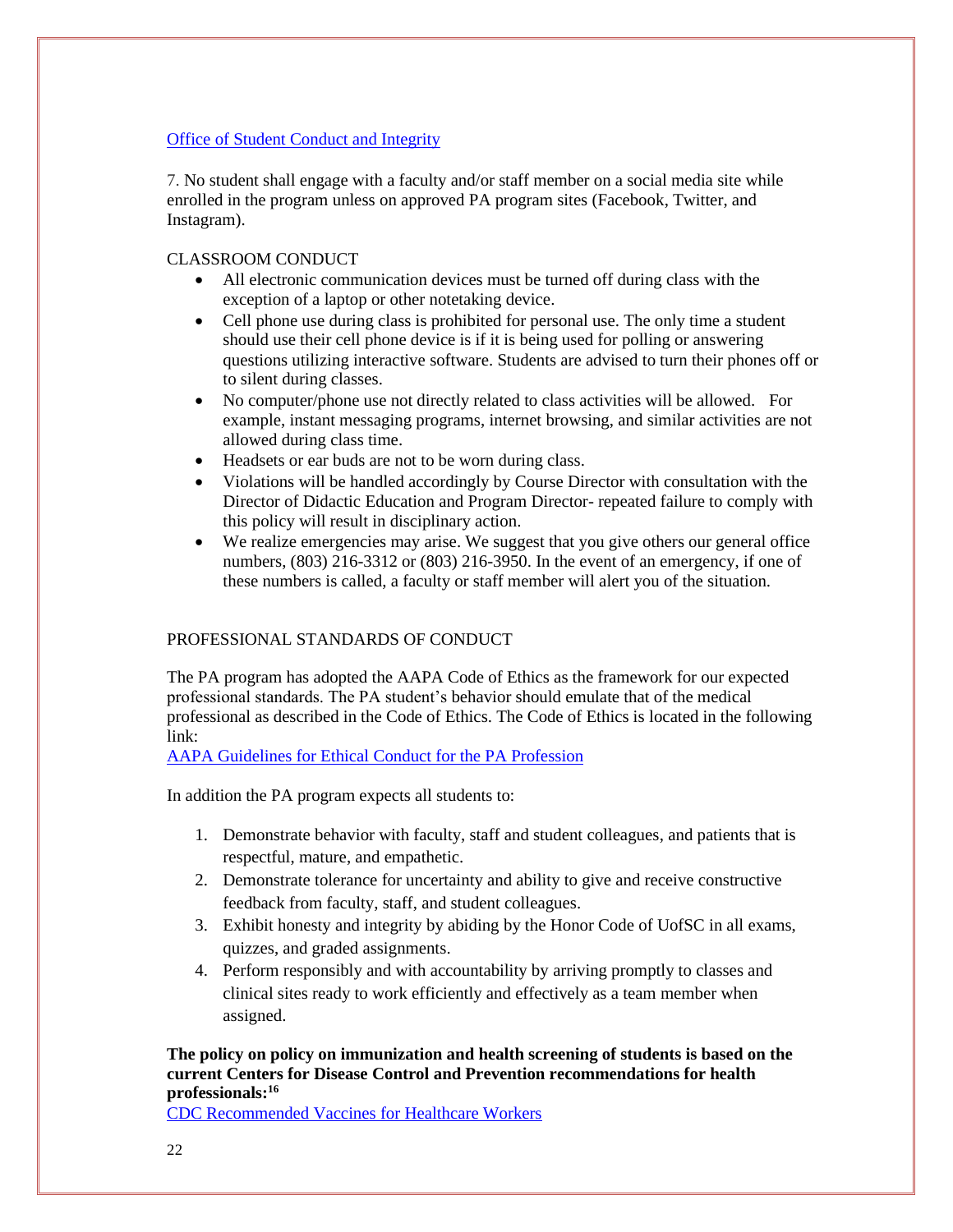#### [Office of Student Conduct and Integrity](https://www.sc.edu/about/offices_and_divisions/student_conduct_and_academic_integrity/index.php)

7. No student shall engage with a faculty and/or staff member on a social media site while enrolled in the program unless on approved PA program sites (Facebook, Twitter, and Instagram).

#### CLASSROOM CONDUCT

- All electronic communication devices must be turned off during class with the exception of a laptop or other notetaking device.
- Cell phone use during class is prohibited for personal use. The only time a student should use their cell phone device is if it is being used for polling or answering questions utilizing interactive software. Students are advised to turn their phones off or to silent during classes.
- No computer/phone use not directly related to class activities will be allowed. For example, instant messaging programs, internet browsing, and similar activities are not allowed during class time.
- Headsets or ear buds are not to be worn during class.
- Violations will be handled accordingly by Course Director with consultation with the Director of Didactic Education and Program Director- repeated failure to comply with this policy will result in disciplinary action.
- We realize emergencies may arise. We suggest that you give others our general office numbers, (803) 216-3312 or (803) 216-3950. In the event of an emergency, if one of these numbers is called, a faculty or staff member will alert you of the situation.

#### PROFESSIONAL STANDARDS OF CONDUCT

The PA program has adopted the AAPA Code of Ethics as the framework for our expected professional standards. The PA student's behavior should emulate that of the medical professional as described in the Code of Ethics. The Code of Ethics is located in the following link:

[AAPA Guidelines for Ethical Conduct](https://www.aapa.org/wp-content/uploads/2017/02/16-EthicalConduct.pdf) for the PA Profession

In addition the PA program expects all students to:

- 1. Demonstrate behavior with faculty, staff and student colleagues, and patients that is respectful, mature, and empathetic.
- 2. Demonstrate tolerance for uncertainty and ability to give and receive constructive feedback from faculty, staff, and student colleagues.
- 3. Exhibit honesty and integrity by abiding by the Honor Code of UofSC in all exams, quizzes, and graded assignments.
- 4. Perform responsibly and with accountability by arriving promptly to classes and clinical sites ready to work efficiently and effectively as a team member when assigned.

#### **The policy on policy on immunization and health screening of students is based on the current Centers for Disease Control and Prevention recommendations for health professionals:<sup>16</sup>**

[CDC Recommended Vaccines for Healthcare Workers](https://www.cdc.gov/vaccines/adults/rec-vac/hcw.html)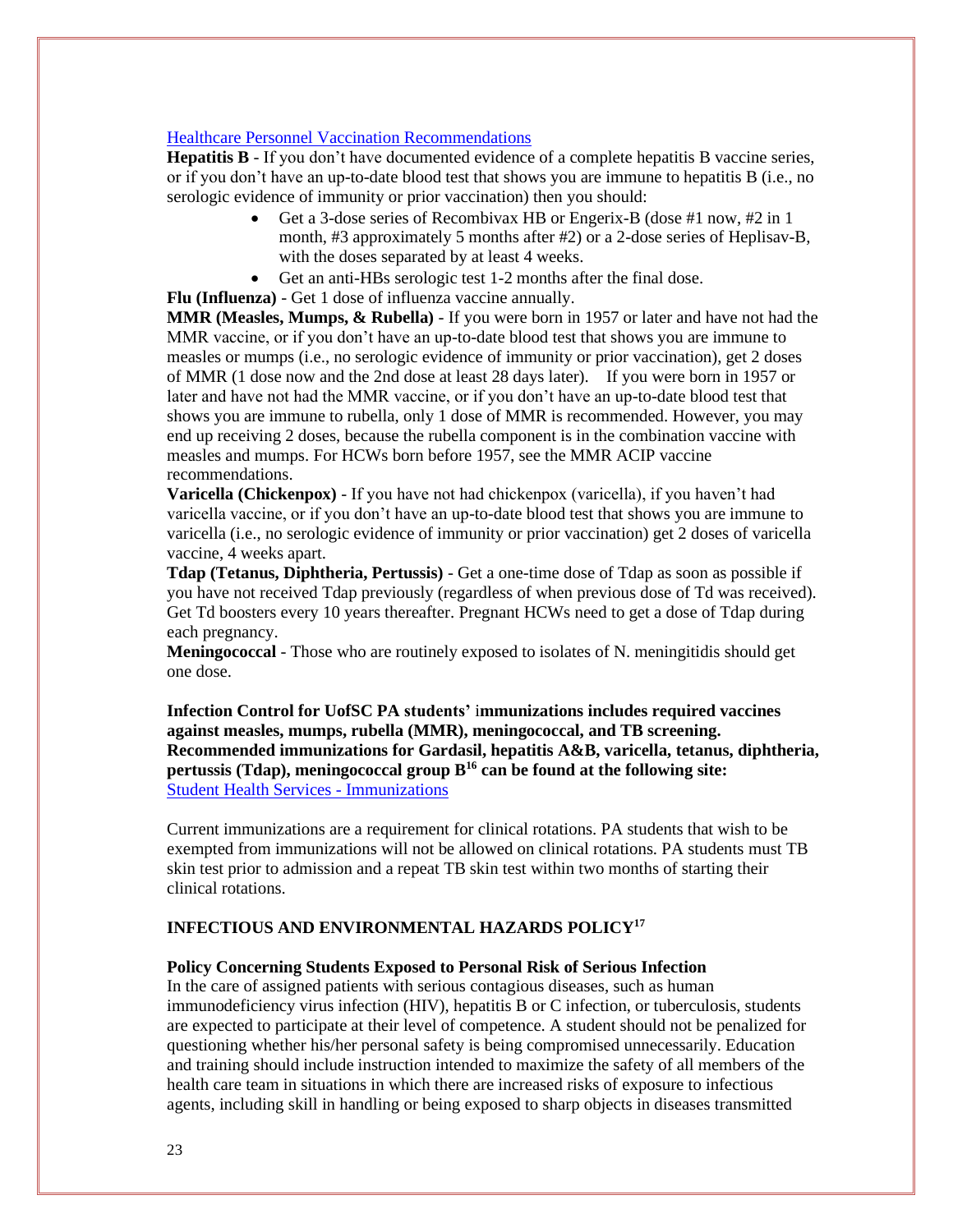#### [Healthcare Personnel Vaccination Recommendations](https://www.immunize.org/catg.d/p2017.pdf)

**Hepatitis B** - If you don't have documented evidence of a complete hepatitis B vaccine series, or if you don't have an up-to-date blood test that shows you are immune to hepatitis B (i.e., no serologic evidence of immunity or prior vaccination) then you should:

- Get a 3-dose series of Recombivax HB or Engerix-B (dose #1 now, #2 in 1 month, #3 approximately 5 months after #2) or a 2-dose series of Heplisav-B, with the doses separated by at least 4 weeks.
- Get an anti-HBs serologic test 1-2 months after the final dose.
- **Flu (Influenza)** Get 1 dose of influenza vaccine annually.

**MMR (Measles, Mumps, & Rubella)** - If you were born in 1957 or later and have not had the MMR vaccine, or if you don't have an up-to-date blood test that shows you are immune to measles or mumps (i.e., no serologic evidence of immunity or prior vaccination), get 2 doses of MMR (1 dose now and the 2nd dose at least 28 days later). If you were born in 1957 or later and have not had the MMR vaccine, or if you don't have an up-to-date blood test that shows you are immune to rubella, only 1 dose of MMR is recommended. However, you may end up receiving 2 doses, because the rubella component is in the combination vaccine with measles and mumps. For HCWs born before 1957, see the MMR ACIP vaccine recommendations.

**Varicella (Chickenpox)** - If you have not had chickenpox (varicella), if you haven't had varicella vaccine, or if you don't have an up-to-date blood test that shows you are immune to varicella (i.e., no serologic evidence of immunity or prior vaccination) get 2 doses of varicella vaccine, 4 weeks apart.

**Tdap (Tetanus, Diphtheria, Pertussis)** - Get a one-time dose of Tdap as soon as possible if you have not received Tdap previously (regardless of when previous dose of Td was received). Get Td boosters every 10 years thereafter. Pregnant HCWs need to get a dose of Tdap during each pregnancy.

**Meningococcal** - Those who are routinely exposed to isolates of N. meningitidis should get one dose.

**Infection Control for UofSC PA students'** i**mmunizations includes required vaccines against measles, mumps, rubella (MMR), meningococcal, and TB screening. Recommended immunizations for Gardasil, hepatitis A&B, varicella, tetanus, diphtheria, pertussis (Tdap), meningococcal group B<sup>16</sup> can be found at the following site:**  [Student Health Services -](https://sc.edu/about/offices_and_divisions/student_health_services/medical-services/immunizations/) Immunizations

Current immunizations are a requirement for clinical rotations. PA students that wish to be exempted from immunizations will not be allowed on clinical rotations. PA students must TB skin test prior to admission and a repeat TB skin test within two months of starting their clinical rotations.

#### **INFECTIOUS AND ENVIRONMENTAL HAZARDS POLICY<sup>17</sup>**

#### **Policy Concerning Students Exposed to Personal Risk of Serious Infection**

In the care of assigned patients with serious contagious diseases, such as human immunodeficiency virus infection (HIV), hepatitis B or C infection, or tuberculosis, students are expected to participate at their level of competence. A student should not be penalized for questioning whether his/her personal safety is being compromised unnecessarily. Education and training should include instruction intended to maximize the safety of all members of the health care team in situations in which there are increased risks of exposure to infectious agents, including skill in handling or being exposed to sharp objects in diseases transmitted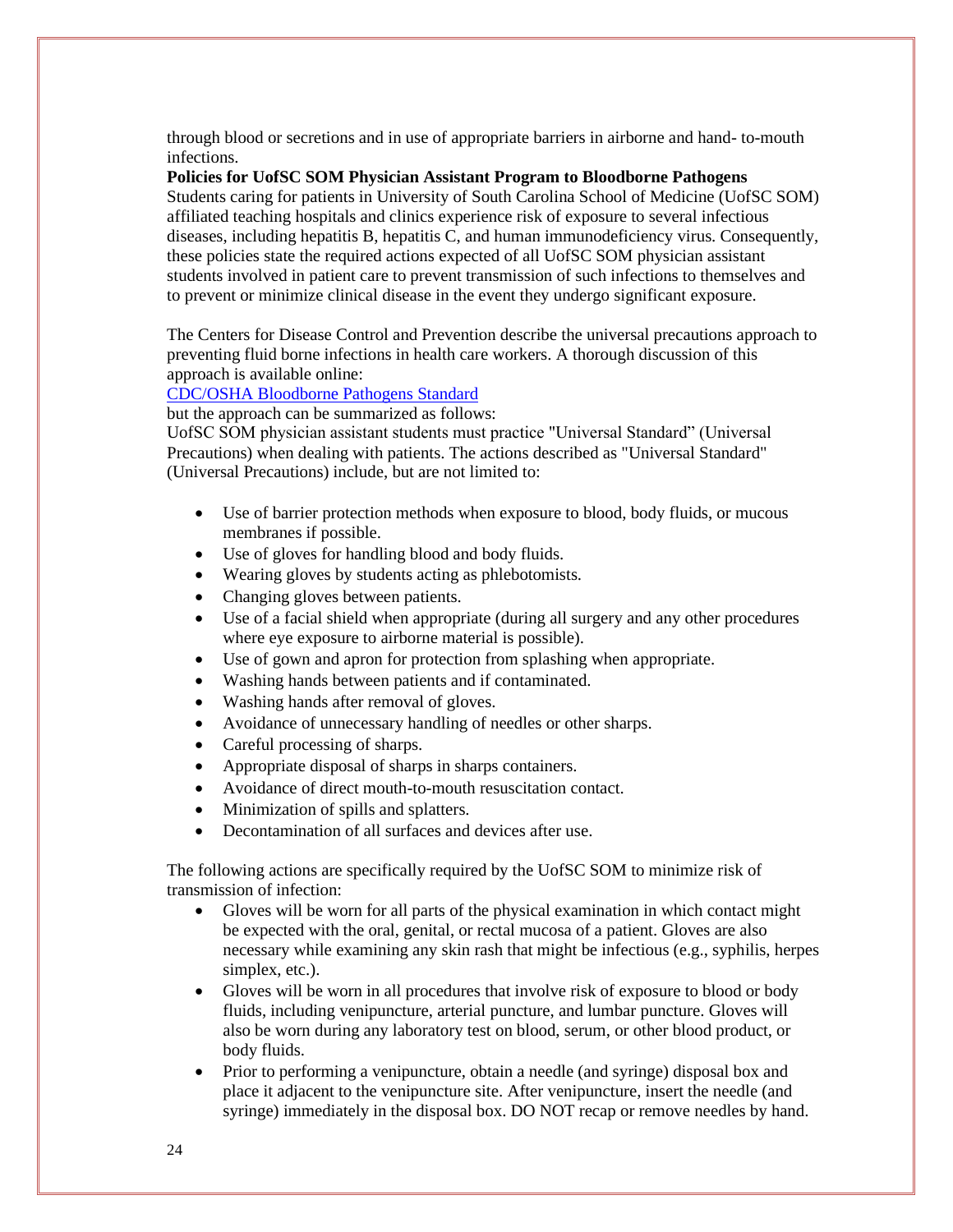through blood or secretions and in use of appropriate barriers in airborne and hand- to-mouth infections.

**Policies for UofSC SOM Physician Assistant Program to Bloodborne Pathogens** 

Students caring for patients in University of South Carolina School of Medicine (UofSC SOM) affiliated teaching hospitals and clinics experience risk of exposure to several infectious diseases, including hepatitis B, hepatitis C, and human immunodeficiency virus. Consequently, these policies state the required actions expected of all UofSC SOM physician assistant students involved in patient care to prevent transmission of such infections to themselves and to prevent or minimize clinical disease in the event they undergo significant exposure.

The Centers for Disease Control and Prevention describe the universal precautions approach to preventing fluid borne infections in health care workers. A thorough discussion of this approach is available online:

#### [CDC/OSHA Bloodborne Pathogens Standard](https://www.cdc.gov/niosh/docs/2009-111/pdfs/2009-111.pdf?id=10.26616/NIOSHPUB2009111)

but the approach can be summarized as follows:

UofSC SOM physician assistant students must practice "Universal Standard" (Universal Precautions) when dealing with patients. The actions described as "Universal Standard" (Universal Precautions) include, but are not limited to:

- Use of barrier protection methods when exposure to blood, body fluids, or mucous membranes if possible.
- Use of gloves for handling blood and body fluids.
- Wearing gloves by students acting as phlebotomists.
- Changing gloves between patients.
- Use of a facial shield when appropriate (during all surgery and any other procedures where eye exposure to airborne material is possible).
- Use of gown and apron for protection from splashing when appropriate.
- Washing hands between patients and if contaminated.
- Washing hands after removal of gloves.
- Avoidance of unnecessary handling of needles or other sharps.
- Careful processing of sharps.
- Appropriate disposal of sharps in sharps containers.
- Avoidance of direct mouth-to-mouth resuscitation contact.
- Minimization of spills and splatters.
- Decontamination of all surfaces and devices after use.

The following actions are specifically required by the UofSC SOM to minimize risk of transmission of infection:

- Gloves will be worn for all parts of the physical examination in which contact might be expected with the oral, genital, or rectal mucosa of a patient. Gloves are also necessary while examining any skin rash that might be infectious (e.g., syphilis, herpes simplex, etc.).
- Gloves will be worn in all procedures that involve risk of exposure to blood or body fluids, including venipuncture, arterial puncture, and lumbar puncture. Gloves will also be worn during any laboratory test on blood, serum, or other blood product, or body fluids.
- Prior to performing a venipuncture, obtain a needle (and syringe) disposal box and place it adjacent to the venipuncture site. After venipuncture, insert the needle (and syringe) immediately in the disposal box. DO NOT recap or remove needles by hand.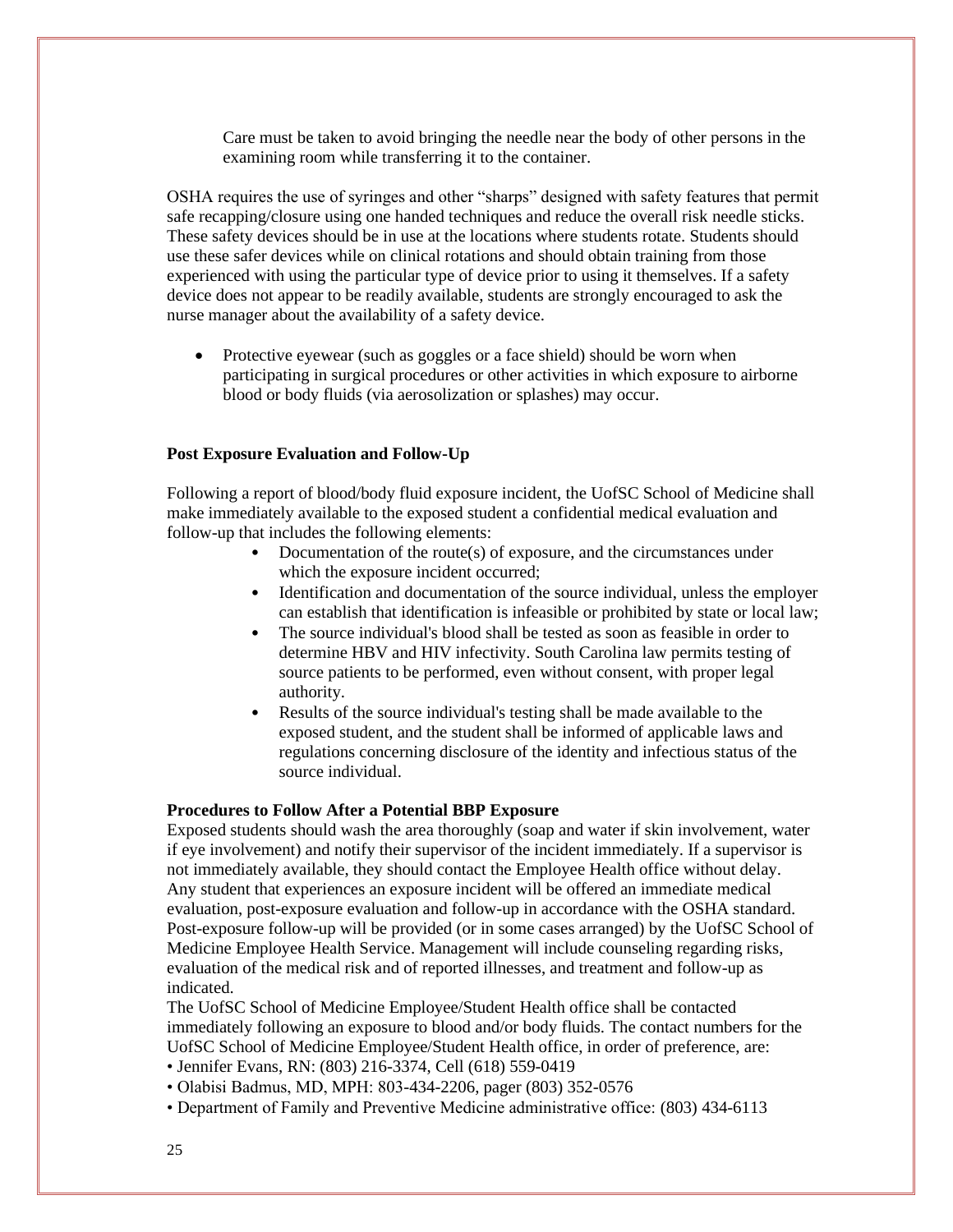Care must be taken to avoid bringing the needle near the body of other persons in the examining room while transferring it to the container.

OSHA requires the use of syringes and other "sharps" designed with safety features that permit safe recapping/closure using one handed techniques and reduce the overall risk needle sticks. These safety devices should be in use at the locations where students rotate. Students should use these safer devices while on clinical rotations and should obtain training from those experienced with using the particular type of device prior to using it themselves. If a safety device does not appear to be readily available, students are strongly encouraged to ask the nurse manager about the availability of a safety device.

• Protective eyewear (such as goggles or a face shield) should be worn when participating in surgical procedures or other activities in which exposure to airborne blood or body fluids (via aerosolization or splashes) may occur.

#### **Post Exposure Evaluation and Follow-Up**

Following a report of blood/body fluid exposure incident, the UofSC School of Medicine shall make immediately available to the exposed student a confidential medical evaluation and follow-up that includes the following elements:

- Documentation of the route(s) of exposure, and the circumstances under which the exposure incident occurred;
- Identification and documentation of the source individual, unless the employer can establish that identification is infeasible or prohibited by state or local law;
- The source individual's blood shall be tested as soon as feasible in order to determine HBV and HIV infectivity. South Carolina law permits testing of source patients to be performed, even without consent, with proper legal authority.
- Results of the source individual's testing shall be made available to the exposed student, and the student shall be informed of applicable laws and regulations concerning disclosure of the identity and infectious status of the source individual.

#### **Procedures to Follow After a Potential BBP Exposure**

Exposed students should wash the area thoroughly (soap and water if skin involvement, water if eye involvement) and notify their supervisor of the incident immediately. If a supervisor is not immediately available, they should contact the Employee Health office without delay. Any student that experiences an exposure incident will be offered an immediate medical evaluation, post-exposure evaluation and follow-up in accordance with the OSHA standard. Post-exposure follow-up will be provided (or in some cases arranged) by the UofSC School of Medicine Employee Health Service. Management will include counseling regarding risks, evaluation of the medical risk and of reported illnesses, and treatment and follow-up as indicated.

The UofSC School of Medicine Employee/Student Health office shall be contacted immediately following an exposure to blood and/or body fluids. The contact numbers for the UofSC School of Medicine Employee/Student Health office, in order of preference, are: • Jennifer Evans, RN: (803) 216-3374, Cell (618) 559-0419

- 
- Olabisi Badmus, MD, MPH: 803-434-2206, pager (803) 352-0576
- Department of Family and Preventive Medicine administrative office: (803) 434-6113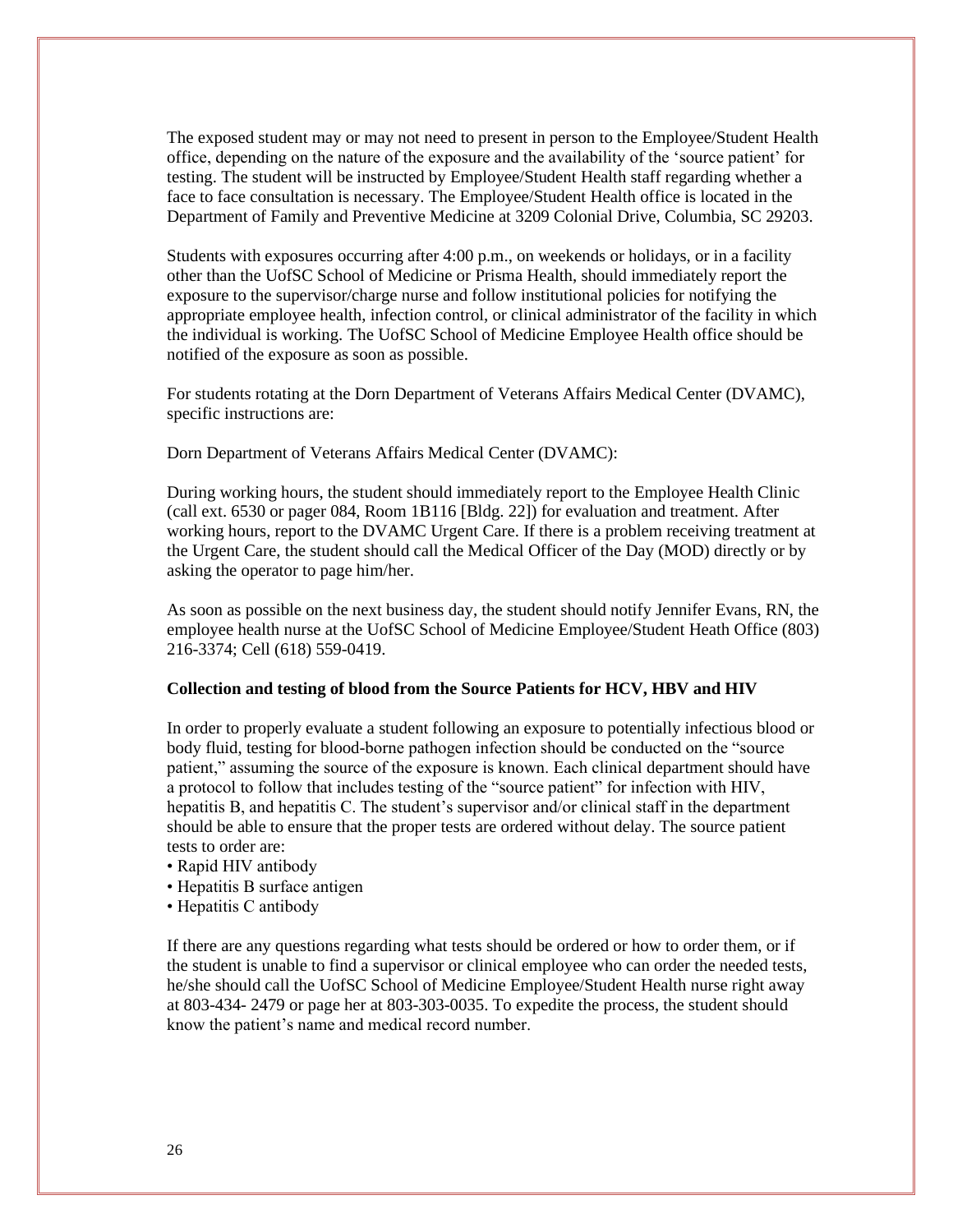The exposed student may or may not need to present in person to the Employee/Student Health office, depending on the nature of the exposure and the availability of the 'source patient' for testing. The student will be instructed by Employee/Student Health staff regarding whether a face to face consultation is necessary. The Employee/Student Health office is located in the Department of Family and Preventive Medicine at 3209 Colonial Drive, Columbia, SC 29203.

Students with exposures occurring after 4:00 p.m., on weekends or holidays, or in a facility other than the UofSC School of Medicine or Prisma Health, should immediately report the exposure to the supervisor/charge nurse and follow institutional policies for notifying the appropriate employee health, infection control, or clinical administrator of the facility in which the individual is working. The UofSC School of Medicine Employee Health office should be notified of the exposure as soon as possible.

For students rotating at the Dorn Department of Veterans Affairs Medical Center (DVAMC), specific instructions are:

Dorn Department of Veterans Affairs Medical Center (DVAMC):

During working hours, the student should immediately report to the Employee Health Clinic (call ext. 6530 or pager 084, Room 1B116 [Bldg. 22]) for evaluation and treatment. After working hours, report to the DVAMC Urgent Care. If there is a problem receiving treatment at the Urgent Care, the student should call the Medical Officer of the Day (MOD) directly or by asking the operator to page him/her.

As soon as possible on the next business day, the student should notify Jennifer Evans, RN, the employee health nurse at the UofSC School of Medicine Employee/Student Heath Office (803) 216-3374; Cell (618) 559-0419.

#### **Collection and testing of blood from the Source Patients for HCV, HBV and HIV**

In order to properly evaluate a student following an exposure to potentially infectious blood or body fluid, testing for blood-borne pathogen infection should be conducted on the "source patient," assuming the source of the exposure is known. Each clinical department should have a protocol to follow that includes testing of the "source patient" for infection with HIV, hepatitis B, and hepatitis C. The student's supervisor and/or clinical staff in the department should be able to ensure that the proper tests are ordered without delay. The source patient tests to order are:

- Rapid HIV antibody
- Hepatitis B surface antigen
- Hepatitis C antibody

If there are any questions regarding what tests should be ordered or how to order them, or if the student is unable to find a supervisor or clinical employee who can order the needed tests, he/she should call the UofSC School of Medicine Employee/Student Health nurse right away at 803-434- 2479 or page her at 803-303-0035. To expedite the process, the student should know the patient's name and medical record number.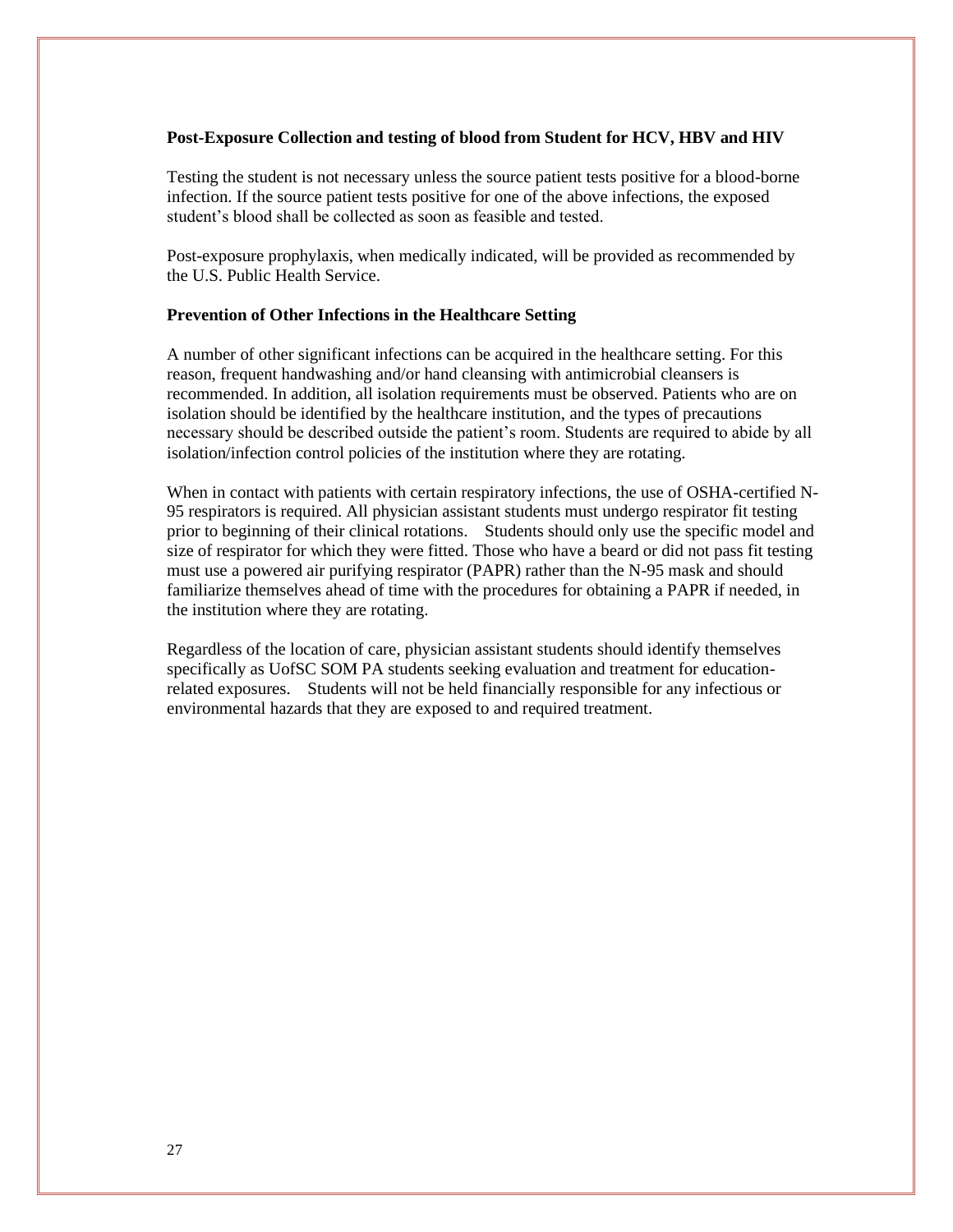#### **Post-Exposure Collection and testing of blood from Student for HCV, HBV and HIV**

Testing the student is not necessary unless the source patient tests positive for a blood-borne infection. If the source patient tests positive for one of the above infections, the exposed student's blood shall be collected as soon as feasible and tested.

Post-exposure prophylaxis, when medically indicated, will be provided as recommended by the U.S. Public Health Service.

#### **Prevention of Other Infections in the Healthcare Setting**

A number of other significant infections can be acquired in the healthcare setting. For this reason, frequent handwashing and/or hand cleansing with antimicrobial cleansers is recommended. In addition, all isolation requirements must be observed. Patients who are on isolation should be identified by the healthcare institution, and the types of precautions necessary should be described outside the patient's room. Students are required to abide by all isolation/infection control policies of the institution where they are rotating.

When in contact with patients with certain respiratory infections, the use of OSHA-certified N-95 respirators is required. All physician assistant students must undergo respirator fit testing prior to beginning of their clinical rotations. Students should only use the specific model and size of respirator for which they were fitted. Those who have a beard or did not pass fit testing must use a powered air purifying respirator (PAPR) rather than the N-95 mask and should familiarize themselves ahead of time with the procedures for obtaining a PAPR if needed, in the institution where they are rotating.

Regardless of the location of care, physician assistant students should identify themselves specifically as UofSC SOM PA students seeking evaluation and treatment for educationrelated exposures. Students will not be held financially responsible for any infectious or environmental hazards that they are exposed to and required treatment.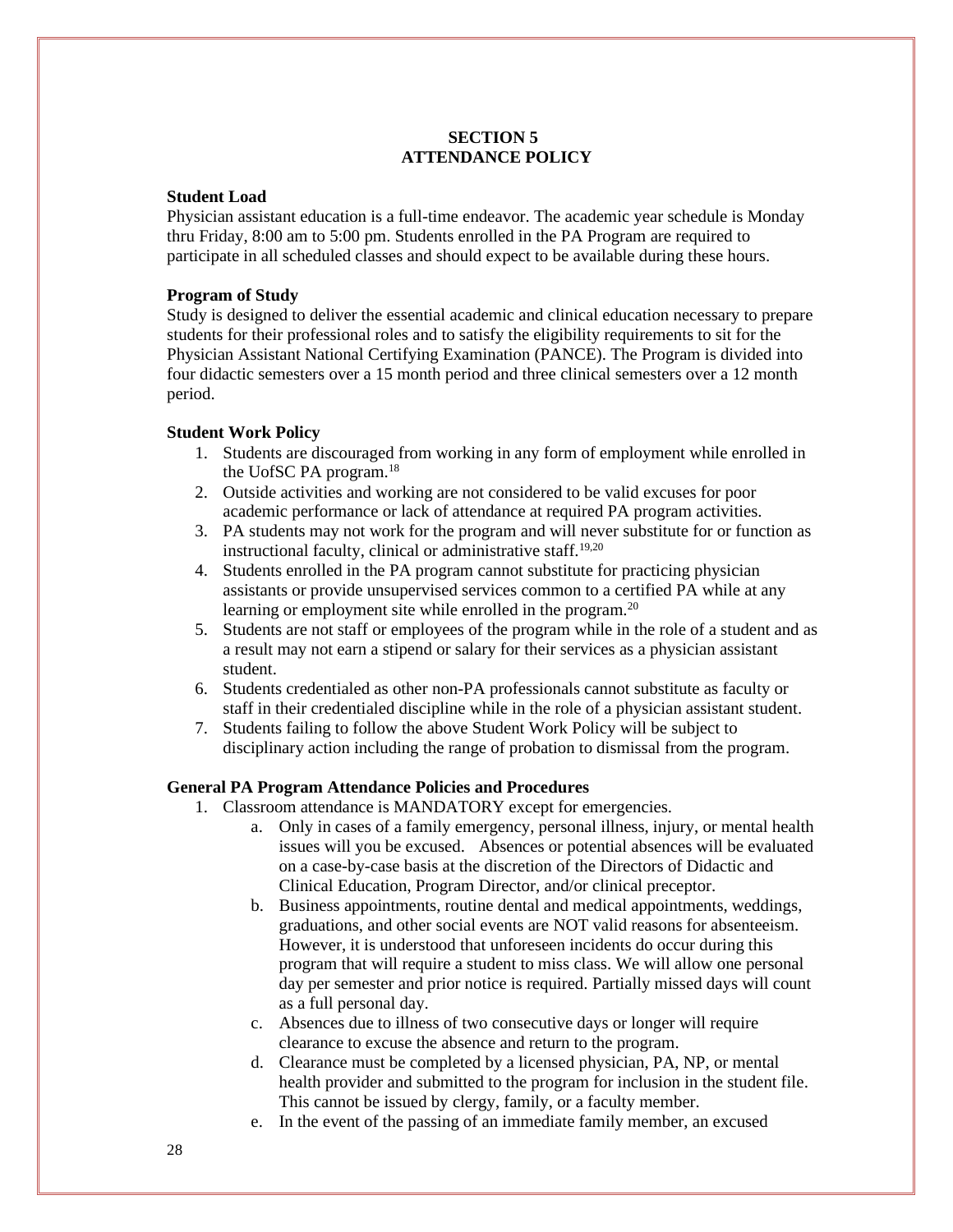#### **SECTION 5 ATTENDANCE POLICY**

#### **Student Load**

Physician assistant education is a full-time endeavor. The academic year schedule is Monday thru Friday, 8:00 am to 5:00 pm. Students enrolled in the PA Program are required to participate in all scheduled classes and should expect to be available during these hours.

#### **Program of Study**

Study is designed to deliver the essential academic and clinical education necessary to prepare students for their professional roles and to satisfy the eligibility requirements to sit for the Physician Assistant National Certifying Examination (PANCE). The Program is divided into four didactic semesters over a 15 month period and three clinical semesters over a 12 month period.

#### **Student Work Policy**

- 1. Students are discouraged from working in any form of employment while enrolled in the UofSC PA program.<sup>18</sup>
- 2. Outside activities and working are not considered to be valid excuses for poor academic performance or lack of attendance at required PA program activities.
- 3. PA students may not work for the program and will never substitute for or function as instructional faculty, clinical or administrative staff*.* 19,20
- 4. Students enrolled in the PA program cannot substitute for practicing physician assistants or provide unsupervised services common to a certified PA while at any learning or employment site while enrolled in the program.<sup>20</sup>
- 5. Students are not staff or employees of the program while in the role of a student and as a result may not earn a stipend or salary for their services as a physician assistant student.
- 6. Students credentialed as other non-PA professionals cannot substitute as faculty or staff in their credentialed discipline while in the role of a physician assistant student.
- 7. Students failing to follow the above Student Work Policy will be subject to disciplinary action including the range of probation to dismissal from the program.

#### **General PA Program Attendance Policies and Procedures**

- 1. Classroom attendance is MANDATORY except for emergencies.
	- a. Only in cases of a family emergency, personal illness, injury, or mental health issues will you be excused. Absences or potential absences will be evaluated on a case-by-case basis at the discretion of the Directors of Didactic and Clinical Education, Program Director, and/or clinical preceptor.
	- b. Business appointments, routine dental and medical appointments, weddings, graduations, and other social events are NOT valid reasons for absenteeism. However, it is understood that unforeseen incidents do occur during this program that will require a student to miss class. We will allow one personal day per semester and prior notice is required. Partially missed days will count as a full personal day.
	- c. Absences due to illness of two consecutive days or longer will require clearance to excuse the absence and return to the program.
	- d. Clearance must be completed by a licensed physician, PA, NP, or mental health provider and submitted to the program for inclusion in the student file. This cannot be issued by clergy, family, or a faculty member.
	- e. In the event of the passing of an immediate family member, an excused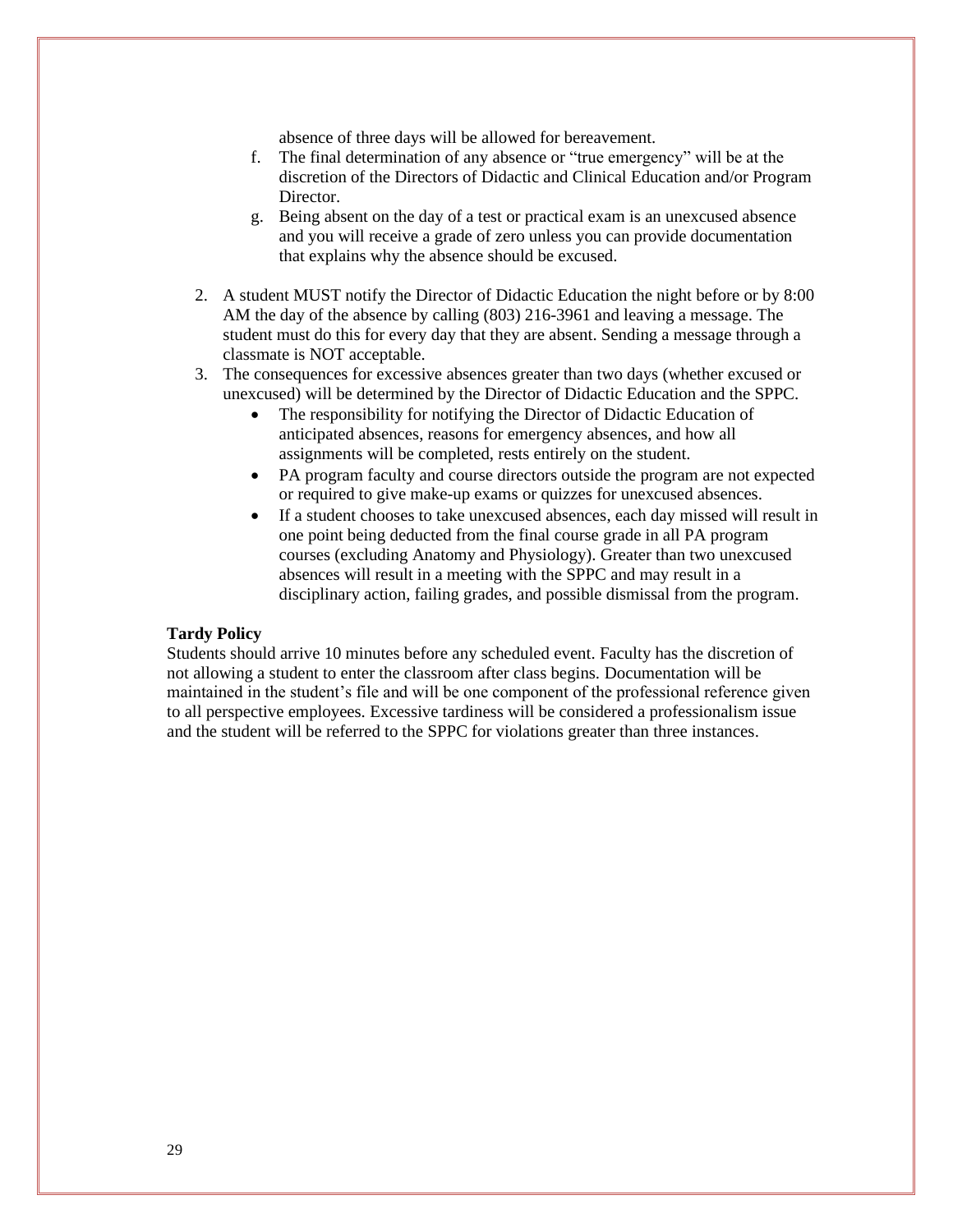absence of three days will be allowed for bereavement.

- f. The final determination of any absence or "true emergency" will be at the discretion of the Directors of Didactic and Clinical Education and/or Program Director.
- g. Being absent on the day of a test or practical exam is an unexcused absence and you will receive a grade of zero unless you can provide documentation that explains why the absence should be excused.
- 2. A student MUST notify the Director of Didactic Education the night before or by 8:00 AM the day of the absence by calling (803) 216-3961 and leaving a message. The student must do this for every day that they are absent. Sending a message through a classmate is NOT acceptable.
- 3. The consequences for excessive absences greater than two days (whether excused or unexcused) will be determined by the Director of Didactic Education and the SPPC.
	- The responsibility for notifying the Director of Didactic Education of anticipated absences, reasons for emergency absences, and how all assignments will be completed, rests entirely on the student.
	- PA program faculty and course directors outside the program are not expected or required to give make-up exams or quizzes for unexcused absences.
	- If a student chooses to take unexcused absences, each day missed will result in one point being deducted from the final course grade in all PA program courses (excluding Anatomy and Physiology). Greater than two unexcused absences will result in a meeting with the SPPC and may result in a disciplinary action, failing grades, and possible dismissal from the program.

#### **Tardy Policy**

Students should arrive 10 minutes before any scheduled event. Faculty has the discretion of not allowing a student to enter the classroom after class begins. Documentation will be maintained in the student's file and will be one component of the professional reference given to all perspective employees. Excessive tardiness will be considered a professionalism issue and the student will be referred to the SPPC for violations greater than three instances.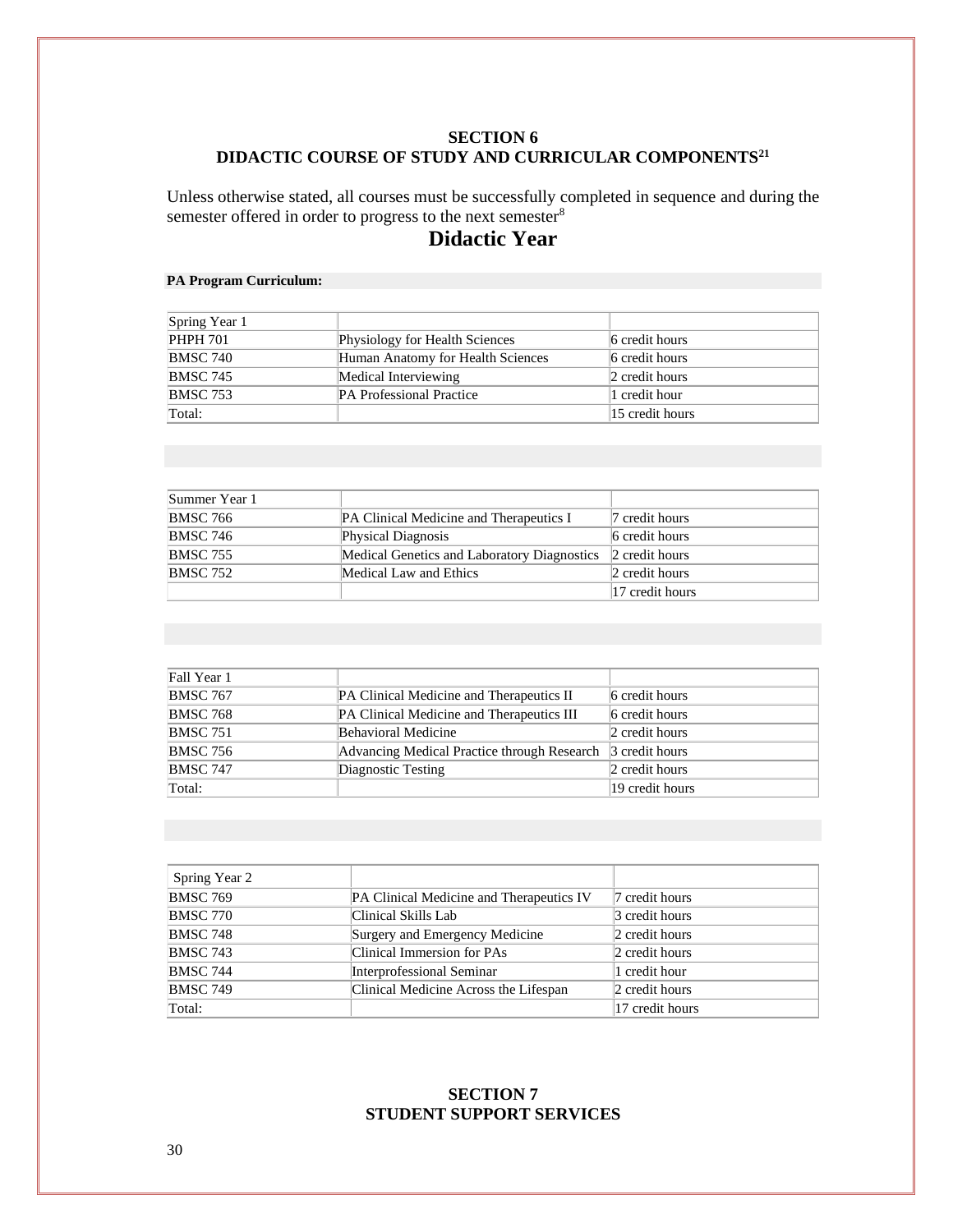#### **SECTION 6 DIDACTIC COURSE OF STUDY AND CURRICULAR COMPONENTS<sup>21</sup>**

Unless otherwise stated, all courses must be successfully completed in sequence and during the semester offered in order to progress to the next semester<sup>8</sup>

# **Didactic Year**

#### **PA Program Curriculum:**

| Spring Year 1   |                                   |                 |
|-----------------|-----------------------------------|-----------------|
| <b>PHPH 701</b> | Physiology for Health Sciences    | 6 credit hours  |
| <b>BMSC 740</b> | Human Anatomy for Health Sciences | 6 credit hours  |
| <b>BMSC 745</b> | Medical Interviewing              | 2 credit hours  |
| <b>BMSC 753</b> | <b>PA Professional Practice</b>   | 1 credit hour   |
| Total:          |                                   | 15 credit hours |

| Summer Year 1   |                                                |                 |
|-----------------|------------------------------------------------|-----------------|
| <b>BMSC 766</b> | <b>PA Clinical Medicine and Therapeutics I</b> | 7 credit hours  |
| <b>BMSC 746</b> | <b>Physical Diagnosis</b>                      | 6 credit hours  |
| <b>BMSC 755</b> | Medical Genetics and Laboratory Diagnostics    | 2 credit hours  |
| <b>BMSC 752</b> | Medical Law and Ethics                         | 2 credit hours  |
|                 |                                                | 17 credit hours |

| Fall Year 1     |                                             |                 |
|-----------------|---------------------------------------------|-----------------|
| <b>BMSC 767</b> | PA Clinical Medicine and Therapeutics II    | 6 credit hours  |
| <b>BMSC 768</b> | PA Clinical Medicine and Therapeutics III   | 6 credit hours  |
| <b>BMSC 751</b> | Behavioral Medicine                         | 2 credit hours  |
| <b>BMSC 756</b> | Advancing Medical Practice through Research | 3 credit hours  |
| <b>BMSC 747</b> | Diagnostic Testing                          | 2 credit hours  |
| Total:          |                                             | 19 credit hours |

| Spring Year 2   |                                          |                 |
|-----------------|------------------------------------------|-----------------|
| <b>BMSC 769</b> | PA Clinical Medicine and Therapeutics IV | 7 credit hours  |
| <b>BMSC 770</b> | Clinical Skills Lab                      | 3 credit hours  |
| <b>BMSC 748</b> | Surgery and Emergency Medicine           | 2 credit hours  |
| <b>BMSC 743</b> | Clinical Immersion for PAs               | 2 credit hours  |
| <b>BMSC 744</b> | Interprofessional Seminar                | 1 credit hour   |
| <b>BMSC 749</b> | Clinical Medicine Across the Lifespan    | 2 credit hours  |
| Total:          |                                          | 17 credit hours |

#### **SECTION 7 STUDENT SUPPORT SERVICES**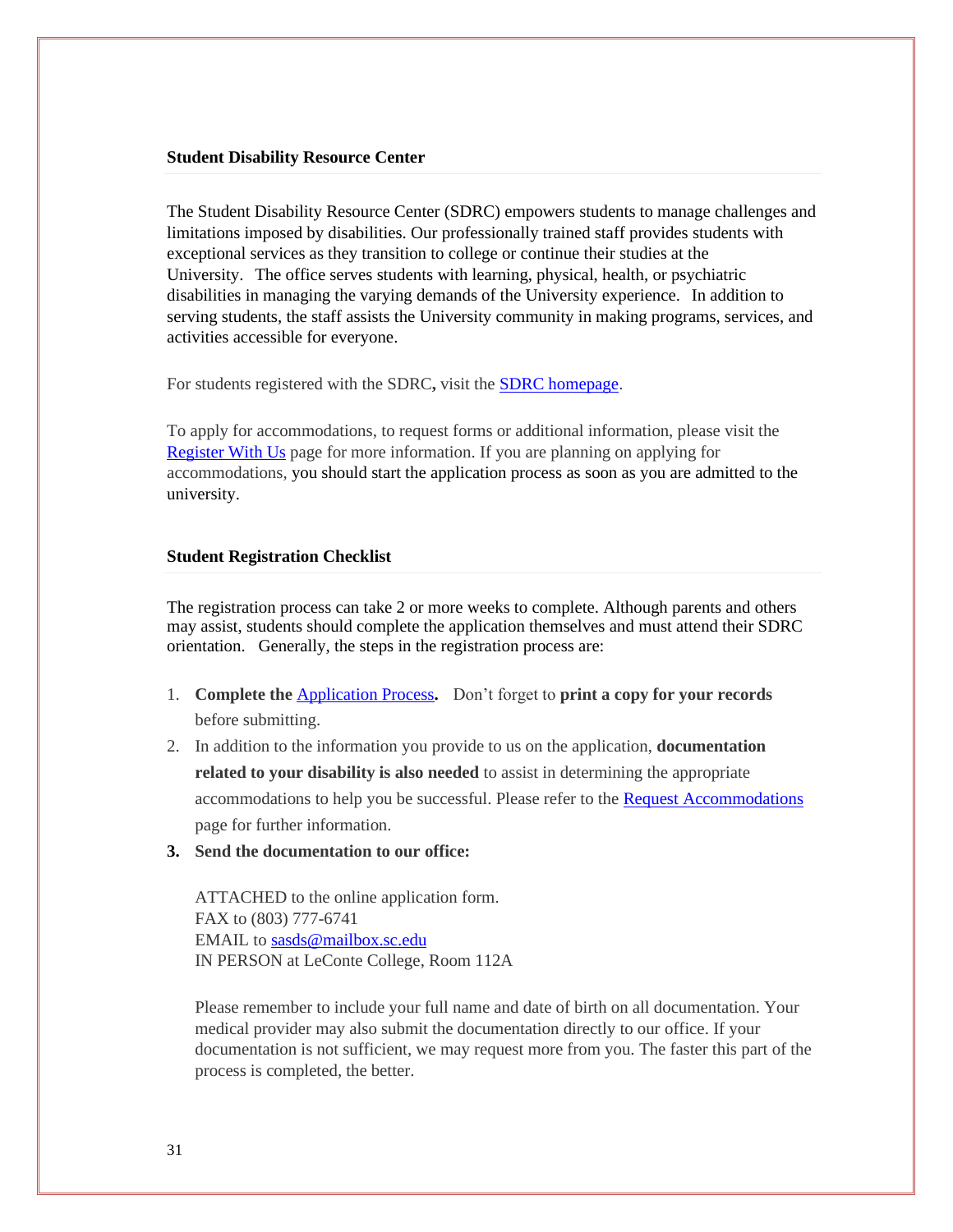#### **Student Disability Resource Center**

The Student Disability Resource Center (SDRC) empowers students to manage challenges and limitations imposed by disabilities. Our professionally trained staff provides students with exceptional services as they transition to college or continue their studies at the University. The office serves students with learning, physical, health, or psychiatric disabilities in managing the varying demands of the University experience. In addition to serving students, the staff assists the University community in making programs, services, and activities accessible for everyone.

For students registered with the SDRC, visit the **SDRC** homepage.

To apply for accommodations, to request forms or additional information, please visit the [Register With Us](https://sc.edu/about/offices_and_divisions/student_disability_resource_center/register_with_us/index.php) page for more information. If you are planning on applying for accommodations, you should start the application process as soon as you are admitted to the university.

#### **Student Registration Checklist**

The registration process can take 2 or more weeks to complete. Although parents and others may assist, students should complete the application themselves and must attend their SDRC orientation. Generally, the steps in the registration process are:

- 1. **Complete the** [Application Process](https://sc.edu/about/offices_and_divisions/student_disability_resource_center/register_with_us/application_process/index.php)**.** Don't forget to **print a copy for your records**  before submitting.
- 2. In addition to the information you provide to us on the application, **documentation related to your disability is also needed** to assist in determining the appropriate accommodations to help you be successful. Please refer to the [Request Accommodations](https://sc.edu/about/offices_and_divisions/student_disability_resource_center/request_accommodations/index.php) page for further information.
- **3. Send the documentation to our office:**

ATTACHED to the online application form. FAX to (803) 777-6741 EMAIL to [sasds@mailbox.sc.edu](mailto:sasds@mailbox.sc.edu) IN PERSON at LeConte College, Room 112A

Please remember to include your full name and date of birth on all documentation. Your medical provider may also submit the documentation directly to our office. If your documentation is not sufficient, we may request more from you. The faster this part of the process is completed, the better.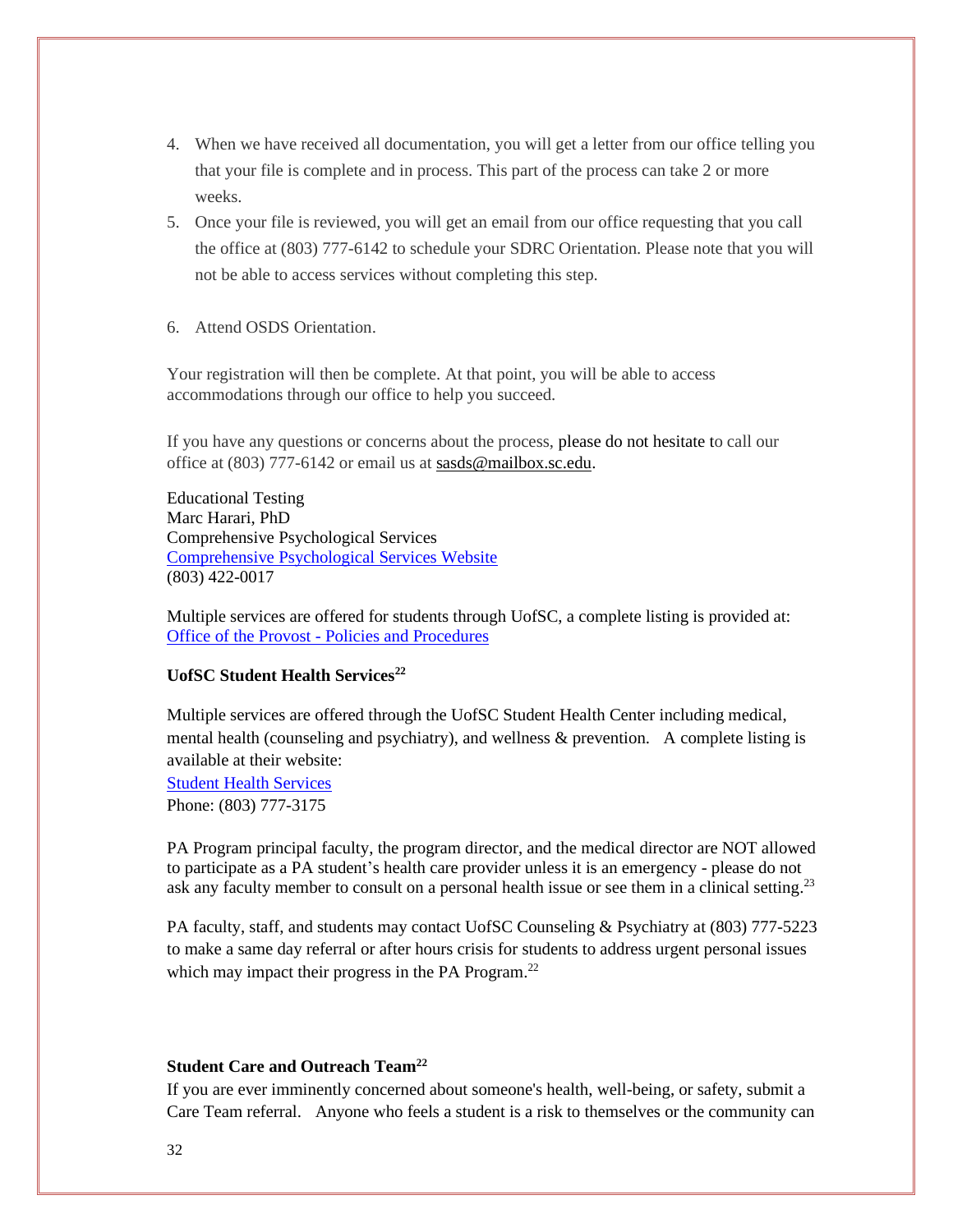- 4. When we have received all documentation, you will get a letter from our office telling you that your file is complete and in process. This part of the process can take 2 or more weeks.
- 5. Once your file is reviewed, you will get an email from our office requesting that you call the office at (803) 777-6142 to schedule your SDRC Orientation. Please note that you will not be able to access services without completing this step.
- 6. Attend OSDS Orientation.

Your registration will then be complete. At that point, you will be able to access accommodations through our office to help you succeed.

If you have any questions or concerns about the process, please do not hesitate to call our office at (803) 777-6142 or email us at [sasds@mailbox.sc.edu.](mailto:sasds@mailbox.sc.edu)

Educational Testing Marc Harari, PhD Comprehensive Psychological Services [Comprehensive Psychological Services Website](http://www.comppsychsc.com/) (803) 422-0017

Multiple services are offered for students through UofSC, a complete listing is provided at: Office of the Provost - [Policies and Procedures](https://sc.edu/about/offices_and_divisions/provost/policiesandprocedures/universitypolicies/policies_and_procedures_manual/index.php)

#### **UofSC Student Health Services<sup>22</sup>**

Multiple services are offered through the UofSC Student Health Center including medical, mental health (counseling and psychiatry), and wellness & prevention. A complete listing is available at their website:

[Student Health Services](https://www.sa.sc.edu/shs/) Phone: (803) 777-3175

PA Program principal faculty, the program director, and the medical director are NOT allowed to participate as a PA student's health care provider unless it is an emergency - please do not ask any faculty member to consult on a personal health issue or see them in a clinical setting.<sup>23</sup>

PA faculty, staff, and students may contact UofSC Counseling & Psychiatry at (803) 777-5223 to make a same day referral or after hours crisis for students to address urgent personal issues which may impact their progress in the PA Program.<sup>22</sup>

#### **Student Care and Outreach Team<sup>22</sup>**

If you are ever imminently concerned about someone's health, well-being, or safety, submit a Care Team referral. Anyone who feels a student is a risk to themselves or the community can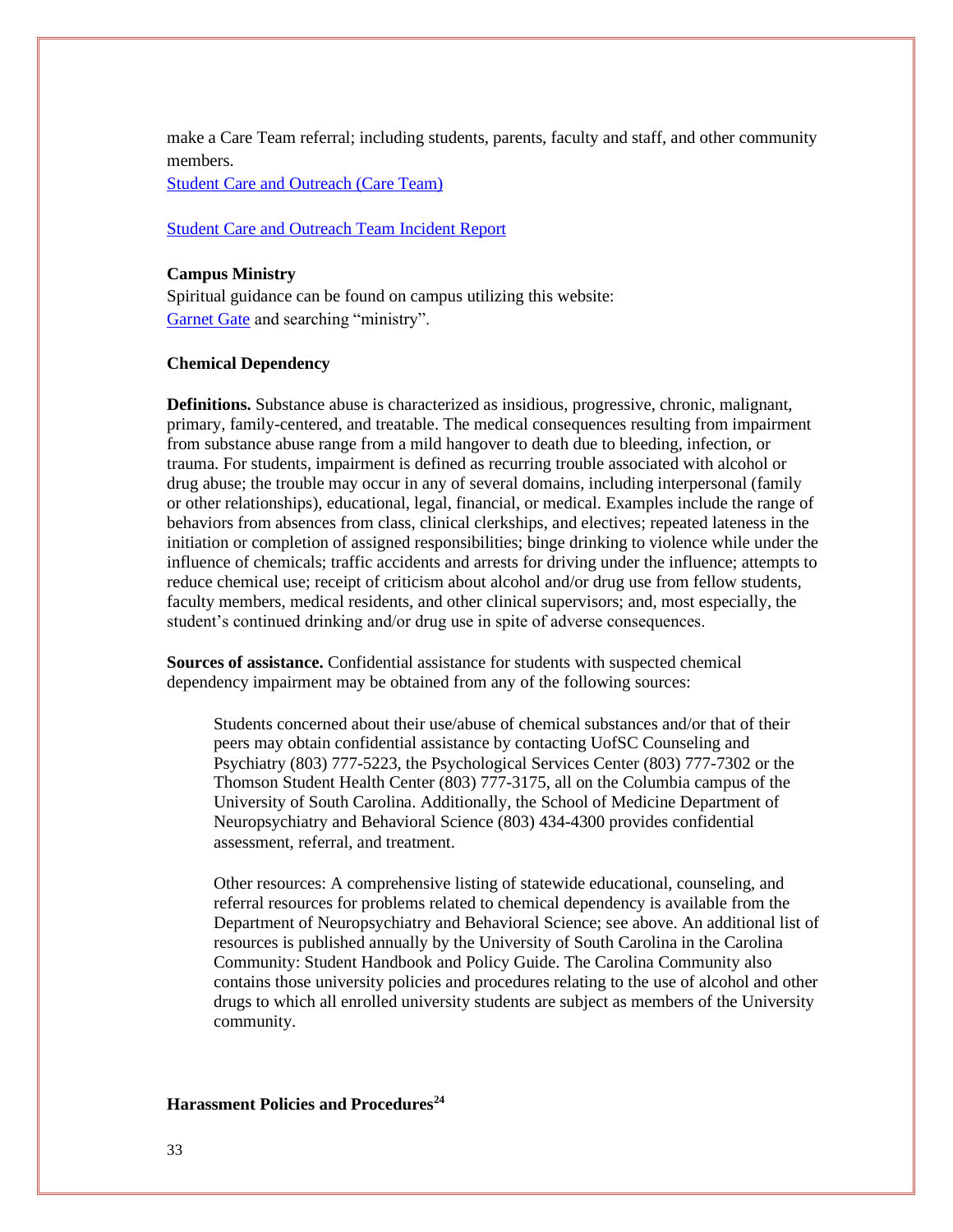make a Care Team referral; including students, parents, faculty and staff, and other community members.

[Student Care and Outreach \(Care Team\)](https://www.sc.edu/about/offices_and_divisions/student_affairs/our_initiatives/health_wellness_and_safety/student_care_and_outreach_team/index.php)

#### [Student Care and Outreach Team Incident Report](https://cm.maxient.com/reportingform.php?UnivofSouthCarolina&layout_id=3)

#### **Campus Ministry**

Spiritual guidance can be found on campus utilizing this website: [Garnet Gate](https://garnetgate.sa.sc.edu/) and searching "ministry".

#### **Chemical Dependency**

**Definitions.** Substance abuse is characterized as insidious, progressive, chronic, malignant, primary, family-centered, and treatable. The medical consequences resulting from impairment from substance abuse range from a mild hangover to death due to bleeding, infection, or trauma. For students, impairment is defined as recurring trouble associated with alcohol or drug abuse; the trouble may occur in any of several domains, including interpersonal (family or other relationships), educational, legal, financial, or medical. Examples include the range of behaviors from absences from class, clinical clerkships, and electives; repeated lateness in the initiation or completion of assigned responsibilities; binge drinking to violence while under the influence of chemicals; traffic accidents and arrests for driving under the influence; attempts to reduce chemical use; receipt of criticism about alcohol and/or drug use from fellow students, faculty members, medical residents, and other clinical supervisors; and, most especially, the student's continued drinking and/or drug use in spite of adverse consequences.

**Sources of assistance.** Confidential assistance for students with suspected chemical dependency impairment may be obtained from any of the following sources:

Students concerned about their use/abuse of chemical substances and/or that of their peers may obtain confidential assistance by contacting UofSC Counseling and Psychiatry (803) 777-5223, the Psychological Services Center (803) 777-7302 or the Thomson Student Health Center (803) 777-3175, all on the Columbia campus of the University of South Carolina. Additionally, the School of Medicine Department of Neuropsychiatry and Behavioral Science (803) 434-4300 provides confidential assessment, referral, and treatment.

Other resources: A comprehensive listing of statewide educational, counseling, and referral resources for problems related to chemical dependency is available from the Department of Neuropsychiatry and Behavioral Science; see above. An additional list of resources is published annually by the University of South Carolina in the Carolina Community: Student Handbook and Policy Guide. The Carolina Community also contains those university policies and procedures relating to the use of alcohol and other drugs to which all enrolled university students are subject as members of the University community.

#### **Harassment Policies and Procedures24**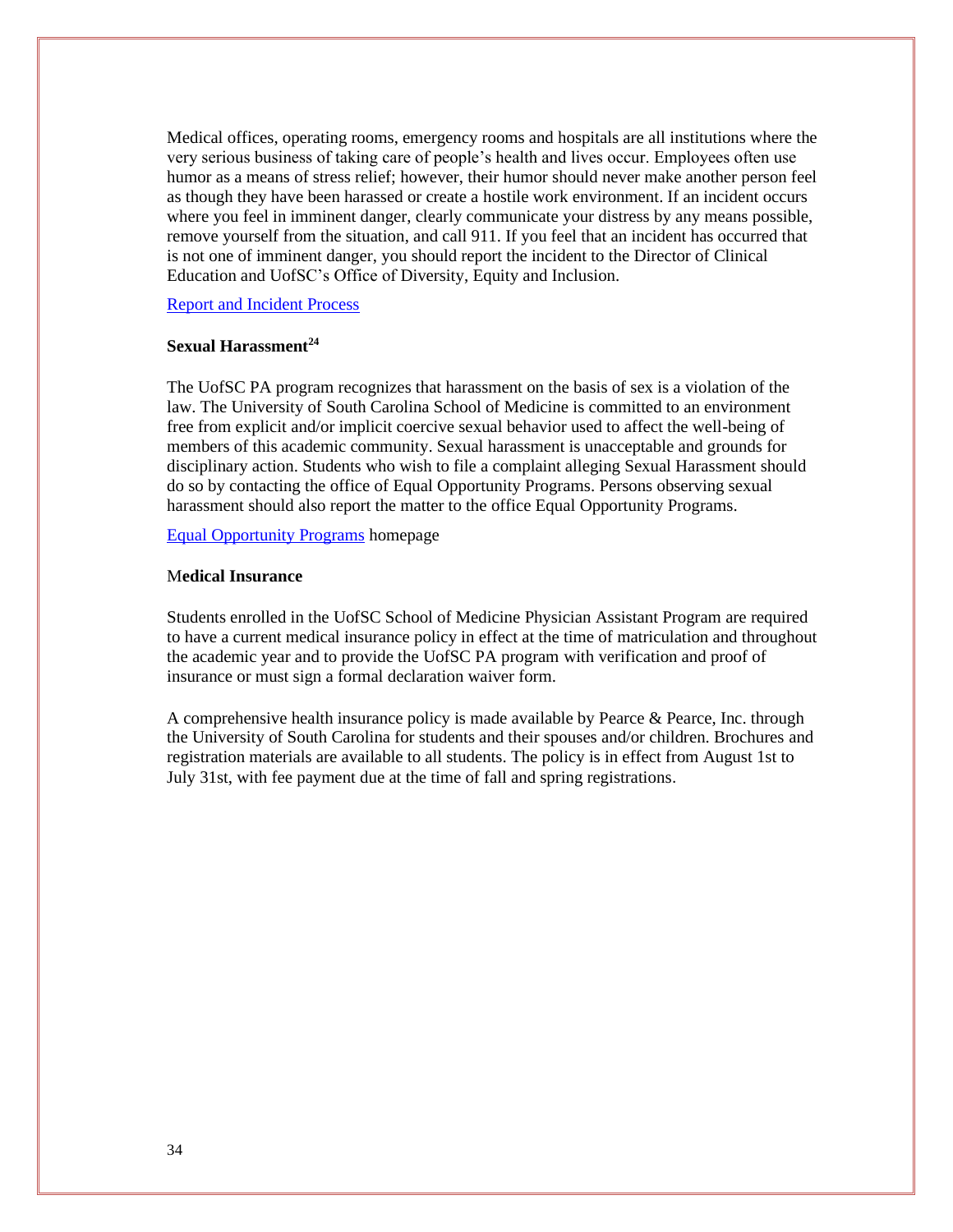Medical offices, operating rooms, emergency rooms and hospitals are all institutions where the very serious business of taking care of people's health and lives occur. Employees often use humor as a means of stress relief; however, their humor should never make another person feel as though they have been harassed or create a hostile work environment. If an incident occurs where you feel in imminent danger, clearly communicate your distress by any means possible, remove yourself from the situation, and call 911. If you feel that an incident has occurred that is not one of imminent danger, you should report the incident to the Director of Clinical Education and UofSC's Office of Diversity, Equity and Inclusion.

[Report and Incident Process](https://www.sc.edu/about/offices_and_divisions/diversity_equity_and_inclusion/report_an_incident/index.php)

#### **Sexual Harassment<sup>24</sup>**

The UofSC PA program recognizes that harassment on the basis of sex is a violation of the law. The University of South Carolina School of Medicine is committed to an environment free from explicit and/or implicit coercive sexual behavior used to affect the well-being of members of this academic community. Sexual harassment is unacceptable and grounds for disciplinary action. Students who wish to file a complaint alleging Sexual Harassment should do so by contacting the office of Equal Opportunity Programs. Persons observing sexual harassment should also report the matter to the office Equal Opportunity Programs.

[Equal Opportunity Programs](https://www.sc.edu/about/offices_and_divisions/equal_opportunities_programs/policies/index.php) homepage

#### M**edical Insurance**

Students enrolled in the UofSC School of Medicine Physician Assistant Program are required to have a current medical insurance policy in effect at the time of matriculation and throughout the academic year and to provide the UofSC PA program with verification and proof of insurance or must sign a formal declaration waiver form.

A comprehensive health insurance policy is made available by Pearce & Pearce, Inc. through the University of South Carolina for students and their spouses and/or children. Brochures and registration materials are available to all students. The policy is in effect from August 1st to July 31st, with fee payment due at the time of fall and spring registrations.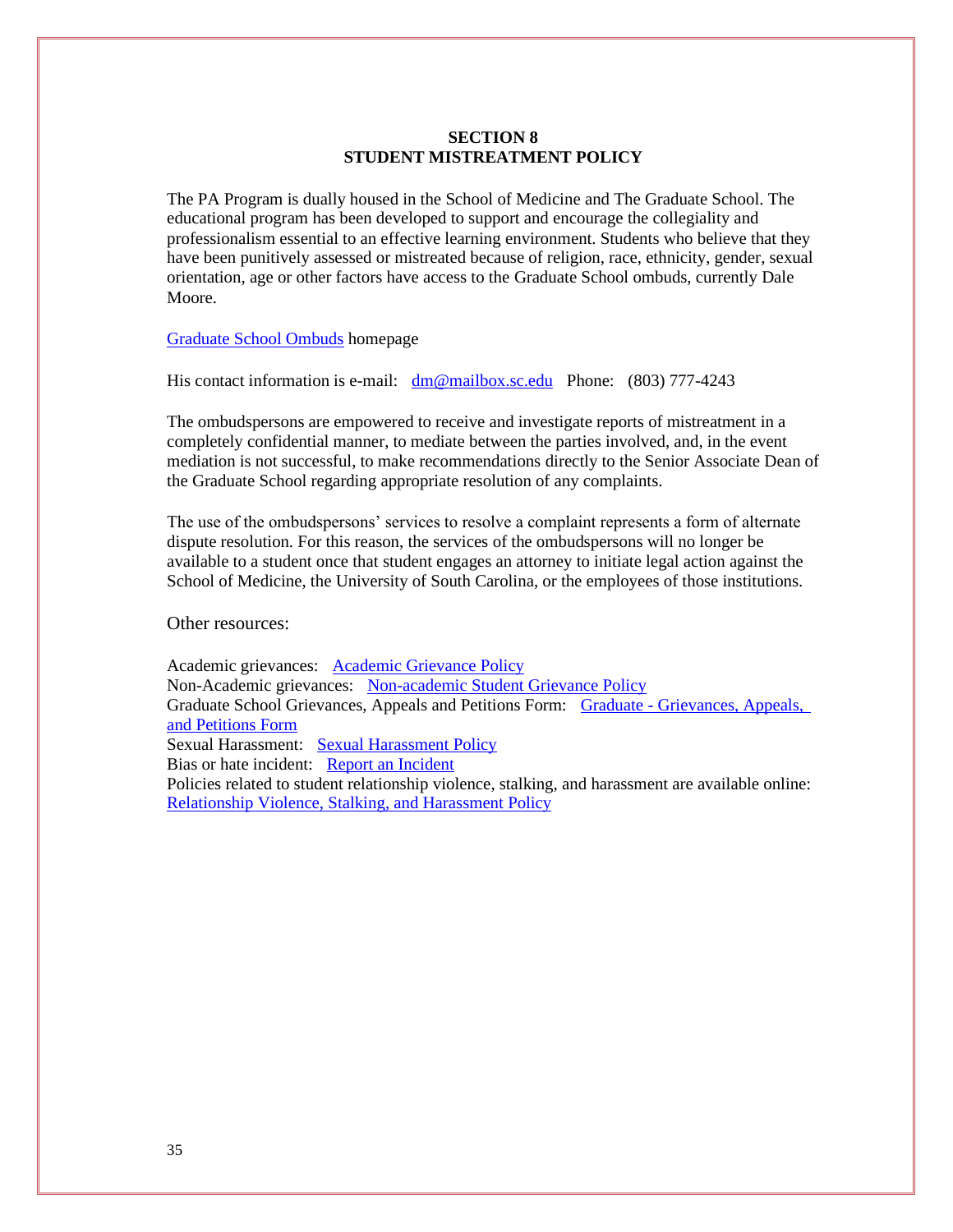#### **SECTION 8 STUDENT MISTREATMENT POLICY**

The PA Program is dually housed in the School of Medicine and The Graduate School. The educational program has been developed to support and encourage the collegiality and professionalism essential to an effective learning environment. Students who believe that they have been punitively assessed or mistreated because of religion, race, ethnicity, gender, sexual orientation, age or other factors have access to the Graduate School ombuds, currently Dale Moore.

[Graduate School Ombuds](https://sc.edu/study/colleges_schools/graduate_school/opportunities_support/ombuds/index.php) homepage

His contact information is e-mail: [dm@mailbox.sc.edu](mailto:dm@mailbox.sc.edu) Phone: (803) 777-4243

The ombudspersons are empowered to receive and investigate reports of mistreatment in a completely confidential manner, to mediate between the parties involved, and, in the event mediation is not successful, to make recommendations directly to the Senior Associate Dean of the Graduate School regarding appropriate resolution of any complaints.

The use of the ombudspersons' services to resolve a complaint represents a form of alternate dispute resolution. For this reason, the services of the ombudspersons will no longer be available to a student once that student engages an attorney to initiate legal action against the School of Medicine, the University of South Carolina, or the employees of those institutions.

Other resources:

Academic grievances: [Academic Grievance Policy](http://www.sc.edu/policies/ppm/staf630.pdf) Non-Academic grievances: [Non-academic Student Grievance Policy](http://www.sc.edu/policies/ppm/staf627.pdf) Graduate School Grievances, Appeals and Petitions Form: Graduate - [Grievances, Appeals,](https://www.sc.edu/study/colleges_schools/graduate_school/documents/g-gap.pdf)  [and Petitions Form](https://www.sc.edu/study/colleges_schools/graduate_school/documents/g-gap.pdf) Sexual Harassment: [Sexual Harassment Policy](http://www.sc.edu/policies/ppm/eop102.pdf) Bias or hate incident: [Report an Incident](https://www.sc.edu/about/offices_and_divisions/diversity_equity_and_inclusion/report_an_incident/index.php) Policies related to student relationship violence, stalking, and harassment are available online: [Relationship Violence, Stalking, and Harassment Policy](http://www.sc.edu/policies/ppm/staf109.pdf)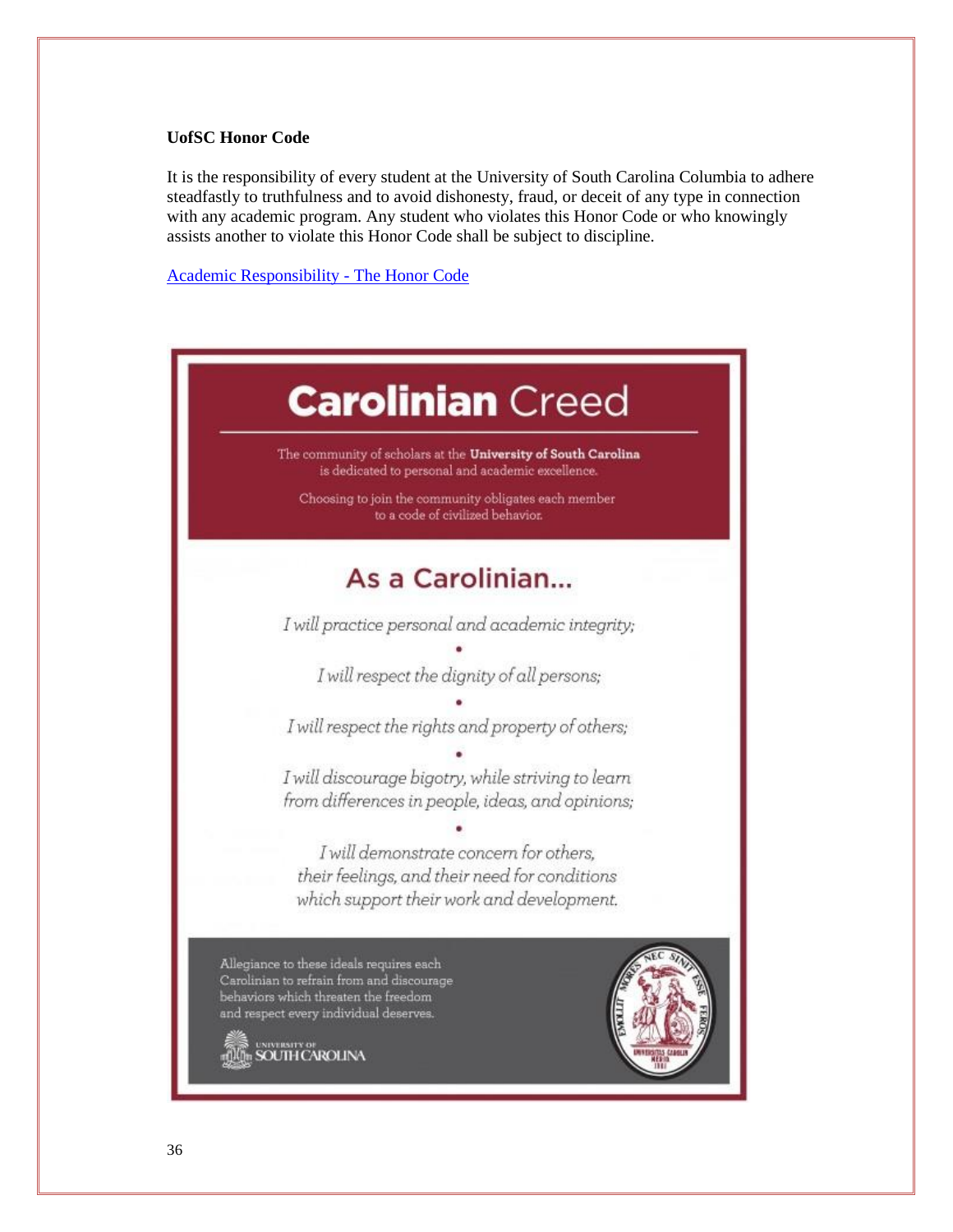#### **UofSC Honor Code**

It is the responsibility of every student at the University of South Carolina Columbia to adhere steadfastly to truthfulness and to avoid dishonesty, fraud, or deceit of any type in connection with any academic program. Any student who violates this Honor Code or who knowingly assists another to violate this Honor Code shall be subject to discipline.

[Academic Responsibility -](http://www.sc.edu/policies/ppm/staf625.pdf) The Honor Code

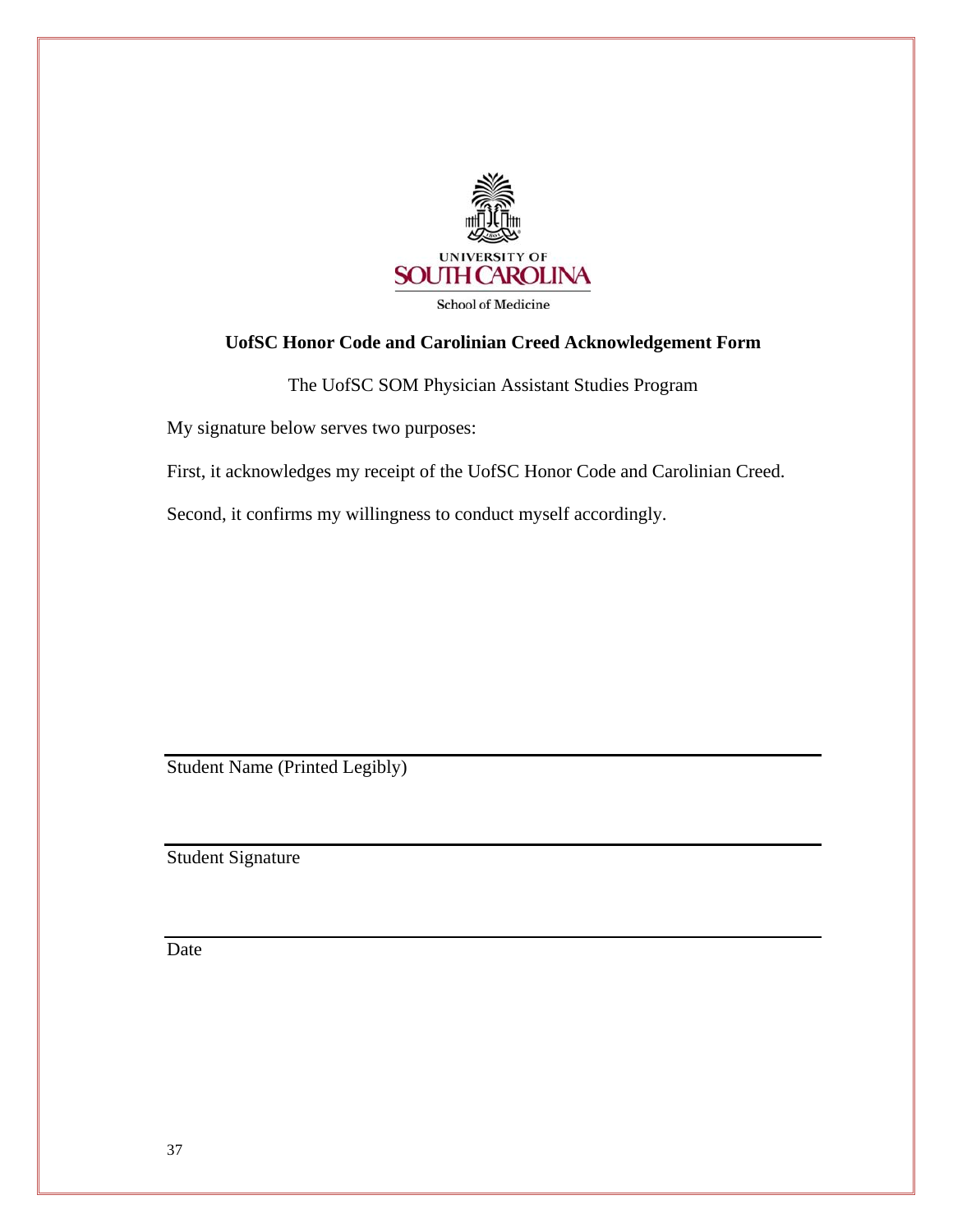

**School of Medicine** 

# **UofSC Honor Code and Carolinian Creed Acknowledgement Form**

The UofSC SOM Physician Assistant Studies Program

My signature below serves two purposes:

First, it acknowledges my receipt of the UofSC Honor Code and Carolinian Creed.

Second, it confirms my willingness to conduct myself accordingly.

Student Name (Printed Legibly)

Student Signature

**Date**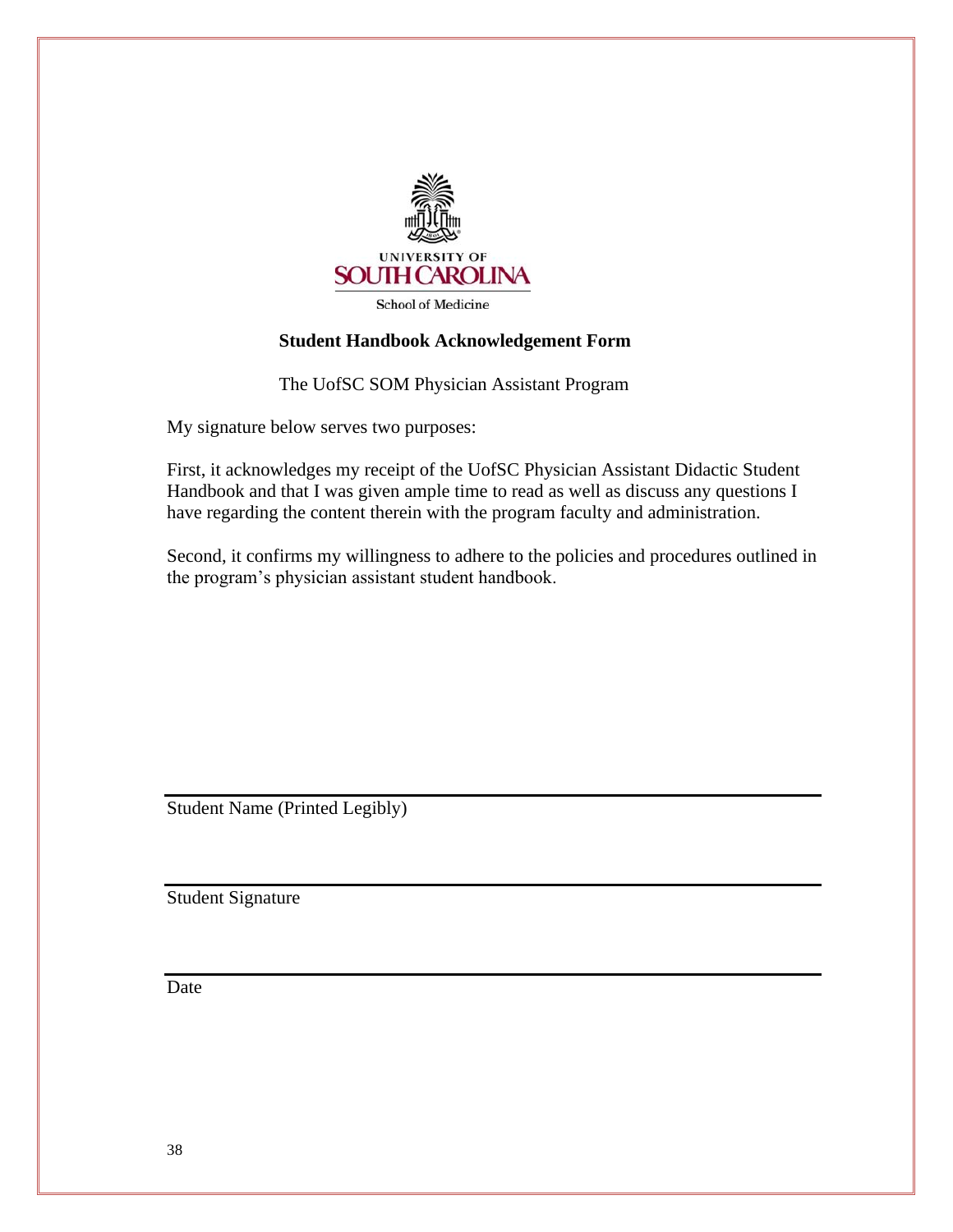

**School of Medicine** 

#### **Student Handbook Acknowledgement Form**

The UofSC SOM Physician Assistant Program

My signature below serves two purposes:

First, it acknowledges my receipt of the UofSC Physician Assistant Didactic Student Handbook and that I was given ample time to read as well as discuss any questions I have regarding the content therein with the program faculty and administration.

Second, it confirms my willingness to adhere to the policies and procedures outlined in the program's physician assistant student handbook.

Student Name (Printed Legibly)

Student Signature

**Date**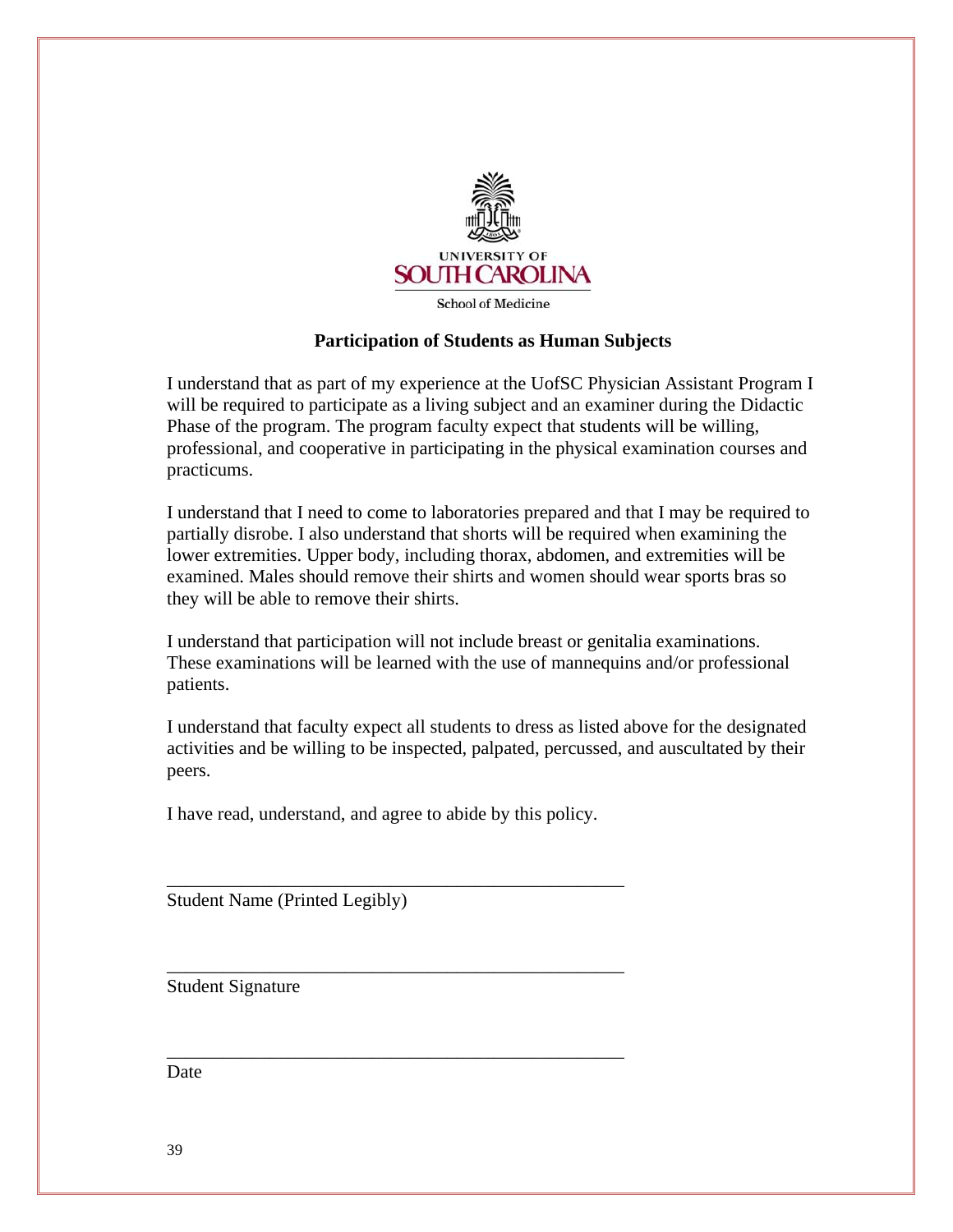

**School of Medicine** 

#### **Participation of Students as Human Subjects**

I understand that as part of my experience at the UofSC Physician Assistant Program I will be required to participate as a living subject and an examiner during the Didactic Phase of the program. The program faculty expect that students will be willing, professional, and cooperative in participating in the physical examination courses and practicums.

I understand that I need to come to laboratories prepared and that I may be required to partially disrobe. I also understand that shorts will be required when examining the lower extremities. Upper body, including thorax, abdomen, and extremities will be examined. Males should remove their shirts and women should wear sports bras so they will be able to remove their shirts.

I understand that participation will not include breast or genitalia examinations. These examinations will be learned with the use of mannequins and/or professional patients.

I understand that faculty expect all students to dress as listed above for the designated activities and be willing to be inspected, palpated, percussed, and auscultated by their peers.

I have read, understand, and agree to abide by this policy.

\_\_\_\_\_\_\_\_\_\_\_\_\_\_\_\_\_\_\_\_\_\_\_\_\_\_\_\_\_\_\_\_\_\_\_\_\_\_\_\_\_\_\_\_\_\_\_\_\_

\_\_\_\_\_\_\_\_\_\_\_\_\_\_\_\_\_\_\_\_\_\_\_\_\_\_\_\_\_\_\_\_\_\_\_\_\_\_\_\_\_\_\_\_\_\_\_\_\_

\_\_\_\_\_\_\_\_\_\_\_\_\_\_\_\_\_\_\_\_\_\_\_\_\_\_\_\_\_\_\_\_\_\_\_\_\_\_\_\_\_\_\_\_\_\_\_\_\_

Student Name (Printed Legibly)

Student Signature

Date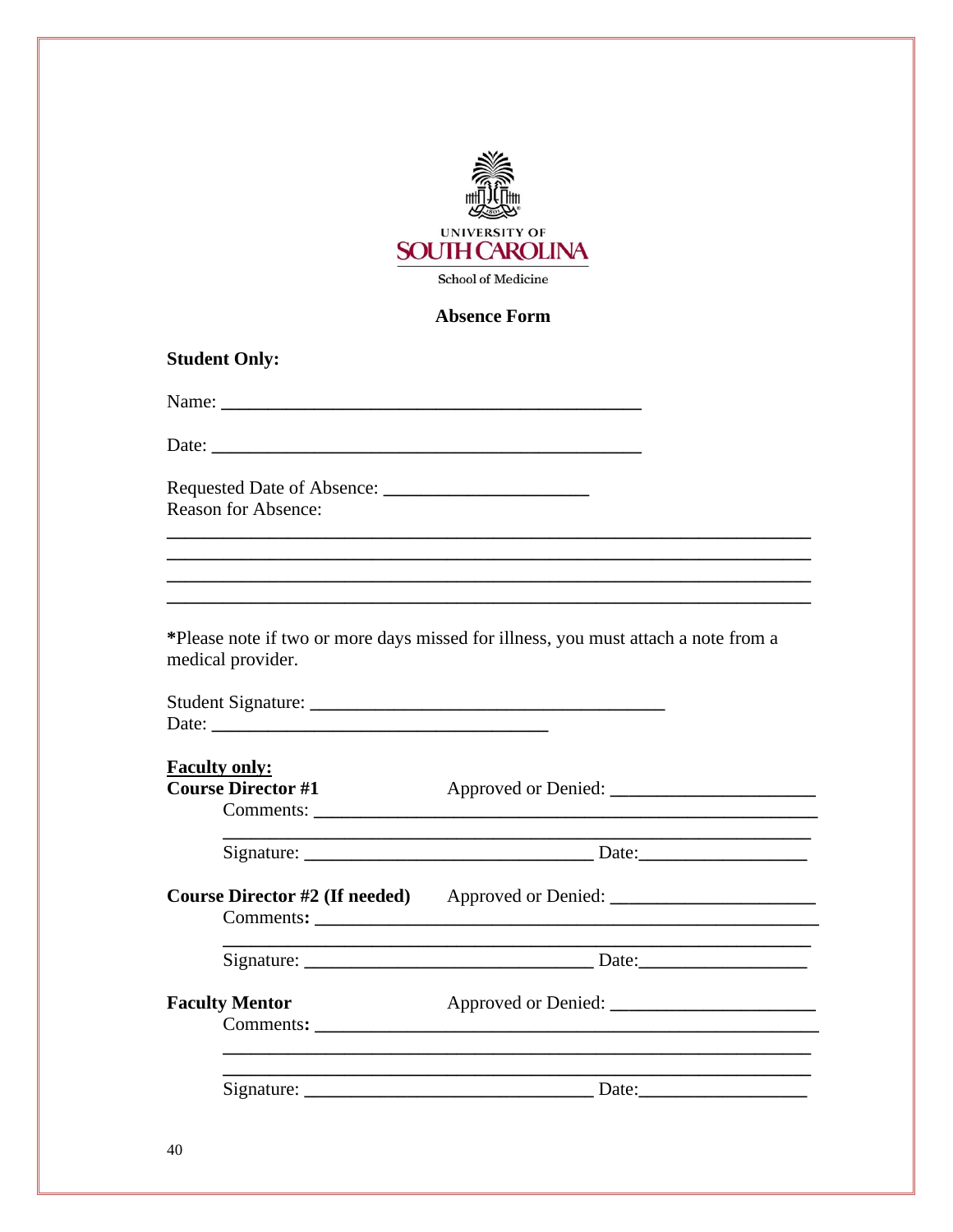

#### **Absence Form**

#### **Student Only:**

**Reason for Absence:** 

\*Please note if two or more days missed for illness, you must attach a note from a medical provider.

| <b>Student Signature:</b> |  |
|---------------------------|--|
| Date:                     |  |

# **Faculty only: Course Director #1**

and the control of the control of the control of the control of the control of the control of the control of the

| Community. |  |
|------------|--|
|            |  |
|            |  |
|            |  |

Course Director #2 (If needed) Approved or Denied: \_\_\_\_\_\_\_\_\_\_\_\_\_\_\_\_\_\_\_\_\_\_\_\_\_\_\_\_\_\_ Comments:

Signature: Date:

Approved or Denied: **Faculty Mentor** Comments: